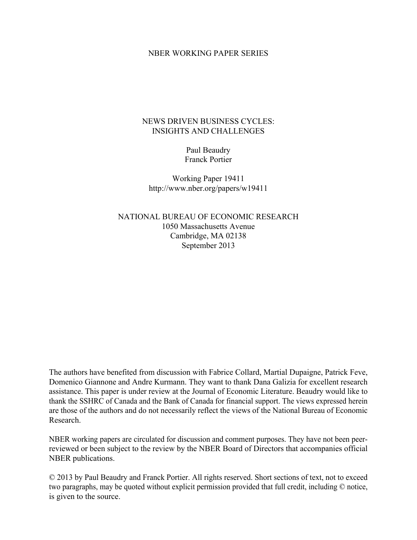#### NBER WORKING PAPER SERIES

### NEWS DRIVEN BUSINESS CYCLES: INSIGHTS AND CHALLENGES

Paul Beaudry Franck Portier

Working Paper 19411 http://www.nber.org/papers/w19411

NATIONAL BUREAU OF ECONOMIC RESEARCH 1050 Massachusetts Avenue Cambridge, MA 02138 September 2013

The authors have benefited from discussion with Fabrice Collard, Martial Dupaigne, Patrick Feve, Domenico Giannone and Andre Kurmann. They want to thank Dana Galizia for excellent research assistance. This paper is under review at the Journal of Economic Literature. Beaudry would like to thank the SSHRC of Canada and the Bank of Canada for financial support. The views expressed herein are those of the authors and do not necessarily reflect the views of the National Bureau of Economic Research.

NBER working papers are circulated for discussion and comment purposes. They have not been peerreviewed or been subject to the review by the NBER Board of Directors that accompanies official NBER publications.

© 2013 by Paul Beaudry and Franck Portier. All rights reserved. Short sections of text, not to exceed two paragraphs, may be quoted without explicit permission provided that full credit, including © notice, is given to the source.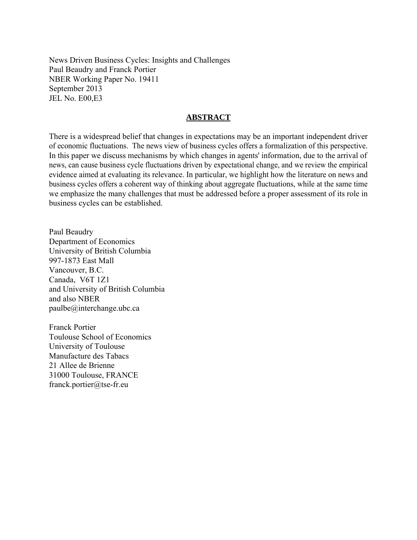News Driven Business Cycles: Insights and Challenges Paul Beaudry and Franck Portier NBER Working Paper No. 19411 September 2013 JEL No. E00,E3

### **ABSTRACT**

There is a widespread belief that changes in expectations may be an important independent driver of economic fluctuations. The news view of business cycles offers a formalization of this perspective. In this paper we discuss mechanisms by which changes in agents' information, due to the arrival of news, can cause business cycle fluctuations driven by expectational change, and we review the empirical evidence aimed at evaluating its relevance. In particular, we highlight how the literature on news and business cycles offers a coherent way of thinking about aggregate fluctuations, while at the same time we emphasize the many challenges that must be addressed before a proper assessment of its role in business cycles can be established.

Paul Beaudry Department of Economics University of British Columbia 997-1873 East Mall Vancouver, B.C. Canada, V6T 1Z1 and University of British Columbia and also NBER paulbe@interchange.ubc.ca

Franck Portier Toulouse School of Economics University of Toulouse Manufacture des Tabacs 21 Allee de Brienne 31000 Toulouse, FRANCE franck.portier@tse-fr.eu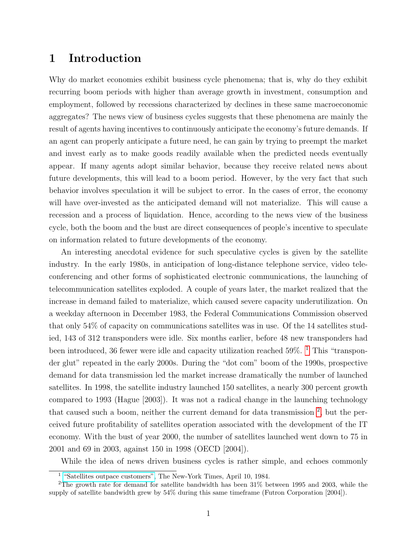# 1 Introduction

Why do market economies exhibit business cycle phenomena; that is, why do they exhibit recurring boom periods with higher than average growth in investment, consumption and employment, followed by recessions characterized by declines in these same macroeconomic aggregates? The news view of business cycles suggests that these phenomena are mainly the result of agents having incentives to continuously anticipate the economy's future demands. If an agent can properly anticipate a future need, he can gain by trying to preempt the market and invest early as to make goods readily available when the predicted needs eventually appear. If many agents adopt similar behavior, because they receive related news about future developments, this will lead to a boom period. However, by the very fact that such behavior involves speculation it will be subject to error. In the cases of error, the economy will have over-invested as the anticipated demand will not materialize. This will cause a recession and a process of liquidation. Hence, according to the news view of the business cycle, both the boom and the bust are direct consequences of people's incentive to speculate on information related to future developments of the economy.

An interesting anecdotal evidence for such speculative cycles is given by the satellite industry. In the early 1980s, in anticipation of long-distance telephone service, video teleconferencing and other forms of sophisticated electronic communications, the launching of telecommunication satellites exploded. A couple of years later, the market realized that the increase in demand failed to materialize, which caused severe capacity underutilization. On a weekday afternoon in December 1983, the Federal Communications Commission observed that only 54% of capacity on communications satellites was in use. Of the 14 satellites studied, 143 of 312 transponders were idle. Six months earlier, before 48 new transponders had been introduced, 36 fewer were idle and capacity utilization reached 59%. <sup>[1](#page-2-0)</sup> This "transponder glut" repeated in the early 2000s. During the "dot com" boom of the 1990s, prospective demand for data transmission led the market increase dramatically the number of launched satellites. In 1998, the satellite industry launched 150 satellites, a nearly 300 percent growth compared to 1993 (Hague [2003]). It was not a radical change in the launching technology that caused such a boom, neither the current demand for data transmission  $2$ , but the perceived future profitability of satellites operation associated with the development of the IT economy. With the bust of year 2000, the number of satellites launched went down to 75 in 2001 and 69 in 2003, against 150 in 1998 (OECD [2004]).

While the idea of news driven business cycles is rather simple, and echoes commonly

<span id="page-2-1"></span><span id="page-2-0"></span> $^1$  ["Satellites outpace customers",](http://www.nytimes.com/1984/04/10/business/satellites-outpace-customers-it-not-easy-owning-communications-satellite-these.html) The New-York Times, April 10, 1984.

<sup>2</sup>The growth rate for demand for satellite bandwidth has been 31% between 1995 and 2003, while the supply of satellite bandwidth grew by 54% during this same timeframe (Futron Corporation [2004]).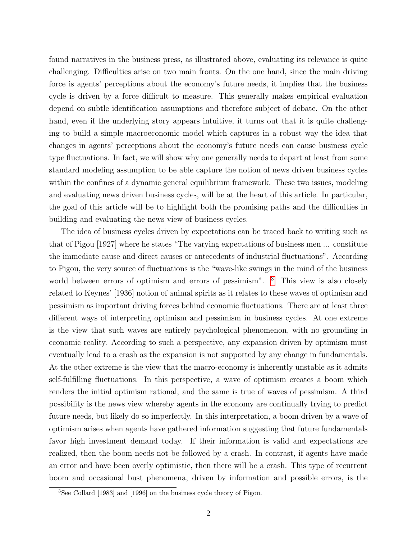found narratives in the business press, as illustrated above, evaluating its relevance is quite challenging. Difficulties arise on two main fronts. On the one hand, since the main driving force is agents' perceptions about the economy's future needs, it implies that the business cycle is driven by a force difficult to measure. This generally makes empirical evaluation depend on subtle identification assumptions and therefore subject of debate. On the other hand, even if the underlying story appears intuitive, it turns out that it is quite challenging to build a simple macroeconomic model which captures in a robust way the idea that changes in agents' perceptions about the economy's future needs can cause business cycle type fluctuations. In fact, we will show why one generally needs to depart at least from some standard modeling assumption to be able capture the notion of news driven business cycles within the confines of a dynamic general equilibrium framework. These two issues, modeling and evaluating news driven business cycles, will be at the heart of this article. In particular, the goal of this article will be to highlight both the promising paths and the difficulties in building and evaluating the news view of business cycles.

The idea of business cycles driven by expectations can be traced back to writing such as that of Pigou [1927] where he states "The varying expectations of business men ... constitute the immediate cause and direct causes or antecedents of industrial fluctuations". According to Pigou, the very source of fluctuations is the "wave-like swings in the mind of the business world between errors of optimism and errors of pessimism". <sup>[3](#page-3-0)</sup> This view is also closely related to Keynes' [1936] notion of animal spirits as it relates to these waves of optimism and pessimism as important driving forces behind economic fluctuations. There are at least three different ways of interpreting optimism and pessimism in business cycles. At one extreme is the view that such waves are entirely psychological phenomenon, with no grounding in economic reality. According to such a perspective, any expansion driven by optimism must eventually lead to a crash as the expansion is not supported by any change in fundamentals. At the other extreme is the view that the macro-economy is inherently unstable as it admits self-fulfilling fluctuations. In this perspective, a wave of optimism creates a boom which renders the initial optimism rational, and the same is true of waves of pessimism. A third possibility is the news view whereby agents in the economy are continually trying to predict future needs, but likely do so imperfectly. In this interpretation, a boom driven by a wave of optimism arises when agents have gathered information suggesting that future fundamentals favor high investment demand today. If their information is valid and expectations are realized, then the boom needs not be followed by a crash. In contrast, if agents have made an error and have been overly optimistic, then there will be a crash. This type of recurrent boom and occasional bust phenomena, driven by information and possible errors, is the

<span id="page-3-0"></span><sup>3</sup>See Collard [1983] and [1996] on the business cycle theory of Pigou.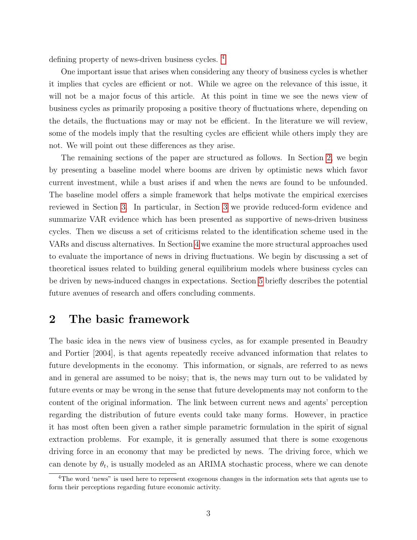defining property of news-driven business cycles. [4](#page-4-0)

One important issue that arises when considering any theory of business cycles is whether it implies that cycles are efficient or not. While we agree on the relevance of this issue, it will not be a major focus of this article. At this point in time we see the news view of business cycles as primarily proposing a positive theory of fluctuations where, depending on the details, the fluctuations may or may not be efficient. In the literature we will review, some of the models imply that the resulting cycles are efficient while others imply they are not. We will point out these differences as they arise.

The remaining sections of the paper are structured as follows. In Section [2,](#page-4-1) we begin by presenting a baseline model where booms are driven by optimistic news which favor current investment, while a bust arises if and when the news are found to be unfounded. The baseline model offers a simple framework that helps motivate the empirical exercises reviewed in Section [3.](#page-21-0) In particular, in Section [3](#page-21-0) we provide reduced-form evidence and summarize VAR evidence which has been presented as supportive of news-driven business cycles. Then we discuss a set of criticisms related to the identification scheme used in the VARs and discuss alternatives. In Section [4](#page-58-0) we examine the more structural approaches used to evaluate the importance of news in driving fluctuations. We begin by discussing a set of theoretical issues related to building general equilibrium models where business cycles can be driven by news-induced changes in expectations. Section [5](#page-84-0) briefly describes the potential future avenues of research and offers concluding comments.

# <span id="page-4-1"></span>2 The basic framework

The basic idea in the news view of business cycles, as for example presented in Beaudry and Portier [2004], is that agents repeatedly receive advanced information that relates to future developments in the economy. This information, or signals, are referred to as news and in general are assumed to be noisy; that is, the news may turn out to be validated by future events or may be wrong in the sense that future developments may not conform to the content of the original information. The link between current news and agents' perception regarding the distribution of future events could take many forms. However, in practice it has most often been given a rather simple parametric formulation in the spirit of signal extraction problems. For example, it is generally assumed that there is some exogenous driving force in an economy that may be predicted by news. The driving force, which we can denote by  $\theta_t$ , is usually modeled as an ARIMA stochastic process, where we can denote

<span id="page-4-0"></span><sup>4</sup>The word 'news" is used here to represent exogenous changes in the information sets that agents use to form their perceptions regarding future economic activity.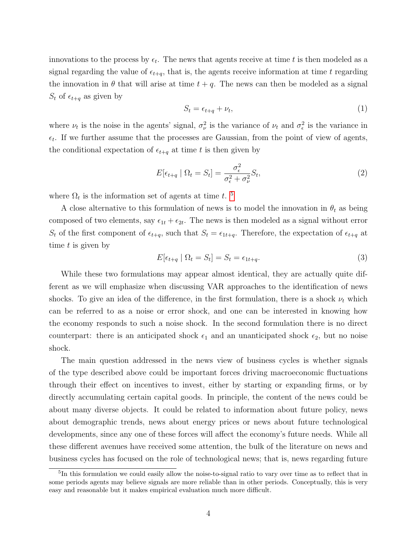innovations to the process by  $\epsilon_t$ . The news that agents receive at time t is then modeled as a signal regarding the value of  $\epsilon_{t+q}$ , that is, the agents receive information at time t regarding the innovation in  $\theta$  that will arise at time  $t + q$ . The news can then be modeled as a signal  $S_t$  of  $\epsilon_{t+q}$  as given by

$$
S_t = \epsilon_{t+q} + \nu_t,\tag{1}
$$

where  $\nu_t$  is the noise in the agents' signal,  $\sigma_{\nu}^2$  is the variance of  $\nu_t$  and  $\sigma_{\epsilon}^2$  is the variance in  $\epsilon_t$ . If we further assume that the processes are Gaussian, from the point of view of agents, the conditional expectation of  $\epsilon_{t+q}$  at time t is then given by

$$
E[\epsilon_{t+q} \mid \Omega_t = S_t] = \frac{\sigma_{\epsilon}^2}{\sigma_{\epsilon}^2 + \sigma_{\nu}^2} S_t,
$$
\n(2)

where  $\Omega_t$  is the information set of agents at time t.<sup>[5](#page-5-0)</sup>

A close alternative to this formulation of news is to model the innovation in  $\theta_t$  as being composed of two elements, say  $\epsilon_{1t} + \epsilon_{2t}$ . The news is then modeled as a signal without error  $S_t$  of the first component of  $\epsilon_{t+q}$ , such that  $S_t = \epsilon_{1t+q}$ . Therefore, the expectation of  $\epsilon_{t+q}$  at time t is given by

$$
E[\epsilon_{t+q} \mid \Omega_t = S_t] = S_t = \epsilon_{1t+q}.
$$
\n
$$
(3)
$$

While these two formulations may appear almost identical, they are actually quite different as we will emphasize when discussing VAR approaches to the identification of news shocks. To give an idea of the difference, in the first formulation, there is a shock  $\nu_t$  which can be referred to as a noise or error shock, and one can be interested in knowing how the economy responds to such a noise shock. In the second formulation there is no direct counterpart: there is an anticipated shock  $\epsilon_1$  and an unanticipated shock  $\epsilon_2$ , but no noise shock.

The main question addressed in the news view of business cycles is whether signals of the type described above could be important forces driving macroeconomic fluctuations through their effect on incentives to invest, either by starting or expanding firms, or by directly accumulating certain capital goods. In principle, the content of the news could be about many diverse objects. It could be related to information about future policy, news about demographic trends, news about energy prices or news about future technological developments, since any one of these forces will affect the economy's future needs. While all these different avenues have received some attention, the bulk of the literature on news and business cycles has focused on the role of technological news; that is, news regarding future

<span id="page-5-0"></span><sup>5</sup> In this formulation we could easily allow the noise-to-signal ratio to vary over time as to reflect that in some periods agents may believe signals are more reliable than in other periods. Conceptually, this is very easy and reasonable but it makes empirical evaluation much more difficult.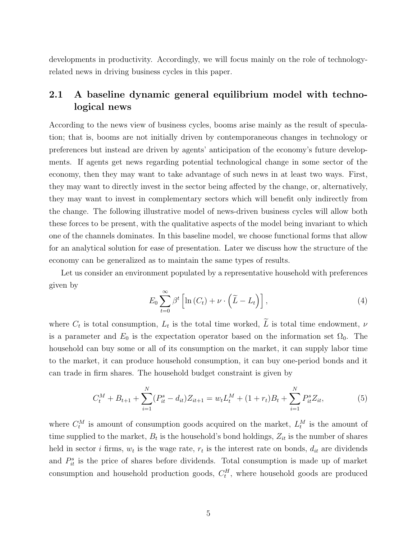developments in productivity. Accordingly, we will focus mainly on the role of technologyrelated news in driving business cycles in this paper.

# 2.1 A baseline dynamic general equilibrium model with technological news

According to the news view of business cycles, booms arise mainly as the result of speculation; that is, booms are not initially driven by contemporaneous changes in technology or preferences but instead are driven by agents' anticipation of the economy's future developments. If agents get news regarding potential technological change in some sector of the economy, then they may want to take advantage of such news in at least two ways. First, they may want to directly invest in the sector being affected by the change, or, alternatively, they may want to invest in complementary sectors which will benefit only indirectly from the change. The following illustrative model of news-driven business cycles will allow both these forces to be present, with the qualitative aspects of the model being invariant to which one of the channels dominates. In this baseline model, we choose functional forms that allow for an analytical solution for ease of presentation. Later we discuss how the structure of the economy can be generalized as to maintain the same types of results.

Let us consider an environment populated by a representative household with preferences given by

$$
E_0 \sum_{t=0}^{\infty} \beta^t \left[ \ln \left( C_t \right) + \nu \cdot \left( \widetilde{L} - L_t \right) \right], \tag{4}
$$

where  $C_t$  is total consumption,  $L_t$  is the total time worked, L is total time endowment,  $\nu$ is a parameter and  $E_0$  is the expectation operator based on the information set  $\Omega_0$ . The household can buy some or all of its consumption on the market, it can supply labor time to the market, it can produce household consumption, it can buy one-period bonds and it can trade in firm shares. The household budget constraint is given by

$$
C_t^M + B_{t+1} + \sum_{i=1}^N (P_{it}^s - d_{it}) Z_{it+1} = w_t L_t^M + (1 + r_t) B_t + \sum_{i=1}^N P_{it}^s Z_{it},
$$
 (5)

where  $C_t^M$  is amount of consumption goods acquired on the market,  $L_t^M$  is the amount of time supplied to the market,  $B_t$  is the household's bond holdings,  $Z_{it}$  is the number of shares held in sector *i* firms,  $w_t$  is the wage rate,  $r_t$  is the interest rate on bonds,  $d_{it}$  are dividends and  $P_{it}^s$  is the price of shares before dividends. Total consumption is made up of market consumption and household production goods,  $C_t^H$ , where household goods are produced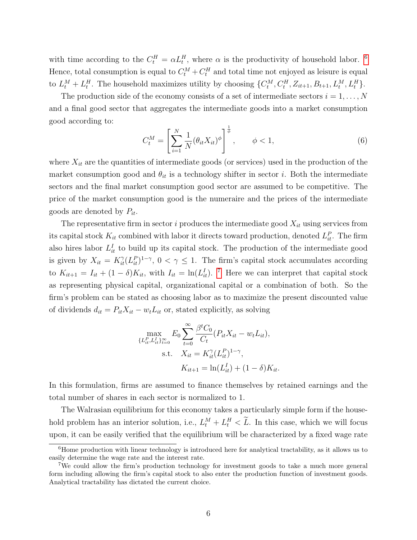with time according to the  $C_t^H = \alpha L_t^H$ , where  $\alpha$  is the productivity of household labor. <sup>[6](#page-7-0)</sup> Hence, total consumption is equal to  $C_t^M + C_t^H$  and total time not enjoyed as leisure is equal to  $L_t^M + L_t^H$ . The household maximizes utility by choosing  $\{C_t^M, C_t^H, Z_{it+1}, B_{t+1}, L_t^M, L_t^H\}$ .

The production side of the economy consists of a set of intermediate sectors  $i = 1, \ldots, N$ and a final good sector that aggregates the intermediate goods into a market consumption good according to:

$$
C_t^M = \left[ \sum_{i=1}^N \frac{1}{N} (\theta_{it} X_{it})^{\phi} \right]^{\frac{1}{\phi}}, \qquad \phi < 1,
$$
 (6)

where  $X_{it}$  are the quantities of intermediate goods (or services) used in the production of the market consumption good and  $\theta_{it}$  is a technology shifter in sector i. Both the intermediate sectors and the final market consumption good sector are assumed to be competitive. The price of the market consumption good is the numeraire and the prices of the intermediate goods are denoted by  $P_{it}$ .

The representative firm in sector i produces the intermediate good  $X_{it}$  using services from its capital stock  $K_{it}$  combined with labor it directs toward production, denoted  $L_{it}^P$ . The firm also hires labor  $L_{it}^{I}$  to build up its capital stock. The production of the intermediate good is given by  $X_{it} = K_{it}^{\gamma} (L_{it}^P)^{1-\gamma}$ ,  $0 < \gamma \leq 1$ . The firm's capital stock accumulates according to  $K_{it+1} = I_{it} + (1 - \delta)K_{it}$ , with  $I_{it} = \ln(L_{it}^I)$ . <sup>[7](#page-7-1)</sup> Here we can interpret that capital stock as representing physical capital, organizational capital or a combination of both. So the firm's problem can be stated as choosing labor as to maximize the present discounted value of dividends  $d_{it} = P_{it}X_{it} - w_tL_{it}$  or, stated explicitly, as solving

$$
\max_{\{L_{it}^P, L_{it}^I\}_{t=0}^{\infty}} E_0 \sum_{t=0}^{\infty} \frac{\beta^t C_0}{C_t} (P_{it} X_{it} - w_t L_{it}),
$$
  
s.t.  $X_{it} = K_{it}^{\gamma} (L_{it}^P)^{1-\gamma},$   
 $K_{it+1} = \ln(L_{it}^I) + (1 - \delta) K_{it}.$ 

In this formulation, firms are assumed to finance themselves by retained earnings and the total number of shares in each sector is normalized to 1.

The Walrasian equilibrium for this economy takes a particularly simple form if the household problem has an interior solution, i.e.,  $L_t^M + L_t^H < \tilde{L}$ . In this case, which we will focus upon, it can be easily verified that the equilibrium will be characterized by a fixed wage rate

<span id="page-7-0"></span> ${}^{6}$ Home production with linear technology is introduced here for analytical tractability, as it allows us to easily determine the wage rate and the interest rate.

<span id="page-7-1"></span><sup>7</sup>We could allow the firm's production technology for investment goods to take a much more general form including allowing the firm's capital stock to also enter the production function of investment goods. Analytical tractability has dictated the current choice.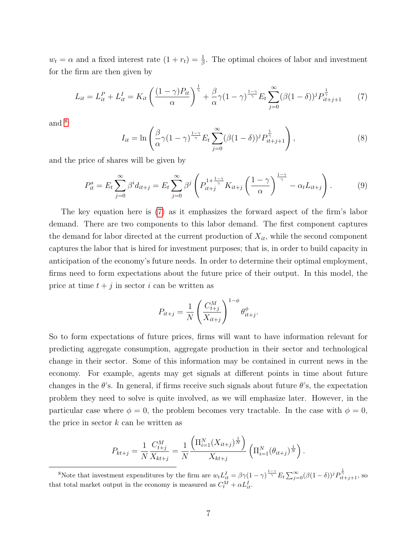$w_t = \alpha$  and a fixed interest rate  $(1 + r_t) = \frac{1}{\beta}$ . The optimal choices of labor and investment for the firm are then given by

<span id="page-8-1"></span>
$$
L_{it} = L_{it}^{P} + L_{it}^{I} = K_{it} \left( \frac{(1 - \gamma)P_{it}}{\alpha} \right)^{\frac{1}{\gamma}} + \frac{\beta}{\alpha} \gamma (1 - \gamma)^{\frac{1 - \gamma}{\gamma}} E_{t} \sum_{j=0}^{\infty} (\beta (1 - \delta))^{j} P_{it+j+1}^{\frac{1}{\gamma}}
$$
(7)

and  $8$ 

$$
I_{it} = \ln\left(\frac{\beta}{\alpha}\gamma(1-\gamma)^{\frac{1-\gamma}{\gamma}}E_t\sum_{j=0}^{\infty}(\beta(1-\delta))^j P_{it+j+1}^{\frac{1}{\gamma}}\right),\tag{8}
$$

and the price of shares will be given by

$$
P_{it}^{s} = E_{t} \sum_{j=0}^{\infty} \beta^{i} d_{it+j} = E_{t} \sum_{j=0}^{\infty} \beta^{j} \left( P_{it+j}^{1+\frac{1-\gamma}{\gamma}} K_{it+j} \left( \frac{1-\gamma}{\alpha} \right)^{\frac{1-\gamma}{\gamma}} - \alpha_{t} L_{it+j} \right).
$$
 (9)

The key equation here is [\(7\)](#page-8-1) as it emphasizes the forward aspect of the firm's labor demand. There are two components to this labor demand. The first component captures the demand for labor directed at the current production of  $X_{it}$ , while the second component captures the labor that is hired for investment purposes; that is, in order to build capacity in anticipation of the economy's future needs. In order to determine their optimal employment, firms need to form expectations about the future price of their output. In this model, the price at time  $t + j$  in sector i can be written as

$$
P_{it+j} = \frac{1}{N} \left( \frac{C_{t+j}^{M}}{X_{it+j}} \right)^{1-\phi} \theta_{it+j}^{\phi}.
$$

So to form expectations of future prices, firms will want to have information relevant for predicting aggregate consumption, aggregate production in their sector and technological change in their sector. Some of this information may be contained in current news in the economy. For example, agents may get signals at different points in time about future changes in the  $\theta$ 's. In general, if firms receive such signals about future  $\theta$ 's, the expectation problem they need to solve is quite involved, as we will emphasize later. However, in the particular case where  $\phi = 0$ , the problem becomes very tractable. In the case with  $\phi = 0$ , the price in sector  $k$  can be written as

$$
P_{kt+j} = \frac{1}{N} \frac{C_{t+j}^M}{X_{kt+j}} = \frac{1}{N} \frac{\left(\Pi_{i=1}^N (X_{it+j})^{\frac{1}{N}}\right)}{X_{kt+j}} \left(\Pi_{i=1}^N (\theta_{it+j})^{\frac{1}{N}}\right).
$$

<span id="page-8-0"></span><sup>&</sup>lt;sup>8</sup>Note that investment expenditures by the firm are  $w_t L_{it}^I = \beta \gamma (1 - \gamma)^{\frac{1-\gamma}{\gamma}} E_t \sum_{j=0}^{\infty} (\beta (1 - \delta))^j P_{it+j+1}^{\frac{1}{\gamma}}$ , so that total market output in the economy is measured as  $C_t^M + \alpha L_{it}^I$ .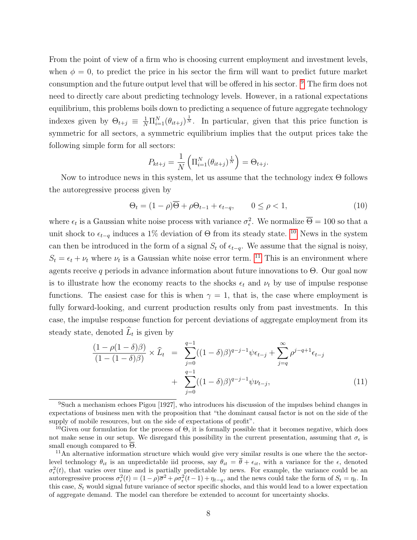From the point of view of a firm who is choosing current employment and investment levels, when  $\phi = 0$ , to predict the price in his sector the firm will want to predict future market consumption and the future output level that will be offered in his sector. [9](#page-9-0) The firm does not need to directly care about predicting technology levels. However, in a rational expectations equilibrium, this problems boils down to predicting a sequence of future aggregate technology indexes given by  $\Theta_{t+j} \equiv \frac{1}{N} \prod_{i=1}^N (\theta_{it+j})^{\frac{1}{N}}$ . In particular, given that this price function is symmetric for all sectors, a symmetric equilibrium implies that the output prices take the following simple form for all sectors:

$$
P_{kt+j} = \frac{1}{N} \left( \Pi_{i=1}^{N} (\theta_{it+j})^{\frac{1}{N}} \right) = \Theta_{t+j}.
$$

Now to introduce news in this system, let us assume that the technology index Θ follows the autoregressive process given by

$$
\Theta_t = (1 - \rho)\overline{\Theta} + \rho \Theta_{t-1} + \epsilon_{t-q}, \qquad 0 \le \rho < 1,\tag{10}
$$

where  $\epsilon_t$  is a Gaussian white noise process with variance  $\sigma_{\epsilon}^2$ . We normalize  $\overline{\Theta} = 100$  so that a unit shock to  $\epsilon_{t-q}$  induces a 1% deviation of  $\Theta$  from its steady state. <sup>[10](#page-9-1)</sup> News in the system can then be introduced in the form of a signal  $S_t$  of  $\epsilon_{t-q}$ . We assume that the signal is noisy,  $S_t = \epsilon_t + \nu_t$  where  $\nu_t$  is a Gaussian white noise error term. <sup>[11](#page-9-2)</sup> This is an environment where agents receive q periods in advance information about future innovations to  $\Theta$ . Our goal now is to illustrate how the economy reacts to the shocks  $\epsilon_t$  and  $\nu_t$  by use of impulse response functions. The easiest case for this is when  $\gamma = 1$ , that is, the case where employment is fully forward-looking, and current production results only from past investments. In this case, the impulse response function for percent deviations of aggregate employment from its steady state, denoted  $L_t$  is given by

<span id="page-9-3"></span>
$$
\frac{(1 - \rho(1 - \delta)\beta)}{(1 - (1 - \delta)\beta)} \times \widehat{L}_t = \sum_{j=0}^{q-1} ((1 - \delta)\beta)^{q-j-1} \psi \epsilon_{t-j} + \sum_{j=q}^{\infty} \rho^{j-q+1} \epsilon_{t-j} + \sum_{j=0}^{q-1} ((1 - \delta)\beta)^{q-j-1} \psi \nu_{t-j},
$$
\n(11)

<span id="page-9-0"></span><sup>9</sup>Such a mechanism echoes Pigou [1927], who introduces his discussion of the impulses behind changes in expectations of business men with the proposition that "the dominant causal factor is not on the side of the supply of mobile resources, but on the side of expectations of profit".

<span id="page-9-1"></span><sup>&</sup>lt;sup>10</sup>Given our formulation for the process of  $\Theta$ , it is formally possible that it becomes negative, which does not make sense in our setup. We disregard this possibility in the current presentation, assuming that  $\sigma_{\epsilon}$  is small enough compared to  $\overline{\Theta}$ .

<span id="page-9-2"></span><sup>&</sup>lt;sup>11</sup>An alternative information structure which would give very similar results is one where the the sectorlevel technology  $\theta_{it}$  is an unpredictable iid process, say  $\theta_{it} = \overline{\theta} + \epsilon_{it}$ , with a variance for the  $\epsilon$ , denoted  $\sigma_{\epsilon}^{2}(t)$ , that varies over time and is partially predictable by news. For example, the variance could be an autoregressive process  $\sigma_{\epsilon}^2(t) = (1 - \rho)\overline{\sigma}^2 + \rho \sigma_{\epsilon}^2(t-1) + \eta_{t-q}$ , and the news could take the form of  $S_t = \eta_t$ . In this case,  $S_t$  would signal future variance of sector specific shocks, and this would lead to a lower expectation of aggregate demand. The model can therefore be extended to account for uncertainty shocks.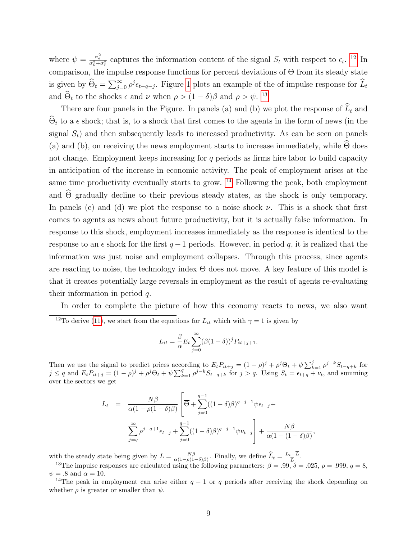where  $\psi = \frac{\sigma_{\epsilon}^2}{\sigma_{\nu}^2 + \sigma_{\epsilon}^2}$  captures the information content of the signal  $S_t$  with respect to  $\epsilon_t$ . <sup>[12](#page-10-0)</sup> In comparison, the impulse response functions for percent deviations of Θ from its steady state is given by  $\widehat{\Theta}_t = \sum_{j=0}^{\infty} \rho^j \epsilon_{t-q-j}$ . Figure [1](#page-11-0) plots an example of the of impulse response for  $\widehat{L}_t$ and  $\hat{\Theta}_t$  to the shocks  $\epsilon$  and  $\nu$  when  $\rho > (1 - \delta)\beta$  and  $\rho > \psi$ . <sup>[13](#page-10-1)</sup>

There are four panels in the Figure. In panels (a) and (b) we plot the response of  $\widehat{L}_t$  and  $\Theta_t$  to a  $\epsilon$  shock; that is, to a shock that first comes to the agents in the form of news (in the signal  $S_t$ ) and then subsequently leads to increased productivity. As can be seen on panels (a) and (b), on receiving the news employment starts to increase immediately, while  $\Theta$  does not change. Employment keeps increasing for  $q$  periods as firms hire labor to build capacity in anticipation of the increase in economic activity. The peak of employment arises at the same time productivity eventually starts to grow.  $^{14}$  $^{14}$  $^{14}$  Following the peak, both employment and  $\Theta$  gradually decline to their previous steady states, as the shock is only temporary. In panels (c) and (d) we plot the response to a noise shock  $\nu$ . This is a shock that first comes to agents as news about future productivity, but it is actually false information. In response to this shock, employment increases immediately as the response is identical to the response to an  $\epsilon$  shock for the first  $q-1$  periods. However, in period q, it is realized that the information was just noise and employment collapses. Through this process, since agents are reacting to noise, the technology index  $\Theta$  does not move. A key feature of this model is that it creates potentially large reversals in employment as the result of agents re-evaluating their information in period q.

In order to complete the picture of how this economy reacts to news, we also want

$$
L_{it} = \frac{\beta}{\alpha} E_t \sum_{j=0}^{\infty} (\beta (1 - \delta))^j P_{it+j+1}.
$$

Then we use the signal to predict prices according to  $E_t P_{it+j} = (1 - \rho)^j + \rho^j \Theta_t + \psi \sum_{k=1}^j \rho^{j-k} S_{t-q+k}$  for  $j \leq q$  and  $E_t P_{it+j} = (1 - \rho)^j + \rho^j \Theta_t + \psi \sum_{k=1}^q \rho^{j-k} S_{t-q+k}$  for  $j > q$ . Using  $S_t = \epsilon_{t+q} + \nu_t$ , and summing over the sectors we get

$$
L_{t} = \frac{N\beta}{\alpha(1 - \rho(1 - \delta)\beta)} \left[ \overline{\Theta} + \sum_{j=0}^{q-1} ((1 - \delta)\beta)^{q-j-1} \psi \epsilon_{t-j} + \sum_{j=q}^{\infty} \rho^{j-q+1} \epsilon_{t-j} + \sum_{j=0}^{q-1} ((1 - \delta)\beta)^{q-j-1} \psi \nu_{t-j} \right] + \frac{N\beta}{\alpha(1 - (1 - \delta)\beta)}
$$

,

with the steady state being given by  $\overline{L} = \frac{N\beta}{\alpha(1-\rho(1-\delta)\beta)}$ . Finally, we define  $\widehat{L}_t = \frac{L_t - \overline{L}}{\overline{L}}$  $\frac{-L}{\overline{L}}$ .

<span id="page-10-1"></span><sup>13</sup>The impulse responses are calculated using the following parameters:  $\beta = .99, \delta = .025, \rho = .999, q = 8,$  $\psi = .8$  and  $\alpha = 10$ .

<span id="page-10-2"></span><sup>14</sup>The peak in employment can arise either  $q - 1$  or q periods after receiving the shock depending on whether  $\rho$  is greater or smaller than  $\psi$ .

<span id="page-10-0"></span><sup>&</sup>lt;sup>12</sup>To derive [\(11\)](#page-9-3), we start from the equations for  $L_{it}$  which with  $\gamma = 1$  is given by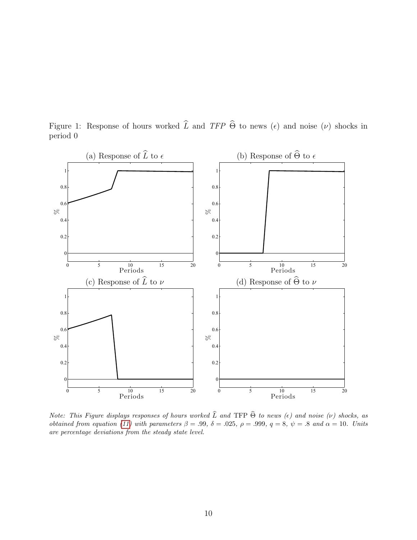

<span id="page-11-0"></span>Figure 1: Response of hours worked  $\widehat{L}$  and TFP  $\widehat{\Theta}$  to news ( $\epsilon$ ) and noise ( $\nu$ ) shocks in period 0

Note: This Figure displays responses of hours worked  $\widehat{L}$  and TFP  $\widehat{\Theta}$  to news ( $\epsilon$ ) and noise ( $\nu$ ) shocks, as obtained from equation [\(11\)](#page-9-3) with parameters  $\beta = .99, \delta = .025, \rho = .999, q = 8, \psi = .8$  and  $\alpha = 10$ . Units are percentage deviations from the steady state level.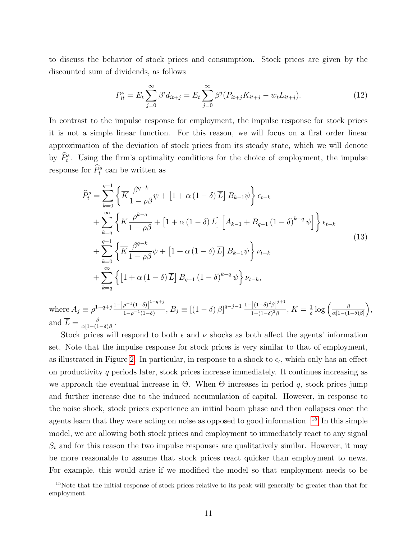to discuss the behavior of stock prices and consumption. Stock prices are given by the discounted sum of dividends, as follows

$$
P_{it}^{s} = E_{t} \sum_{j=0}^{\infty} \beta^{i} d_{it+j} = E_{t} \sum_{j=0}^{\infty} \beta^{j} (P_{it+j} K_{it+j} - w_{t} L_{it+j}). \tag{12}
$$

In contrast to the impulse response for employment, the impulse response for stock prices it is not a simple linear function. For this reason, we will focus on a first order linear approximation of the deviation of stock prices from its steady state, which we will denote by  $\hat{P}_t^s$ . Using the firm's optimality conditions for the choice of employment, the impulse response for  $\widehat{P}_t^s$  can be written as

<span id="page-12-1"></span>
$$
\widehat{P}_{t}^{s} = \sum_{k=0}^{q-1} \left\{ \overline{K} \frac{\beta^{q-k}}{1 - \rho \beta} \psi + \left[ 1 + \alpha \left( 1 - \delta \right) \overline{L} \right] B_{k-1} \psi \right\} \epsilon_{t-k} \n+ \sum_{k=q}^{\infty} \left\{ \overline{K} \frac{\rho^{k-q}}{1 - \rho \beta} + \left[ 1 + \alpha \left( 1 - \delta \right) \overline{L} \right] \left[ A_{k-1} + B_{q-1} \left( 1 - \delta \right)^{k-q} \psi \right] \right\} \epsilon_{t-k} \n+ \sum_{k=0}^{q-1} \left\{ \overline{K} \frac{\beta^{q-k}}{1 - \rho \beta} \psi + \left[ 1 + \alpha \left( 1 - \delta \right) \overline{L} \right] B_{k-1} \psi \right\} \nu_{t-k} \n+ \sum_{k=q}^{\infty} \left\{ \left[ 1 + \alpha \left( 1 - \delta \right) \overline{L} \right] B_{q-1} \left( 1 - \delta \right)^{k-q} \psi \right\} \nu_{t-k},
$$
\n(13)

where  $A_j \equiv \rho^{1-q+j} \frac{1-\left[\rho^{-1}(1-\delta)\right]^{1-q+j}}{1-\rho^{-1}(1-\delta)}$  $\frac{\left[\rho^{-1}(1-\delta)\right]^{1-q+j}}{1-\rho^{-1}(1-\delta)}, B_j \equiv \left[(1-\delta)\beta\right]^{q-j-1} \frac{1-\left[(1-\delta)^2\beta\right]^{j+1}}{1-(1-\delta)^2\beta}$  $\frac{1}{1-(1-\delta)^2\beta}$ ,  $\overline{K}=\frac{1}{\delta}$  $\frac{1}{\delta} \log \left( \frac{\beta}{\alpha \left\lceil 1 - (1-\right) \right\rceil} \right)$  $\frac{\beta}{\alpha[1-(1-\delta)\beta]},$ and  $\overline{L} = \frac{\beta}{\alpha \left(1 - \frac{1}{\alpha}\right)}$  $\frac{\beta}{\alpha[1-(1-\delta)\beta]}$ .

Stock prices will respond to both  $\epsilon$  and  $\nu$  shocks as both affect the agents' information set. Note that the impulse response for stock prices is very similar to that of employment, as illustrated in Figure [2.](#page-13-0) In particular, in response to a shock to  $\epsilon_t$ , which only has an effect on productivity q periods later, stock prices increase immediately. It continues increasing as we approach the eventual increase in  $\Theta$ . When  $\Theta$  increases in period q, stock prices jump and further increase due to the induced accumulation of capital. However, in response to the noise shock, stock prices experience an initial boom phase and then collapses once the agents learn that they were acting on noise as opposed to good information. [15](#page-12-0) In this simple model, we are allowing both stock prices and employment to immediately react to any signal  $S_t$  and for this reason the two impulse responses are qualitatively similar. However, it may be more reasonable to assume that stock prices react quicker than employment to news. For example, this would arise if we modified the model so that employment needs to be

<span id="page-12-0"></span><sup>&</sup>lt;sup>15</sup>Note that the initial response of stock prices relative to its peak will generally be greater than that for employment.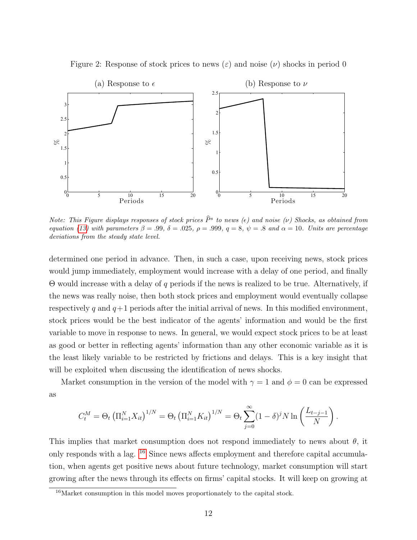

<span id="page-13-0"></span>Figure 2: Response of stock prices to news  $(\varepsilon)$  and noise  $(\nu)$  shocks in period 0

Note: This Figure displays responses of stock prices  $\widehat{P}^s$  to news (e) and noise (ν) Shocks, as obtained from equation [\(13\)](#page-12-1) with parameters  $\beta = .99, \delta = .025, \rho = .999, q = 8, \psi = .8$  and  $\alpha = 10$ . Units are percentage deviations from the steady state level.

determined one period in advance. Then, in such a case, upon receiving news, stock prices would jump immediately, employment would increase with a delay of one period, and finally Θ would increase with a delay of q periods if the news is realized to be true. Alternatively, if the news was really noise, then both stock prices and employment would eventually collapse respectively q and  $q+1$  periods after the initial arrival of news. In this modified environment, stock prices would be the best indicator of the agents' information and would be the first variable to move in response to news. In general, we would expect stock prices to be at least as good or better in reflecting agents' information than any other economic variable as it is the least likely variable to be restricted by frictions and delays. This is a key insight that will be exploited when discussing the identification of news shocks.

Market consumption in the version of the model with  $\gamma = 1$  and  $\phi = 0$  can be expressed as

$$
C_t^M = \Theta_t \left( \prod_{i=1}^N X_{it} \right)^{1/N} = \Theta_t \left( \prod_{i=1}^N K_{it} \right)^{1/N} = \Theta_t \sum_{j=0}^\infty (1 - \delta)^j N \ln \left( \frac{L_{t-j-1}}{N} \right).
$$

This implies that market consumption does not respond immediately to news about  $\theta$ , it only responds with a lag. [16](#page-13-1) Since news affects employment and therefore capital accumulation, when agents get positive news about future technology, market consumption will start growing after the news through its effects on firms' capital stocks. It will keep on growing at

<span id="page-13-1"></span><sup>&</sup>lt;sup>16</sup>Market consumption in this model moves proportionately to the capital stock.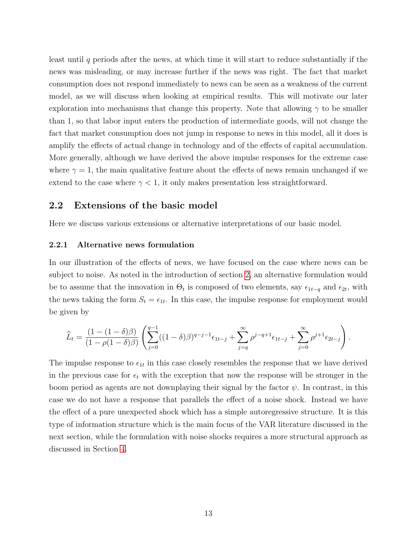least until  $q$  periods after the news, at which time it will start to reduce substantially if the news was misleading, or may increase further if the news was right. The fact that market consumption does not respond immediately to news can be seen as a weakness of the current model, as we will discuss when looking at empirical results. This will motivate our later exploration into mechanisms that change this property. Note that allowing  $\gamma$  to be smaller than 1, so that labor input enters the production of intermediate goods, will not change the fact that market consumption does not jump in response to news in this model, all it does is amplify the effects of actual change in technology and of the effects of capital accumulation. More generally, although we have derived the above impulse responses for the extreme case where  $\gamma = 1$ , the main qualitative feature about the effects of news remain unchanged if we extend to the case where  $\gamma < 1$ , it only makes presentation less straightforward.

### 2.2 Extensions of the basic model

Here we discuss various extensions or alternative interpretations of our basic model.

#### 2.2.1 Alternative news formulation

In our illustration of the effects of news, we have focused on the case where news can be subject to noise. As noted in the introduction of section [2,](#page-4-1) an alternative formulation would be to assume that the innovation in  $\Theta_t$  is composed of two elements, say  $\epsilon_{1t-q}$  and  $\epsilon_{2t}$ , with the news taking the form  $S_t = \epsilon_{1t}$ . In this case, the impulse response for employment would be given by

$$
\widehat{L}_t = \frac{(1 - (1 - \delta)\beta)}{(1 - \rho(1 - \delta)\beta)} \left( \sum_{j=0}^{q-1} ((1 - \delta)\beta)^{q-j-1} \epsilon_{1t-j} + \sum_{j=q}^{\infty} \rho^{j-q+1} \epsilon_{1t-j} + \sum_{j=0}^{\infty} \rho^{j+1} \epsilon_{2t-j} \right).
$$

The impulse response to  $\epsilon_{1t}$  in this case closely resembles the response that we have derived in the previous case for  $\epsilon_t$  with the exception that now the response will be stronger in the boom period as agents are not downplaying their signal by the factor  $\psi$ . In contrast, in this case we do not have a response that parallels the effect of a noise shock. Instead we have the effect of a pure unexpected shock which has a simple autoregressive structure. It is this type of information structure which is the main focus of the VAR literature discussed in the next section, while the formulation with noise shocks requires a more structural approach as discussed in Section [4.](#page-58-0)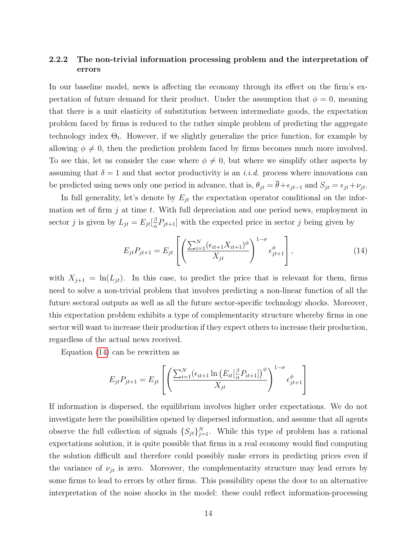### 2.2.2 The non-trivial information processing problem and the interpretation of errors

In our baseline model, news is affecting the economy through its effect on the firm's expectation of future demand for their product. Under the assumption that  $\phi = 0$ , meaning that there is a unit elasticity of substitution between intermediate goods, the expectation problem faced by firms is reduced to the rather simple problem of predicting the aggregate technology index  $\Theta_t$ . However, if we slightly generalize the price function, for example by allowing  $\phi \neq 0$ , then the prediction problem faced by firms becomes much more involved. To see this, let us consider the case where  $\phi \neq 0$ , but where we simplify other aspects by assuming that  $\delta = 1$  and that sector productivity is an i.i.d. process where innovations can be predicted using news only one period in advance, that is,  $\theta_{jt} = \overline{\theta} + \epsilon_{jt-1}$  and  $S_{jt} = \epsilon_{jt} + \nu_{jt}$ .

In full generality, let's denote by  $E_{jt}$  the expectation operator conditional on the information set of firm  $j$  at time  $t$ . With full depreciation and one period news, employment in sector *j* is given by  $L_{jt} = E_{jt} \left[\frac{\beta}{\alpha}\right]$  $\frac{\beta}{\alpha}P_{jt+1}$  with the expected price in sector j being given by

<span id="page-15-0"></span>
$$
E_{jt}P_{jt+1} = E_{jt} \left[ \left( \frac{\sum_{i=1}^{N} (\epsilon_{it+1} X_{it+1})^{\phi}}{X_{jt}} \right)^{1-\sigma} \epsilon_{jt+1}^{\phi} \right],
$$
 (14)

with  $X_{j+1} = \ln(L_{jt})$ . In this case, to predict the price that is relevant for them, firms need to solve a non-trivial problem that involves predicting a non-linear function of all the future sectoral outputs as well as all the future sector-specific technology shocks. Moreover, this expectation problem exhibits a type of complementarity structure whereby firms in one sector will want to increase their production if they expect others to increase their production, regardless of the actual news received.

Equation [\(14\)](#page-15-0) can be rewritten as

$$
E_{jt}P_{jt+1} = E_{jt} \left[ \left( \frac{\sum_{i=1}^{N} (\epsilon_{it+1} \ln \left( E_{it} \left[ \frac{\beta}{\alpha} P_{it+1} \right] \right)^{\phi}}{X_{jt}} \right)^{1-\sigma} \epsilon_{jt+1}^{\phi} \right]
$$

If information is dispersed, the equilibrium involves higher order expectations. We do not investigate here the possibilities opened by dispersed information, and assume that all agents observe the full collection of signals  $\{S_{jt}\}_{j=1}^N$ . While this type of problem has a rational expectations solution, it is quite possible that firms in a real economy would find computing the solution difficult and therefore could possibly make errors in predicting prices even if the variance of  $\nu_{jt}$  is zero. Moreover, the complementarity structure may lead errors by some firms to lead to errors by other firms. This possibility opens the door to an alternative interpretation of the noise shocks in the model: these could reflect information-processing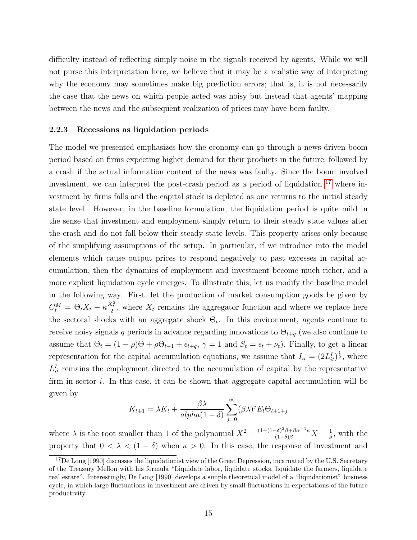difficulty instead of reflecting simply noise in the signals received by agents. While we will not purse this interpretation here, we believe that it may be a realistic way of interpreting why the economy may sometimes make big prediction errors; that is, it is not necessarily the case that the news on which people acted was noisy but instead that agents' mapping between the news and the subsequent realization of prices may have been faulty.

#### 2.2.3 Recessions as liquidation periods

The model we presented emphasizes how the economy can go through a news-driven boom period based on firms expecting higher demand for their products in the future, followed by a crash if the actual information content of the news was faulty. Since the boom involved investment, we can interpret the post-crash period as a period of liquidation [17](#page-16-0) where investment by firms falls and the capital stock is depleted as one returns to the initial steady state level. However, in the baseline formulation, the liquidation period is quite mild in the sense that investment and employment simply return to their steady state values after the crash and do not fall below their steady state levels. This property arises only because of the simplifying assumptions of the setup. In particular, if we introduce into the model elements which cause output prices to respond negatively to past excesses in capital accumulation, then the dynamics of employment and investment become much richer, and a more explicit liquidation cycle emerges. To illustrate this, let us modify the baseline model in the following way. First, let the production of market consumption goods be given by  $C_t^M = \Theta_t X_t - \kappa \frac{X_t^2}{2}$ , where  $X_t$  remains the aggregator function and where we replace here the sectoral shocks with an aggregate shock  $\Theta_t$ . In this environment, agents continue to receive noisy signals q periods in advance regarding innovations to  $\Theta_{t+q}$  (we also continue to assume that  $\Theta_t = (1 - \rho)\overline{\Theta} + \rho \Theta_{t-1} + \epsilon_{t+q}, \gamma = 1$  and  $S_t = \epsilon_t + \nu_t$ ). Finally, to get a linear representation for the capital accumulation equations, we assume that  $I_{it} = (2L_{it}^I)^{\frac{1}{2}}$ , where  $L_{it}^{I}$  remains the employment directed to the accumulation of capital by the representative firm in sector i. In this case, it can be shown that aggregate capital accumulation will be given by

$$
K_{t+1} = \lambda K_t + \frac{\beta \lambda}{alpha(1-\delta)} \sum_{j=0}^{\infty} (\beta \lambda)^j E_t \Theta_{t+1+j}
$$

where  $\lambda$  is the root smaller than 1 of the polynomial  $X^2 - \frac{(1+(1-\delta)^2)\beta + \beta\alpha^{-1}\kappa}{(1-\delta)\beta}X + \frac{1}{\beta}$  $\frac{1}{\beta}$ , with the property that  $0 < \lambda < (1 - \delta)$  when  $\kappa > 0$ . In this case, the response of investment and

<span id="page-16-0"></span><sup>&</sup>lt;sup>17</sup>De Long [1990] discusses the liquidationist view of the Great Depression, incarnated by the U.S. Secretary of the Treasury Mellon with his formula "Liquidate labor, liquidate stocks, liquidate the farmers, liquidate real estate". Interestingly, De Long [1990] develops a simple theoretical model of a "liquidationist" business cycle, in which large fluctuations in investment are driven by small fluctuations in expectations of the future productivity.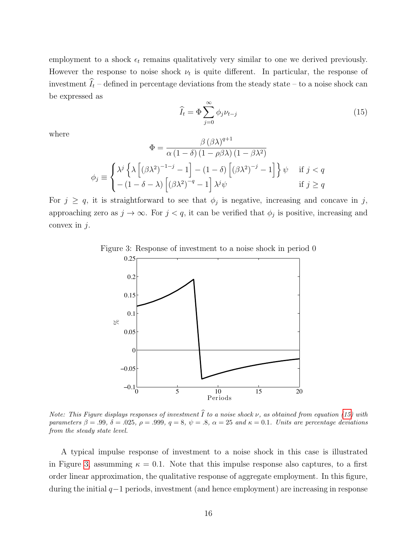employment to a shock  $\epsilon_t$  remains qualitatively very similar to one we derived previously. However the response to noise shock  $\nu_t$  is quite different. In particular, the response of investment  $\widehat{I}_t$  – defined in percentage deviations from the steady state – to a noise shock can be expressed as

<span id="page-17-0"></span>
$$
\widehat{I}_t = \Phi \sum_{j=0}^{\infty} \phi_j \nu_{t-j} \tag{15}
$$

where

$$
\Phi = \frac{\beta (\beta \lambda)^{q+1}}{\alpha (1 - \delta) (1 - \rho \beta \lambda) (1 - \beta \lambda^2)}
$$

$$
\phi_j \equiv \begin{cases} \lambda^j \left\{ \lambda \left[ (\beta \lambda^2)^{-1-j} - 1 \right] - (1 - \delta) \left[ (\beta \lambda^2)^{-j} - 1 \right] \right\} \psi & \text{if } j < q \\ -(1 - \delta - \lambda) \left[ (\beta \lambda^2)^{-q} - 1 \right] \lambda^j \psi & \text{if } j \ge q \end{cases}
$$

For  $j \ge q$ , it is straightforward to see that  $\phi_j$  is negative, increasing and concave in j, approaching zero as  $j \to \infty$ . For  $j < q$ , it can be verified that  $\phi_j$  is positive, increasing and convex in  $j$ .

<span id="page-17-1"></span>

Figure 3: Response of investment to a noise shock in period 0

Note: This Figure displays responses of investment  $\widehat{I}$  to a noise shock  $\nu$ , as obtained from equation [\(15\)](#page-17-0) with parameters  $\beta = .99, \delta = .025, \rho = .999, q = 8, \psi = .8, \alpha = 25 \text{ and } \kappa = 0.1.$  Units are percentage deviations from the steady state level.

A typical impulse response of investment to a noise shock in this case is illustrated in Figure [3,](#page-17-1) assumming  $\kappa = 0.1$ . Note that this impulse response also captures, to a first order linear approximation, the qualitative response of aggregate employment. In this figure, during the initial q−1 periods, investment (and hence employment) are increasing in response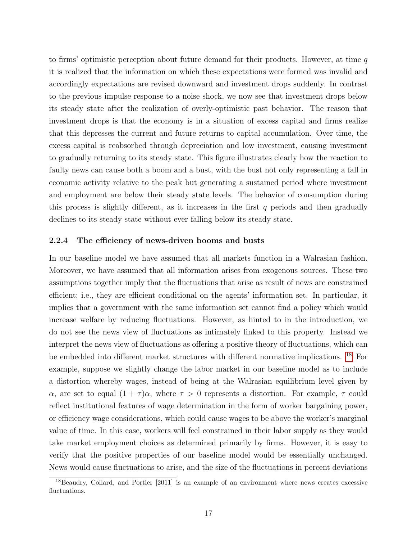to firms' optimistic perception about future demand for their products. However, at time  $q$ it is realized that the information on which these expectations were formed was invalid and accordingly expectations are revised downward and investment drops suddenly. In contrast to the previous impulse response to a noise shock, we now see that investment drops below its steady state after the realization of overly-optimistic past behavior. The reason that investment drops is that the economy is in a situation of excess capital and firms realize that this depresses the current and future returns to capital accumulation. Over time, the excess capital is reabsorbed through depreciation and low investment, causing investment to gradually returning to its steady state. This figure illustrates clearly how the reaction to faulty news can cause both a boom and a bust, with the bust not only representing a fall in economic activity relative to the peak but generating a sustained period where investment and employment are below their steady state levels. The behavior of consumption during this process is slightly different, as it increases in the first  $q$  periods and then gradually declines to its steady state without ever falling below its steady state.

#### 2.2.4 The efficiency of news-driven booms and busts

In our baseline model we have assumed that all markets function in a Walrasian fashion. Moreover, we have assumed that all information arises from exogenous sources. These two assumptions together imply that the fluctuations that arise as result of news are constrained efficient; i.e., they are efficient conditional on the agents' information set. In particular, it implies that a government with the same information set cannot find a policy which would increase welfare by reducing fluctuations. However, as hinted to in the introduction, we do not see the news view of fluctuations as intimately linked to this property. Instead we interpret the news view of fluctuations as offering a positive theory of fluctuations, which can be embedded into different market structures with different normative implications. [18](#page-18-0) For example, suppose we slightly change the labor market in our baseline model as to include a distortion whereby wages, instead of being at the Walrasian equilibrium level given by α, are set to equal  $(1 + \tau)\alpha$ , where  $\tau > 0$  represents a distortion. For example,  $\tau$  could reflect institutional features of wage determination in the form of worker bargaining power, or efficiency wage considerations, which could cause wages to be above the worker's marginal value of time. In this case, workers will feel constrained in their labor supply as they would take market employment choices as determined primarily by firms. However, it is easy to verify that the positive properties of our baseline model would be essentially unchanged. News would cause fluctuations to arise, and the size of the fluctuations in percent deviations

<span id="page-18-0"></span> $18$ Beaudry, Collard, and Portier  $[2011]$  is an example of an environment where news creates excessive fluctuations.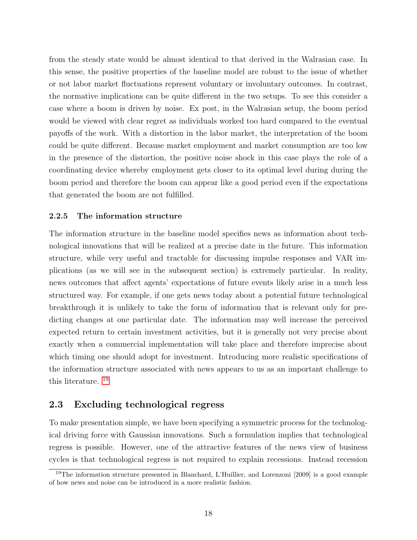from the steady state would be almost identical to that derived in the Walrasian case. In this sense, the positive properties of the baseline model are robust to the issue of whether or not labor market fluctuations represent voluntary or involuntary outcomes. In contrast, the normative implications can be quite different in the two setups. To see this consider a case where a boom is driven by noise. Ex post, in the Walrasian setup, the boom period would be viewed with clear regret as individuals worked too hard compared to the eventual payoffs of the work. With a distortion in the labor market, the interpretation of the boom could be quite different. Because market employment and market consumption are too low in the presence of the distortion, the positive noise shock in this case plays the role of a coordinating device whereby employment gets closer to its optimal level during during the boom period and therefore the boom can appear like a good period even if the expectations that generated the boom are not fulfilled.

#### 2.2.5 The information structure

The information structure in the baseline model specifies news as information about technological innovations that will be realized at a precise date in the future. This information structure, while very useful and tractable for discussing impulse responses and VAR implications (as we will see in the subsequent section) is extremely particular. In reality, news outcomes that affect agents' expectations of future events likely arise in a much less structured way. For example, if one gets news today about a potential future technological breakthrough it is unlikely to take the form of information that is relevant only for predicting changes at one particular date. The information may well increase the perceived expected return to certain investment activities, but it is generally not very precise about exactly when a commercial implementation will take place and therefore imprecise about which timing one should adopt for investment. Introducing more realistic specifications of the information structure associated with news appears to us as an important challenge to this literature. [19](#page-19-0)

### 2.3 Excluding technological regress

To make presentation simple, we have been specifying a symmetric process for the technological driving force with Gaussian innovations. Such a formulation implies that technological regress is possible. However, one of the attractive features of the news view of business cycles is that technological regress is not required to explain recessions. Instead recession

<span id="page-19-0"></span><sup>19</sup>The information structure presented in Blanchard, L'Huillier, and Lorenzoni [2009] is a good example of how news and noise can be introduced in a more realistic fashion.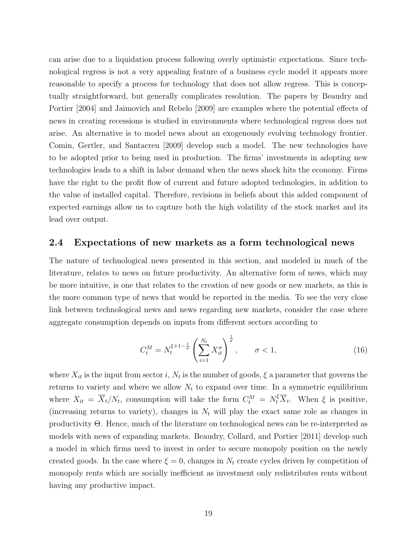can arise due to a liquidation process following overly optimistic expectations. Since technological regress is not a very appealing feature of a business cycle model it appears more reasonable to specify a process for technology that does not allow regress. This is conceptually straightforward, but generally complicates resolution. The papers by Beaudry and Portier [2004] and Jaimovich and Rebelo [2009] are examples where the potential effects of news in creating recessions is studied in environments where technological regress does not arise. An alternative is to model news about an exogenously evolving technology frontier. Comin, Gertler, and Santacreu [2009] develop such a model. The new technologies have to be adopted prior to being used in production. The firms' investments in adopting new technologies leads to a shift in labor demand when the news shock hits the economy. Firms have the right to the profit flow of current and future adopted technologies, in addition to the value of installed capital. Therefore, revisions in beliefs about this added component of expected earnings allow us to capture both the high volatility of the stock market and its lead over output.

#### 2.4 Expectations of new markets as a form technological news

The nature of technological news presented in this section, and modeled in much of the literature, relates to news on future productivity. An alternative form of news, which may be more intuitive, is one that relates to the creation of new goods or new markets, as this is the more common type of news that would be reported in the media. To see the very close link between technological news and news regarding new markets, consider the case where aggregate consumption depends on inputs from different sectors according to

$$
C_t^M = N_t^{\xi+1-\frac{1}{\sigma}} \left( \sum_{i=1}^{N_t} X_{it}^{\sigma} \right)^{\frac{1}{\sigma}}, \qquad \sigma < 1,
$$
 (16)

where  $X_{it}$  is the input from sector i,  $N_t$  is the number of goods,  $\xi$  a parameter that governs the returns to variety and where we allow  $N_t$  to expand over time. In a symmetric equilibrium where  $X_{it} = \overline{X}_t/N_t$ , consumption will take the form  $C_t^M = N_t^{\xi} \overline{X}_t$ . When  $\xi$  is positive, (increasing returns to variety), changes in  $N_t$  will play the exact same role as changes in productivity Θ. Hence, much of the literature on technological news can be re-interpreted as models with news of expanding markets. Beaudry, Collard, and Portier [2011] develop such a model in which firms need to invest in order to secure monopoly position on the newly created goods. In the case where  $\xi = 0$ , changes in  $N_t$  create cycles driven by competition of monopoly rents which are socially inefficient as investment only redistributes rents without having any productive impact.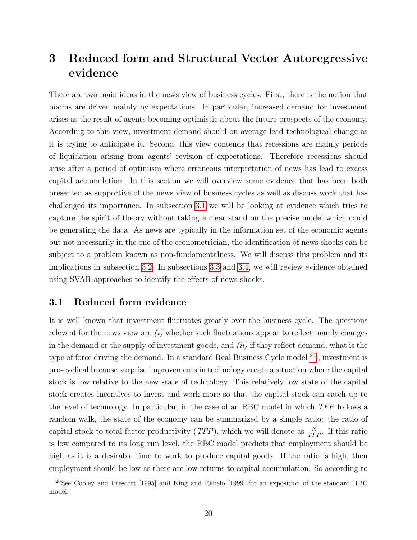# <span id="page-21-0"></span>3 Reduced form and Structural Vector Autoregressive evidence

There are two main ideas in the news view of business cycles. First, there is the notion that booms are driven mainly by expectations. In particular, increased demand for investment arises as the result of agents becoming optimistic about the future prospects of the economy. According to this view, investment demand should on average lead technological change as it is trying to anticipate it. Second, this view contends that recessions are mainly periods of liquidation arising from agents' revision of expectations. Therefore recessions should arise after a period of optimism where erroneous interpretation of news has lead to excess capital accumulation. In this section we will overview some evidence that has been both presented as supportive of the news view of business cycles as well as discuss work that has challenged its importance. In subsection [3.1](#page-21-1) we will be looking at evidence which tries to capture the spirit of theory without taking a clear stand on the precise model which could be generating the data. As news are typically in the information set of the economic agents but not necessarily in the one of the econometrician, the identification of news shocks can be subject to a problem known as non-fundamentalness. We will discuss this problem and its implications in subsection [3.2.](#page-26-0) In subsections [3.3](#page-37-0) and [3.4,](#page-55-0) we will review evidence obtained using SVAR approaches to identify the effects of news shocks.

### <span id="page-21-1"></span>3.1 Reduced form evidence

It is well known that investment fluctuates greatly over the business cycle. The questions relevant for the news view are  $(i)$  whether such fluctuations appear to reflect mainly changes in the demand or the supply of investment goods, and  $(ii)$  if they reflect demand, what is the type of force driving the demand. In a standard Real Business Cycle model <sup>[20](#page-21-2)</sup>, investment is pro-cyclical because surprise improvements in technology create a situation where the capital stock is low relative to the new state of technology. This relatively low state of the capital stock creates incentives to invest and work more so that the capital stock can catch up to the level of technology. In particular, in the case of an RBC model in which TFP follows a random walk, the state of the economy can be summarized by a simple ratio: the ratio of capital stock to total factor productivity (*TFP*), which we will denote as  $\frac{K}{TFP}$ . If this ratio is low compared to its long run level, the RBC model predicts that employment should be high as it is a desirable time to work to produce capital goods. If the ratio is high, then employment should be low as there are low returns to capital accumulation. So according to

<span id="page-21-2"></span><sup>&</sup>lt;sup>20</sup>See Cooley and Prescott [1995] and King and Rebelo [1999] for an exposition of the standard RBC model.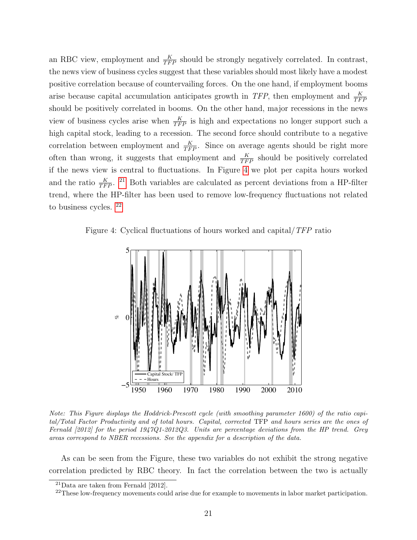an RBC view, employment and  $\frac{K}{TFP}$  should be strongly negatively correlated. In contrast, the news view of business cycles suggest that these variables should most likely have a modest positive correlation because of countervailing forces. On the one hand, if employment booms arise because capital accumulation anticipates growth in TFP, then employment and  $\frac{K}{TFF}$ should be positively correlated in booms. On the other hand, major recessions in the news view of business cycles arise when  $\frac{K}{TFP}$  is high and expectations no longer support such a high capital stock, leading to a recession. The second force should contribute to a negative correlation between employment and  $\frac{K}{TFP}$ . Since on average agents should be right more often than wrong, it suggests that employment and  $\frac{K}{TFP}$  should be positively correlated if the news view is central to fluctuations. In Figure [4](#page-22-0) we plot per capita hours worked and the ratio  $\frac{K}{TFP}$ . <sup>[21](#page-22-1)</sup> Both variables are calculated as percent deviations from a HP-filter trend, where the HP-filter has been used to remove low-frequency fluctuations not related to business cycles. [22](#page-22-2)

Figure 4: Cyclical fluctuations of hours worked and capital/TFP ratio

<span id="page-22-0"></span>

Note: This Figure displays the Hoddrick-Prescott cycle (with smoothing parameter 1600) of the ratio capital/Total Factor Productivity and of total hours. Capital, corrected TFP and hours series are the ones of Fernald [2012] for the period 1947Q1-2012Q3. Units are percentage deviations from the HP trend. Grey areas correspond to NBER recessions. See the appendix for a description of the data.

As can be seen from the Figure, these two variables do not exhibit the strong negative correlation predicted by RBC theory. In fact the correlation between the two is actually

<span id="page-22-1"></span> $^{21}$ Data are taken from Fernald [2012].

<span id="page-22-2"></span> $^{22}$ These low-frequency movements could arise due for example to movements in labor market participation.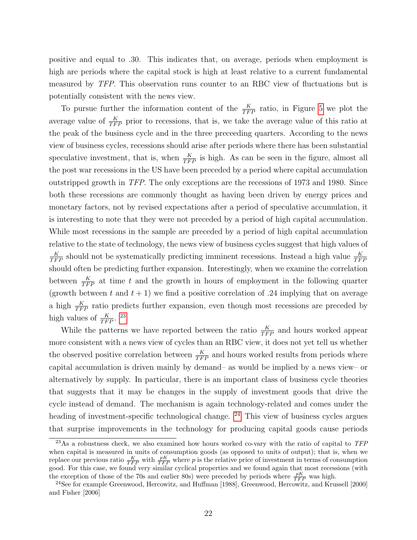positive and equal to .30. This indicates that, on average, periods when employment is high are periods where the capital stock is high at least relative to a current fundamental measured by TFP. This observation runs counter to an RBC view of fluctuations but is potentially consistent with the news view.

To pursue further the information content of the  $\frac{K}{TFP}$  ratio, in Figure [5](#page-24-0) we plot the average value of  $\frac{K}{TFP}$  prior to recessions, that is, we take the average value of this ratio at the peak of the business cycle and in the three preceeding quarters. According to the news view of business cycles, recessions should arise after periods where there has been substantial speculative investment, that is, when  $\frac{K}{TFP}$  is high. As can be seen in the figure, almost all the post war recessions in the US have been preceded by a period where capital accumulation outstripped growth in TFP. The only exceptions are the recessions of 1973 and 1980. Since both these recessions are commonly thought as having been driven by energy prices and monetary factors, not by revised expectations after a period of speculative accumulation, it is interesting to note that they were not preceded by a period of high capital accumulation. While most recessions in the sample are preceded by a period of high capital accumulation relative to the state of technology, the news view of business cycles suggest that high values of  $\frac{K}{TFP}$  should not be systematically predicting imminent recessions. Instead a high value  $\frac{K}{TFP}$ should often be predicting further expansion. Interestingly, when we examine the correlation between  $\frac{K}{TFP}$  at time t and the growth in hours of employment in the following quarter (growth between t and  $t + 1$ ) we find a positive correlation of .24 implying that on average a high  $\frac{K}{TFP}$  ratio predicts further expansion, even though most recessions are preceded by high values of  $\frac{K}{TFP}$ . <sup>[23](#page-23-0)</sup>

While the patterns we have reported between the ratio  $\frac{K}{TFP}$  and hours worked appear more consistent with a news view of cycles than an RBC view, it does not yet tell us whether the observed positive correlation between  $\frac{K}{TFP}$  and hours worked results from periods where capital accumulation is driven mainly by demand– as would be implied by a news view– or alternatively by supply. In particular, there is an important class of business cycle theories that suggests that it may be changes in the supply of investment goods that drive the cycle instead of demand. The mechanism is again technology-related and comes under the heading of investment-specific technological change. <sup>[24](#page-23-1)</sup> This view of business cycles argues that surprise improvements in the technology for producing capital goods cause periods

<span id="page-23-0"></span><sup>&</sup>lt;sup>23</sup>As a robustness check, we also examined how hours worked co-vary with the ratio of capital to  $TFP$ when capital is measured in units of consumption goods (as opposed to units of output); that is, when we replace our previous ratio  $\frac{K}{TFP}$  with  $\frac{pK}{TFP}$  where p is the relative price of investment in terms of consumption good. For this case, we found very similar cyclical properties and we found again that most recessions (with the exception of those of the 70s and earlier 80s) were preceded by periods where  $\frac{pK}{TFP}$  was high.

<span id="page-23-1"></span><sup>&</sup>lt;sup>24</sup>See for example Greenwood, Hercowitz, and Huffman [1988], Greenwood, Hercowitz, and Krussell [2000] and Fisher [2006]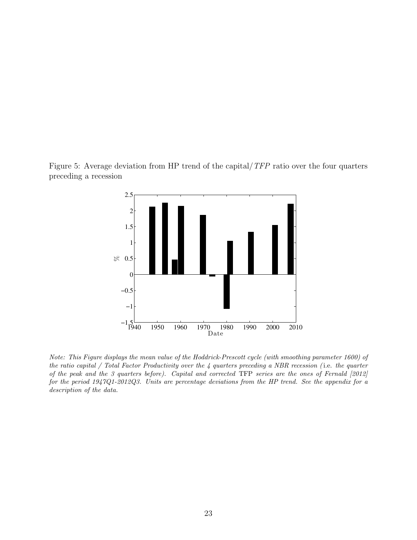Figure 5: Average deviation from HP trend of the capital/TFP ratio over the four quarters preceding a recession

<span id="page-24-0"></span>

Note: This Figure displays the mean value of the Hoddrick-Prescott cycle (with smoothing parameter 1600) of the ratio capital / Total Factor Productivity over the 4 quarters preceding a NBR recession ( i.e. the quarter of the peak and the 3 quarters before). Capital and corrected TFP series are the ones of Fernald [2012] for the period 1947Q1-2012Q3. Units are percentage deviations from the HP trend. See the appendix for a description of the data.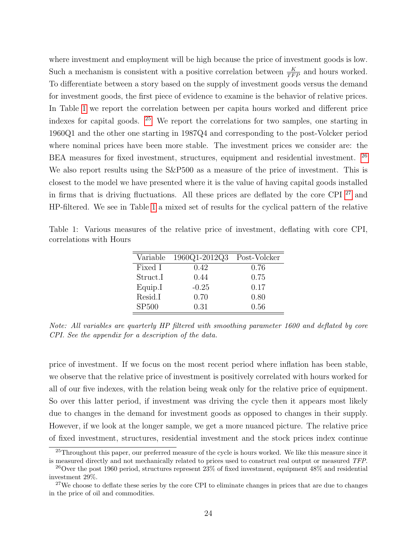where investment and employment will be high because the price of investment goods is low. Such a mechanism is consistent with a positive correlation between  $\frac{K}{TFP}$  and hours worked. To differentiate between a story based on the supply of investment goods versus the demand for investment goods, the first piece of evidence to examine is the behavior of relative prices. In Table [1](#page-25-0) we report the correlation between per capita hours worked and different price indexes for capital goods. [25](#page-25-1) We report the correlations for two samples, one starting in 1960Q1 and the other one starting in 1987Q4 and corresponding to the post-Volcker period where nominal prices have been more stable. The investment prices we consider are: the BEA measures for fixed investment, structures, equipment and residential investment. <sup>[26](#page-25-2)</sup> We also report results using the  $S\&P500$  as a measure of the price of investment. This is closest to the model we have presented where it is the value of having capital goods installed in firms that is driving fluctuations. All these prices are deflated by the core CPI [27](#page-25-3) and HP-filtered. We see in Table [1](#page-25-0) a mixed set of results for the cyclical pattern of the relative

| Variable          | 1960Q1-2012Q3 | Post-Volcker |
|-------------------|---------------|--------------|
| Fixed I           | 0.42          | 0.76         |
| Struct.I          | 0.44          | 0.75         |
| Equip.I           | $-0.25$       | 0.17         |
| Resid.I           | 0.70          | 0.80         |
| SP <sub>500</sub> | 0.31          | 0.56         |

<span id="page-25-0"></span>Table 1: Various measures of the relative price of investment, deflating with core CPI, correlations with Hours

Note: All variables are quarterly HP filtered with smoothing parameter 1600 and deflated by core CPI. See the appendix for a description of the data.

price of investment. If we focus on the most recent period where inflation has been stable, we observe that the relative price of investment is positively correlated with hours worked for all of our five indexes, with the relation being weak only for the relative price of equipment. So over this latter period, if investment was driving the cycle then it appears most likely due to changes in the demand for investment goods as opposed to changes in their supply. However, if we look at the longer sample, we get a more nuanced picture. The relative price of fixed investment, structures, residential investment and the stock prices index continue

<span id="page-25-1"></span><sup>&</sup>lt;sup>25</sup>Throughout this paper, our preferred measure of the cycle is hours worked. We like this measure since it is measured directly and not mechanically related to prices used to construct real output or measured TFP.

<span id="page-25-2"></span><sup>&</sup>lt;sup>26</sup>Over the post 1960 period, structures represent  $23\%$  of fixed investment, equipment  $48\%$  and residential investment 29%.

<span id="page-25-3"></span><sup>&</sup>lt;sup>27</sup>We choose to deflate these series by the core CPI to eliminate changes in prices that are due to changes in the price of oil and commodities.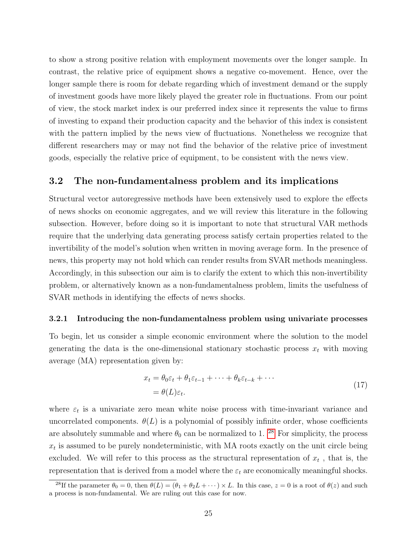to show a strong positive relation with employment movements over the longer sample. In contrast, the relative price of equipment shows a negative co-movement. Hence, over the longer sample there is room for debate regarding which of investment demand or the supply of investment goods have more likely played the greater role in fluctuations. From our point of view, the stock market index is our preferred index since it represents the value to firms of investing to expand their production capacity and the behavior of this index is consistent with the pattern implied by the news view of fluctuations. Nonetheless we recognize that different researchers may or may not find the behavior of the relative price of investment goods, especially the relative price of equipment, to be consistent with the news view.

### <span id="page-26-0"></span>3.2 The non-fundamentalness problem and its implications

Structural vector autoregressive methods have been extensively used to explore the effects of news shocks on economic aggregates, and we will review this literature in the following subsection. However, before doing so it is important to note that structural VAR methods require that the underlying data generating process satisfy certain properties related to the invertibility of the model's solution when written in moving average form. In the presence of news, this property may not hold which can render results from SVAR methods meaningless. Accordingly, in this subsection our aim is to clarify the extent to which this non-invertibility problem, or alternatively known as a non-fundamentalness problem, limits the usefulness of SVAR methods in identifying the effects of news shocks.

#### 3.2.1 Introducing the non-fundamentalness problem using univariate processes

To begin, let us consider a simple economic environment where the solution to the model generating the data is the one-dimensional stationary stochastic process  $x_t$  with moving average (MA) representation given by:

<span id="page-26-2"></span>
$$
x_t = \theta_0 \varepsilon_t + \theta_1 \varepsilon_{t-1} + \dots + \theta_k \varepsilon_{t-k} + \dots
$$
  
=  $\theta(L)\varepsilon_t.$  (17)

where  $\varepsilon_t$  is a univariate zero mean white noise process with time-invariant variance and uncorrelated components.  $\theta(L)$  is a polynomial of possibly infinite order, whose coefficients are absolutely summable and where  $\theta_0$  can be normalized to 1. <sup>[28](#page-26-1)</sup> For simplicity, the process  $x_t$  is assumed to be purely nondeterministic, with MA roots exactly on the unit circle being excluded. We will refer to this process as the structural representation of  $x_t$ , that is, the representation that is derived from a model where the  $\varepsilon_t$  are economically meaningful shocks.

<span id="page-26-1"></span><sup>&</sup>lt;sup>28</sup>If the parameter  $\theta_0 = 0$ , then  $\theta(L) = (\theta_1 + \theta_2 L + \cdots) \times L$ . In this case,  $z = 0$  is a root of  $\theta(z)$  and such a process is non-fundamental. We are ruling out this case for now.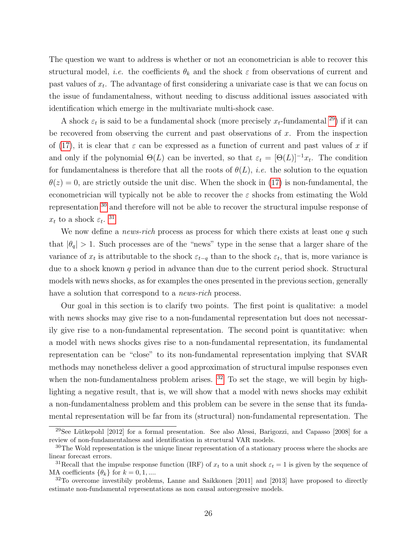The question we want to address is whether or not an econometrician is able to recover this structural model, *i.e.* the coefficients  $\theta_k$  and the shock  $\varepsilon$  from observations of current and past values of  $x_t$ . The advantage of first considering a univariate case is that we can focus on the issue of fundamentalness, without needing to discuss additional issues associated with identification which emerge in the multivariate multi-shock case.

A shock  $\varepsilon_t$  is said to be a fundamental shock (more precisely  $x_t$ -fundamental <sup>[29](#page-27-0)</sup>) if it can be recovered from observing the current and past observations of  $x$ . From the inspection of [\(17\)](#page-26-2), it is clear that  $\varepsilon$  can be expressed as a function of current and past values of x if and only if the polynomial  $\Theta(L)$  can be inverted, so that  $\varepsilon_t = [\Theta(L)]^{-1} x_t$ . The condition for fundamentalness is therefore that all the roots of  $\theta(L)$ , *i.e.* the solution to the equation  $\theta(z) = 0$ , are strictly outside the unit disc. When the shock in [\(17\)](#page-26-2) is non-fundamental, the econometrician will typically not be able to recover the  $\varepsilon$  shocks from estimating the Wold representation [30](#page-27-1) and therefore will not be able to recover the structural impulse response of  $x_t$  to a shock  $\varepsilon_t$ . <sup>[31](#page-27-2)</sup>

We now define a *news-rich* process as process for which there exists at least one  $q$  such that  $|\theta_q| > 1$ . Such processes are of the "news" type in the sense that a larger share of the variance of  $x_t$  is attributable to the shock  $\varepsilon_{t-q}$  than to the shock  $\varepsilon_t$ , that is, more variance is due to a shock known q period in advance than due to the current period shock. Structural models with news shocks, as for examples the ones presented in the previous section, generally have a solution that correspond to a *news-rich* process.

Our goal in this section is to clarify two points. The first point is qualitative: a model with news shocks may give rise to a non-fundamental representation but does not necessarily give rise to a non-fundamental representation. The second point is quantitative: when a model with news shocks gives rise to a non-fundamental representation, its fundamental representation can be "close" to its non-fundamental representation implying that SVAR methods may nonetheless deliver a good approximation of structural impulse responses even when the non-fundamentalness problem arises.  $32$  To set the stage, we will begin by highlighting a negative result, that is, we will show that a model with news shocks may exhibit a non-fundamentalness problem and this problem can be severe in the sense that its fundamental representation will be far from its (structural) non-fundamental representation. The

<span id="page-27-0"></span> $29$ See Lütkepohl [2012] for a formal presentation. See also Alessi, Barigozzi, and Capasso [2008] for a review of non-fundamentalness and identification in structural VAR models.

<span id="page-27-1"></span><sup>&</sup>lt;sup>30</sup>The Wold representation is the unique linear representation of a stationary process where the shocks are linear forecast errors.

<span id="page-27-2"></span><sup>&</sup>lt;sup>31</sup>Recall that the impulse response function (IRF) of  $x_t$  to a unit shock  $\varepsilon_t = 1$  is given by the sequence of MA coefficients  $\{\theta_k\}$  for  $k = 0, 1, \dots$ 

<span id="page-27-3"></span><sup>&</sup>lt;sup>32</sup>To overcome investibily problems, Lanne and Saikkonen [2011] and [2013] have proposed to directly estimate non-fundamental representations as non causal autoregressive models.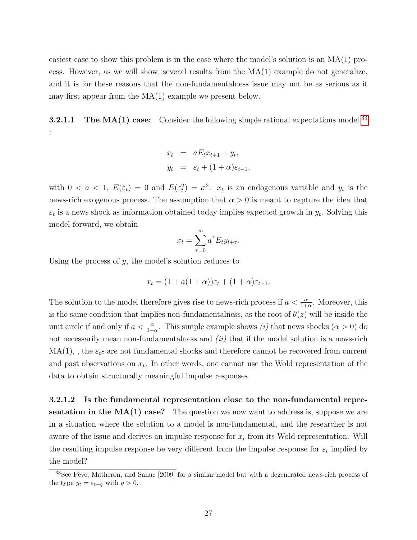easiest case to show this problem is in the case where the model's solution is an MA(1) process. However, as we will show, several results from the  $MA(1)$  example do not generalize. and it is for these reasons that the non-fundamentalness issue may not be as serious as it may first appear from the MA(1) example we present below.

**3.2.1.1** The  $MA(1)$  case: Consider the following simple rational expectations model  $33$ :

$$
x_t = aE_t x_{t+1} + y_t,
$$
  

$$
y_t = \varepsilon_t + (1+\alpha)\varepsilon_{t-1},
$$

with  $0 < a < 1$ ,  $E(\varepsilon_t) = 0$  and  $E(\varepsilon_t^2) = \sigma^2$ .  $x_t$  is an endogenous variable and  $y_t$  is the news-rich exogenous process. The assumption that  $\alpha > 0$  is meant to capture the idea that  $\varepsilon_t$  is a news shock as information obtained today implies expected growth in  $y_t$ . Solving this model forward, we obtain

$$
x_t = \sum_{\tau=0}^{\infty} a^{\tau} E_t y_{t+\tau}.
$$

Using the process of  $y$ , the model's solution reduces to

$$
x_t = (1 + a(1 + \alpha))\varepsilon_t + (1 + \alpha)\varepsilon_{t-1}.
$$

The solution to the model therefore gives rise to news-rich process if  $a < \frac{\alpha}{1+\alpha}$ . Moreover, this is the same condition that implies non-fundamentalness, as the root of  $\theta(z)$  will be inside the unit circle if and only if  $a < \frac{\alpha}{1+\alpha}$ . This simple example shows (i) that news shocks ( $\alpha > 0$ ) do not necessarily mean non-fundamentalness and  $(ii)$  that if the model solution is a news-rich  $MA(1)$ , the  $\varepsilon_t$ s are not fundamental shocks and therefore cannot be recovered from current and past observations on  $x_t$ . In other words, one cannot use the Wold representation of the data to obtain structurally meaningful impulse responses.

3.2.1.2 Is the fundamental representation close to the non-fundamental representation in the  $MA(1)$  case? The question we now want to address is, suppose we are in a situation where the solution to a model is non-fundamental, and the researcher is not aware of the issue and derives an impulse response for  $x_t$  from its Wold representation. Will the resulting impulse response be very different from the impulse response for  $\varepsilon_t$  implied by the model?

<span id="page-28-0"></span> $33$ See Fève, Matheron, and Sahuc [2009] for a similar model but with a degenerated news-rich process of the type  $y_t = \varepsilon_{t-q}$  with  $q > 0$ .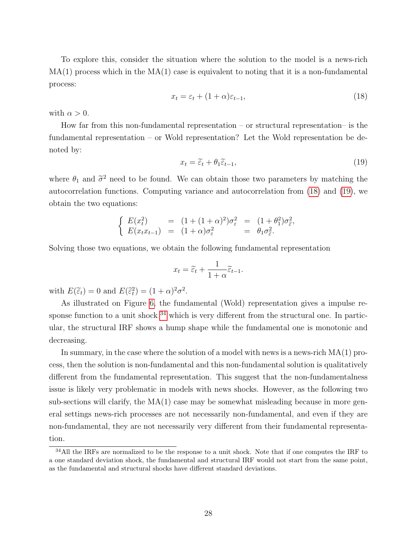To explore this, consider the situation where the solution to the model is a news-rich  $MA(1)$  process which in the  $MA(1)$  case is equivalent to noting that it is a non-fundamental process:

<span id="page-29-0"></span>
$$
x_t = \varepsilon_t + (1 + \alpha)\varepsilon_{t-1},\tag{18}
$$

with  $\alpha > 0$ .

How far from this non-fundamental representation – or structural representation– is the fundamental representation – or Wold representation? Let the Wold representation be denoted by:

<span id="page-29-1"></span>
$$
x_t = \widetilde{\varepsilon}_t + \theta_1 \widetilde{\varepsilon}_{t-1},\tag{19}
$$

where  $\theta_1$  and  $\tilde{\sigma}^2$  need to be found. We can obtain those two parameters by matching the autocorrelation functions. Computing variance and autocorrelation from [\(18\)](#page-29-0) and [\(19\)](#page-29-1), we obtain the two equations:

$$
\begin{cases}\nE(x_t^2) = (1 + (1 + \alpha)^2)\sigma_{\varepsilon}^2 = (1 + \theta_1^2)\sigma_{\varepsilon}^2, \\
E(x_t x_{t-1}) = (1 + \alpha)\sigma_{\varepsilon}^2 = \theta_1 \sigma_{\varepsilon}^2.\n\end{cases}
$$

Solving those two equations, we obtain the following fundamental representation

$$
x_t = \widetilde{\varepsilon}_t + \frac{1}{1 + \alpha} \widetilde{\varepsilon}_{t-1}.
$$

with  $E(\tilde{\epsilon}_t) = 0$  and  $E(\tilde{\epsilon}_t^2) = (1 + \alpha)^2 \sigma^2$ .

As illustrated on Figure [6,](#page-30-0) the fundamental (Wold) representation gives a impulse response function to a unit shock  $34$  which is very different from the structural one. In particular, the structural IRF shows a hump shape while the fundamental one is monotonic and decreasing.

In summary, in the case where the solution of a model with news is a news-rich  $MA(1)$  process, then the solution is non-fundamental and this non-fundamental solution is qualitatively different from the fundamental representation. This suggest that the non-fundamentalness issue is likely very problematic in models with news shocks. However, as the following two sub-sections will clarify, the  $MA(1)$  case may be somewhat misleading because in more general settings news-rich processes are not necessarily non-fundamental, and even if they are non-fundamental, they are not necessarily very different from their fundamental representation.

<span id="page-29-2"></span> $34$ All the IRFs are normalized to be the response to a unit shock. Note that if one computes the IRF to a one standard deviation shock, the fundamental and structural IRF would not start from the same point, as the fundamental and structural shocks have different standard deviations.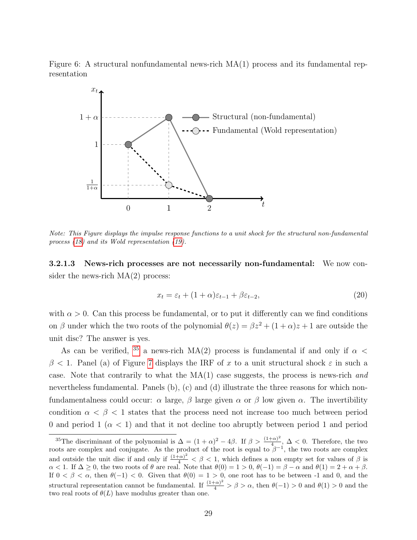Figure 6: A structural nonfundamental news-rich MA(1) process and its fundamental representation

<span id="page-30-0"></span>

Note: This Figure displays the impulse response functions to a unit shock for the structural non-fundamental process [\(18\)](#page-29-0) and its Wold representation [\(19\)](#page-29-1).

3.2.1.3 News-rich processes are not necessarily non-fundamental: We now consider the news-rich MA(2) process:

<span id="page-30-2"></span>
$$
x_t = \varepsilon_t + (1 + \alpha)\varepsilon_{t-1} + \beta\varepsilon_{t-2},\tag{20}
$$

with  $\alpha > 0$ . Can this process be fundamental, or to put it differently can we find conditions on β under which the two roots of the polynomial  $\theta(z) = \beta z^2 + (1 + \alpha)z + 1$  are outside the unit disc? The answer is yes.

As can be verified, <sup>[35](#page-30-1)</sup> a news-rich MA(2) process is fundamental if and only if  $\alpha$  <  $\beta$  < 1. Panel (a) of Figure [7](#page-31-0) displays the IRF of x to a unit structural shock  $\varepsilon$  in such a case. Note that contrarily to what the  $MA(1)$  case suggests, the process is news-rich and nevertheless fundamental. Panels (b), (c) and (d) illustrate the three reasons for which nonfundamentalness could occur:  $\alpha$  large,  $\beta$  large given  $\alpha$  or  $\beta$  low given  $\alpha$ . The invertibility condition  $\alpha < \beta < 1$  states that the process need not increase too much between period 0 and period 1 ( $\alpha$  < 1) and that it not decline too abruptly between period 1 and period

<span id="page-30-1"></span><sup>&</sup>lt;sup>35</sup>The discriminant of the polynomial is  $\Delta = (1+\alpha)^2 - 4\beta$ . If  $\beta > \frac{(1+\alpha)^2}{4}$  $\frac{(\alpha)}{4}$ ,  $\Delta$  < 0. Therefore, the two roots are complex and conjugate. As the product of the root is equal to  $\beta^{-1}$ , the two roots are complex and outside the unit disc if and only if  $\frac{(1+\alpha)^2}{4} < \beta < 1$ , which defines a non empty set for values of  $\beta$  is  $\alpha < 1$ . If  $\Delta \geq 0$ , the two roots of  $\theta$  are real. Note that  $\theta(0) = 1 > 0$ ,  $\theta(-1) = \beta - \alpha$  and  $\theta(1) = 2 + \alpha + \beta$ . If  $0 < \beta < \alpha$ , then  $\theta(-1) < 0$ . Given that  $\theta(0) = 1 > 0$ , one root has to be between -1 and 0, and the structural representation cannot be fundamental. If  $\frac{(1+\alpha)^2}{4} > \beta > \alpha$ , then  $\theta(-1) > 0$  and  $\theta(1) > 0$  and the two real roots of  $\theta(L)$  have modulus greater than one.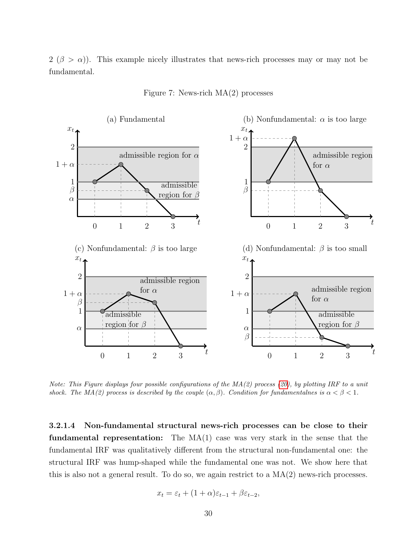$2 (\beta > \alpha)$ ). This example nicely illustrates that news-rich processes may or may not be fundamental.



<span id="page-31-0"></span>Figure 7: News-rich MA(2) processes

Note: This Figure displays four possible configurations of the  $MA(2)$  process [\(20\)](#page-30-2), by plotting IRF to a unit shock. The MA(2) process is described by the couple  $(\alpha, \beta)$ . Condition for fundamentalnes is  $\alpha < \beta < 1$ .

3.2.1.4 Non-fundamental structural news-rich processes can be close to their **fundamental representation:** The  $MA(1)$  case was very stark in the sense that the fundamental IRF was qualitatively different from the structural non-fundamental one: the structural IRF was hump-shaped while the fundamental one was not. We show here that this is also not a general result. To do so, we again restrict to a  $MA(2)$  news-rich processes.

$$
x_t = \varepsilon_t + (1 + \alpha)\varepsilon_{t-1} + \beta\varepsilon_{t-2},
$$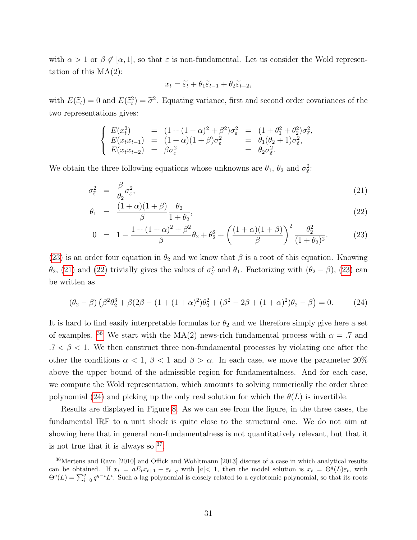with  $\alpha > 1$  or  $\beta \notin [\alpha, 1]$ , so that  $\varepsilon$  is non-fundamental. Let us consider the Wold representation of this  $MA(2)$ :

$$
x_t = \widetilde{\varepsilon}_t + \theta_1 \widetilde{\varepsilon}_{t-1} + \theta_2 \widetilde{\varepsilon}_{t-2},
$$

with  $E(\tilde{\epsilon}_t) = 0$  and  $E(\tilde{\epsilon}_t^2) = \tilde{\sigma}^2$ . Equating variance, first and second order covariances of the two representations gives:

$$
\begin{cases}\nE(x_t^2) = (1 + (1 + \alpha)^2 + \beta^2)\sigma_{\varepsilon}^2 = (1 + \theta_1^2 + \theta_2^2)\sigma_{\varepsilon}^2, \\
E(x_t x_{t-1}) = (1 + \alpha)(1 + \beta)\sigma_{\varepsilon}^2 = \theta_1(\theta_2 + 1)\sigma_{\varepsilon}^2, \\
E(x_t x_{t-2}) = \beta\sigma_{\varepsilon}^2 = \theta_2\sigma_{\varepsilon}^2.\n\end{cases}
$$

We obtain the three following equations whose unknowns are  $\theta_1$ ,  $\theta_2$  and  $\sigma_{\tilde{\varepsilon}}^2$ .

<span id="page-32-0"></span>
$$
\sigma_{\tilde{\varepsilon}}^2 = \frac{\beta}{\theta_2} \sigma_{\varepsilon}^2,\tag{21}
$$

$$
\theta_1 = \frac{(1+\alpha)(1+\beta)}{\beta} \frac{\theta_2}{1+\theta_2},\tag{22}
$$

$$
0 = 1 - \frac{1 + (1 + \alpha)^2 + \beta^2}{\beta} \theta_2 + \theta_2^2 + \left(\frac{(1 + \alpha)(1 + \beta)}{\beta}\right)^2 \frac{\theta_2^2}{(1 + \theta_2)^2}.
$$
 (23)

[\(23\)](#page-32-0) is an order four equation in  $\theta_2$  and we know that  $\beta$  is a root of this equation. Knowing  $\theta_2$ , [\(21\)](#page-32-0) and [\(22\)](#page-32-0) trivially gives the values of  $\sigma_{\tilde{\varepsilon}}^2$  and  $\theta_1$ . Factorizing with  $(\theta_2 - \beta)$ , [\(23\)](#page-32-0) can be written as

<span id="page-32-2"></span>
$$
(\theta_2 - \beta) (\beta^2 \theta_2^3 + \beta (2\beta - (1 + (1 + \alpha)^2) \theta_2^2 + (\beta^2 - 2\beta + (1 + \alpha)^2) \theta_2 - \beta) = 0.
$$
 (24)

It is hard to find easily interpretable formulas for  $\theta_2$  and we therefore simply give here a set of examples. <sup>[36](#page-32-1)</sup> We start with the MA(2) news-rich fundamental process with  $\alpha = .7$  and  $.7 < \beta < 1$ . We then construct three non-fundamental processes by violating one after the other the conditions  $\alpha < 1$ ,  $\beta < 1$  and  $\beta > \alpha$ . In each case, we move the parameter 20% above the upper bound of the admissible region for fundamentalness. And for each case, we compute the Wold representation, which amounts to solving numerically the order three polynomial [\(24\)](#page-32-2) and picking up the only real solution for which the  $\theta(L)$  is invertible.

Results are displayed in Figure [8.](#page-33-0) As we can see from the figure, in the three cases, the fundamental IRF to a unit shock is quite close to the structural one. We do not aim at showing here that in general non-fundamentalness is not quantitatively relevant, but that it is not true that it is always so  $37$ .

<span id="page-32-1"></span><sup>36</sup>Mertens and Ravn [2010] and Offick and Wohltmann [2013] discuss of a case in which analytical results can be obtained. If  $x_t = aE_t x_{t+1} + \varepsilon_{t-q}$  with  $|a| < 1$ , then the model solution is  $x_t = \Theta^q(L)\varepsilon_t$ , with  $\Theta^q(L) = \sum_{i=0}^q q^{q-i}L^i$ . Such a lag polynomial is closely related to a cyclotomic polynomial, so that its roots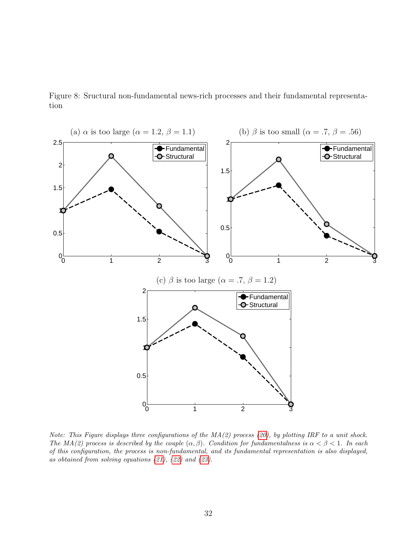

<span id="page-33-0"></span>Figure 8: Sructural non-fundamental news-rich processes and their fundamental representation

Note: This Figure displays three configurations of the  $MA(2)$  process [\(20\)](#page-30-2), by plotting IRF to a unit shock. The MA(2) process is described by the couple  $(\alpha, \beta)$ . Condition for fundamentalness is  $\alpha < \beta < 1$ . In each of this configuration, the process is non-fundamental, and its fundamental representation is also displayed, as obtained from solving equations [\(21\)](#page-32-0), [\(22\)](#page-32-0) and [\(23\)](#page-32-0).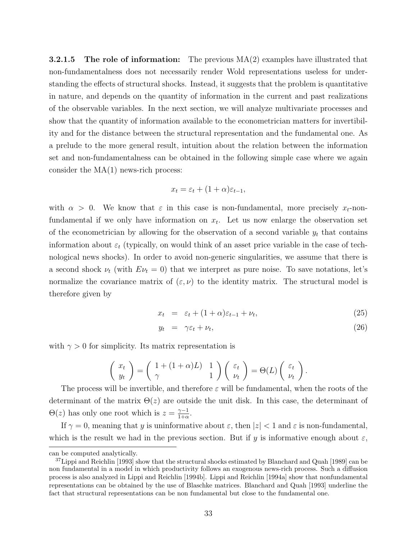**3.2.1.5** The role of information: The previous  $MA(2)$  examples have illustrated that non-fundamentalness does not necessarily render Wold representations useless for understanding the effects of structural shocks. Instead, it suggests that the problem is quantitative in nature, and depends on the quantity of information in the current and past realizations of the observable variables. In the next section, we will analyze multivariate processes and show that the quantity of information available to the econometrician matters for invertibility and for the distance between the structural representation and the fundamental one. As a prelude to the more general result, intuition about the relation between the information set and non-fundamentalness can be obtained in the following simple case where we again consider the MA(1) news-rich process:

$$
x_t = \varepsilon_t + (1 + \alpha)\varepsilon_{t-1},
$$

with  $\alpha > 0$ . We know that  $\varepsilon$  in this case is non-fundamental, more precisely  $x_t$ -nonfundamental if we only have information on  $x_t$ . Let us now enlarge the observation set of the econometrician by allowing for the observation of a second variable  $y_t$  that contains information about  $\varepsilon_t$  (typically, on would think of an asset price variable in the case of technological news shocks). In order to avoid non-generic singularities, we assume that there is a second shock  $\nu_t$  (with  $E\nu_t = 0$ ) that we interpret as pure noise. To save notations, let's normalize the covariance matrix of  $(\varepsilon, \nu)$  to the identity matrix. The structural model is therefore given by

$$
x_t = \varepsilon_t + (1+\alpha)\varepsilon_{t-1} + \nu_t,\tag{25}
$$

$$
y_t = \gamma \varepsilon_t + \nu_t, \tag{26}
$$

with  $\gamma > 0$  for simplicity. Its matrix representation is

$$
\begin{pmatrix} x_t \\ y_t \end{pmatrix} = \begin{pmatrix} 1 + (1+\alpha)L) & 1 \\ \gamma & 1 \end{pmatrix} \begin{pmatrix} \varepsilon_t \\ \nu_t \end{pmatrix} = \Theta(L) \begin{pmatrix} \varepsilon_t \\ \nu_t \end{pmatrix}.
$$

The process will be invertible, and therefore  $\varepsilon$  will be fundamental, when the roots of the determinant of the matrix  $\Theta(z)$  are outside the unit disk. In this case, the determinant of  $\Theta(z)$  has only one root which is  $z = \frac{\gamma - 1}{1 + \alpha}$  $\frac{\gamma-1}{1+\alpha}$ .

If  $\gamma = 0$ , meaning that y is uninformative about  $\varepsilon$ , then  $|z| < 1$  and  $\varepsilon$  is non-fundamental, which is the result we had in the previous section. But if y is informative enough about  $\varepsilon$ ,

can be computed analytically.

<span id="page-34-0"></span> $37$ Lippi and Reichlin [1993] show that the structural shocks estimated by Blanchard and Quah [1989] can be non fundamental in a model in which productivity follows an exogenous news-rich process. Such a diffusion process is also analyzed in Lippi and Reichlin [1994b]. Lippi and Reichlin [1994a] show that nonfundamental representations can be obtained by the use of Blaschke matrices. Blanchard and Quah [1993] underline the fact that structural representations can be non fundamental but close to the fundamental one.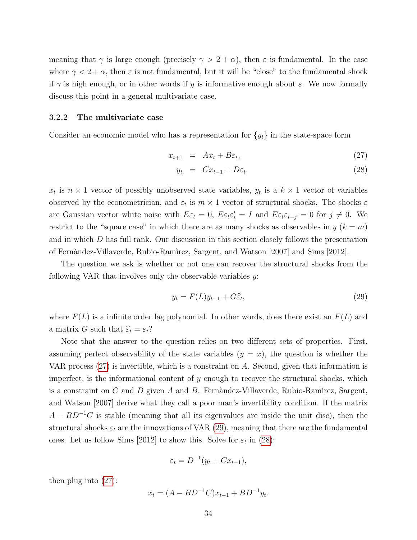meaning that  $\gamma$  is large enough (precisely  $\gamma > 2 + \alpha$ ), then  $\varepsilon$  is fundamental. In the case where  $\gamma < 2 + \alpha$ , then  $\varepsilon$  is not fundamental, but it will be "close" to the fundamental shock if  $\gamma$  is high enough, or in other words if y is informative enough about  $\varepsilon$ . We now formally discuss this point in a general multivariate case.

#### 3.2.2 The multivariate case

Consider an economic model who has a representation for  $\{y_t\}$  in the state-space form

<span id="page-35-0"></span>
$$
x_{t+1} = Ax_t + B\varepsilon_t, \tag{27}
$$

$$
y_t = Cx_{t-1} + D\varepsilon_t. \tag{28}
$$

 $x_t$  is  $n \times 1$  vector of possibly unobserved state variables,  $y_t$  is a  $k \times 1$  vector of variables observed by the econometrician, and  $\varepsilon_t$  is  $m \times 1$  vector of structural shocks. The shocks  $\varepsilon$ are Gaussian vector white noise with  $E\varepsilon_t = 0$ ,  $E\varepsilon_t \varepsilon_t' = I$  and  $E\varepsilon_t \varepsilon_{t-j} = 0$  for  $j \neq 0$ . We restrict to the "square case" in which there are as many shocks as observables in  $y (k = m)$ and in which D has full rank. Our discussion in this section closely follows the presentation of Fern`andez-Villaverde, Rubio-Ram`ırez, Sargent, and Watson [2007] and Sims [2012].

The question we ask is whether or not one can recover the structural shocks from the following VAR that involves only the observable variables  $y$ :

<span id="page-35-1"></span>
$$
y_t = F(L)y_{t-1} + G\hat{\varepsilon}_t,\tag{29}
$$

where  $F(L)$  is a infinite order lag polynomial. In other words, does there exist an  $F(L)$  and a matrix G such that  $\widehat{\varepsilon}_t = \varepsilon_t$ ?

Note that the answer to the question relies on two different sets of properties. First, assuming perfect observability of the state variables  $(y = x)$ , the question is whether the VAR process [\(27\)](#page-35-0) is invertible, which is a constraint on A. Second, given that information is imperfect, is the informational content of  $y$  enough to recover the structural shocks, which is a constraint on C and D given A and B. Fernandez-Villaverde, Rubio-Ramirez, Sargent, and Watson [2007] derive what they call a poor man's invertibility condition. If the matrix  $A - BD^{-1}C$  is stable (meaning that all its eigenvalues are inside the unit disc), then the structural shocks  $\varepsilon_t$  are the innovations of VAR [\(29\)](#page-35-1), meaning that there are the fundamental ones. Let us follow Sims [2012] to show this. Solve for  $\varepsilon_t$  in [\(28\)](#page-35-0):

$$
\varepsilon_t = D^{-1}(y_t - Cx_{t-1}),
$$

then plug into [\(27\)](#page-35-0):

$$
x_t = (A - BD^{-1}C)x_{t-1} + BD^{-1}y_t.
$$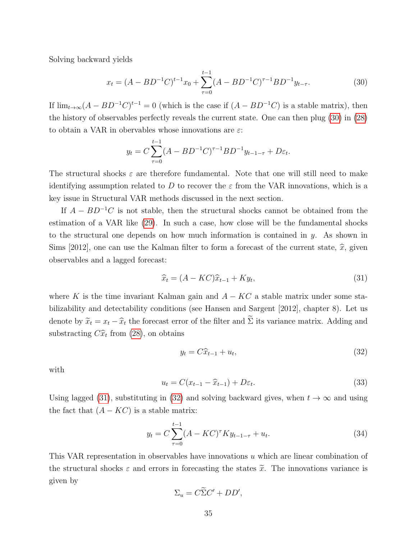Solving backward yields

<span id="page-36-0"></span>
$$
x_t = (A - BD^{-1}C)^{t-1}x_0 + \sum_{\tau=0}^{t-1} (A - BD^{-1}C)^{\tau-1}BD^{-1}y_{t-\tau}.
$$
 (30)

If  $\lim_{t\to\infty} (A - BD^{-1}C)^{t-1} = 0$  (which is the case if  $(A - BD^{-1}C)$  is a stable matrix), then the history of observables perfectly reveals the current state. One can then plug [\(30\)](#page-36-0) in [\(28\)](#page-35-0) to obtain a VAR in obervables whose innovations are  $\varepsilon$ :

$$
y_t = C \sum_{\tau=0}^{t-1} (A - BD^{-1}C)^{\tau-1} BD^{-1} y_{t-1-\tau} + D\varepsilon_t.
$$

The structural shocks  $\varepsilon$  are therefore fundamental. Note that one will still need to make identifying assumption related to D to recover the  $\varepsilon$  from the VAR innovations, which is a key issue in Structural VAR methods discussed in the next section.

If  $A - BD^{-1}C$  is not stable, then the structural shocks cannot be obtained from the estimation of a VAR like [\(29\)](#page-35-1). In such a case, how close will be the fundamental shocks to the structural one depends on how much information is contained in  $y$ . As shown in Sims [2012], one can use the Kalman filter to form a forecast of the current state,  $\hat{x}$ , given observables and a lagged forecast:

<span id="page-36-1"></span>
$$
\widehat{x}_t = (A - KC)\widehat{x}_{t-1} + Ky_t,\tag{31}
$$

where K is the time invariant Kalman gain and  $A - KC$  a stable matrix under some stabilizability and detectability conditions (see Hansen and Sargent [2012], chapter 8). Let us denote by  $\tilde{x}_t = x_t - \hat{x}_t$  the forecast error of the filter and  $\tilde{\Sigma}$  its variance matrix. Adding and substracting  $C\hat{x}_t$  from [\(28\)](#page-35-0), on obtains

<span id="page-36-2"></span>
$$
y_t = C\widehat{x}_{t-1} + u_t,\tag{32}
$$

with

$$
u_t = C(x_{t-1} - \hat{x}_{t-1}) + D\varepsilon_t.
$$
\n(33)

Using lagged [\(31\)](#page-36-1), substituting in [\(32\)](#page-36-2) and solving backward gives, when  $t \to \infty$  and using the fact that  $(A - KC)$  is a stable matrix:

$$
y_t = C \sum_{\tau=0}^{t-1} (A - KC)^{\tau} K y_{t-1-\tau} + u_t.
$$
 (34)

This VAR representation in observables have innovations u which are linear combination of the structural shocks  $\varepsilon$  and errors in forecasting the states  $\tilde{x}$ . The innovations variance is given by

$$
\Sigma_u = C\widetilde{\Sigma}C' + DD',
$$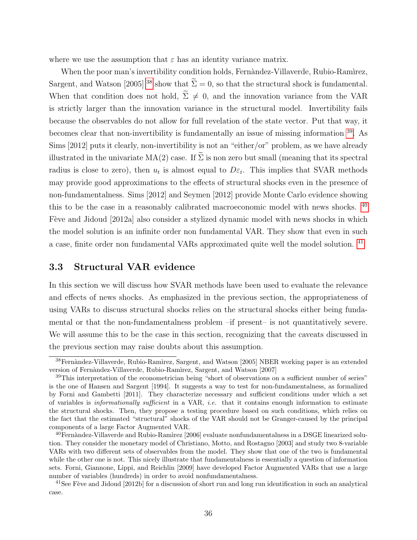where we use the assumption that  $\varepsilon$  has an identity variance matrix.

When the poor man's invertibility condition holds, Fernàndez-Villaverde, Rubio-Ramìrez, Sargent, and Watson [2005] <sup>[38](#page-37-0)</sup> show that  $\widetilde{\Sigma} = 0$ , so that the structural shock is fundamental. When that condition does not hold,  $\widetilde{\Sigma} \neq 0$ , and the innovation variance from the VAR is strictly larger than the innovation variance in the structural model. Invertibility fails because the observables do not allow for full revelation of the state vector. Put that way, it becomes clear that non-invertibility is fundamentally an issue of missing information [39](#page-37-1). As Sims [2012] puts it clearly, non-invertibility is not an "either/or" problem, as we have already illustrated in the univariate  $MA(2)$  case. If  $\Sigma$  is non zero but small (meaning that its spectral radius is close to zero), then  $u_t$  is almost equal to  $D\varepsilon_t$ . This implies that SVAR methods may provide good approximations to the effects of structural shocks even in the presence of non-fundamentalness. Sims [2012] and Seymen [2012] provide Monte Carlo evidence showing this to be the case in a reasonably calibrated macroeconomic model with news shocks. [40](#page-37-2) Fève and Jidoud [2012a] also consider a stylized dynamic model with news shocks in which the model solution is an infinite order non fundamental VAR. They show that even in such a case, finite order non fundamental VARs approximated quite well the model solution. [41](#page-37-3)

## 3.3 Structural VAR evidence

In this section we will discuss how SVAR methods have been used to evaluate the relevance and effects of news shocks. As emphasized in the previous section, the appropriateness of using VARs to discuss structural shocks relies on the structural shocks either being fundamental or that the non-fundamentalness problem –if present– is not quantitatively severe. We will assume this to be the case in this section, recognizing that the caveats discussed in the previous section may raise doubts about this assumption.

<span id="page-37-0"></span><sup>&</sup>lt;sup>38</sup>Fernàndez-Villaverde, Rubio-Ramìrez, Sargent, and Watson [2005] NBER working paper is an extended version of Fernàndez-Villaverde, Rubio-Ramìrez, Sargent, and Watson [2007]

<span id="page-37-1"></span><sup>&</sup>lt;sup>39</sup>This interpretation of the econometrician being "short of observations on a sufficient number of series" is the one of Hansen and Sargent [1994]. It suggests a way to test for non-fundamentalness, as formalized by Forni and Gambetti [2011]. They characterize necessary and sufficient conditions under which a set of variables is informationally sufficient in a VAR, i.e. that it contains enough information to estimate the structural shocks. Then, they propose a testing procedure based on such conditions, which relies on the fact that the estimated "structural" shocks of the VAR should not be Granger-caused by the principal components of a large Factor Augmented VAR.

<span id="page-37-2"></span> $^{40}$ Fernàndez-Villaverde and Rubio-Ramìrez [2006] evaluate nonfundamentalness in a DSGE linearized solution. They consider the monetary model of Christiano, Motto, and Rostagno [2003] and study two 8-variable VARs with two different sets of observables from the model. They show that one of the two is fundamental while the other one is not. This nicely illustrate that fundamentalness is essentially a question of information sets. Forni, Giannone, Lippi, and Reichlin [2009] have developed Factor Augmented VARs that use a large number of variables (hundreds) in order to avoid nonfundamentalness.

<span id="page-37-3"></span><sup>&</sup>lt;sup>41</sup>See Fève and Jidoud [2012b] for a discussion of short run and long run identification in such an analytical case.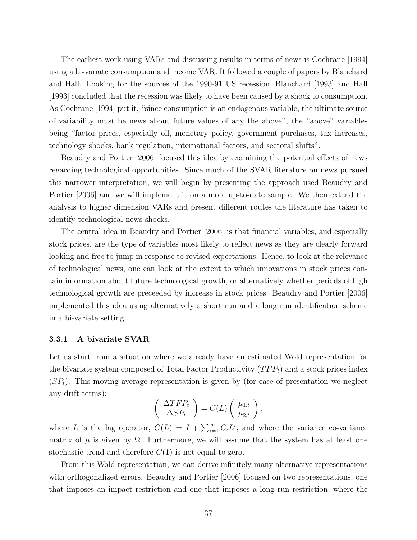The earliest work using VARs and discussing results in terms of news is Cochrane [1994] using a bi-variate consumption and income VAR. It followed a couple of papers by Blanchard and Hall. Looking for the sources of the 1990-91 US recession, Blanchard [1993] and Hall [1993] concluded that the recession was likely to have been caused by a shock to consumption. As Cochrane [1994] put it, "since consumption is an endogenous variable, the ultimate source of variability must be news about future values of any the above", the "above" variables being "factor prices, especially oil, monetary policy, government purchases, tax increases, technology shocks, bank regulation, international factors, and sectoral shifts".

Beaudry and Portier [2006] focused this idea by examining the potential effects of news regarding technological opportunities. Since much of the SVAR literature on news pursued this narrower interpretation, we will begin by presenting the approach used Beaudry and Portier [2006] and we will implement it on a more up-to-date sample. We then extend the analysis to higher dimension VARs and present different routes the literature has taken to identify technological news shocks.

The central idea in Beaudry and Portier [2006] is that financial variables, and especially stock prices, are the type of variables most likely to reflect news as they are clearly forward looking and free to jump in response to revised expectations. Hence, to look at the relevance of technological news, one can look at the extent to which innovations in stock prices contain information about future technological growth, or alternatively whether periods of high technological growth are preceeded by increase in stock prices. Beaudry and Portier [2006] implemented this idea using alternatively a short run and a long run identification scheme in a bi-variate setting.

### <span id="page-38-0"></span>3.3.1 A bivariate SVAR

Let us start from a situation where we already have an estimated Wold representation for the bivariate system composed of Total Factor Productivity  $(TFP_t)$  and a stock prices index  $(SP_t)$ . This moving average representation is given by (for ease of presentation we neglect any drift terms):

$$
\left(\begin{array}{c}\Delta TFP_t\\ \Delta SP_t\end{array}\right)=C(L)\left(\begin{array}{c}\mu_{1,t}\\ \mu_{2,t}\end{array}\right),\,
$$

where L is the lag operator,  $C(L) = I + \sum_{i=1}^{\infty} C_i L^i$ , and where the variance co-variance matrix of  $\mu$  is given by  $\Omega$ . Furthermore, we will assume that the system has at least one stochastic trend and therefore  $C(1)$  is not equal to zero.

From this Wold representation, we can derive infinitely many alternative representations with orthogonalized errors. Beaudry and Portier [2006] focused on two representations, one that imposes an impact restriction and one that imposes a long run restriction, where the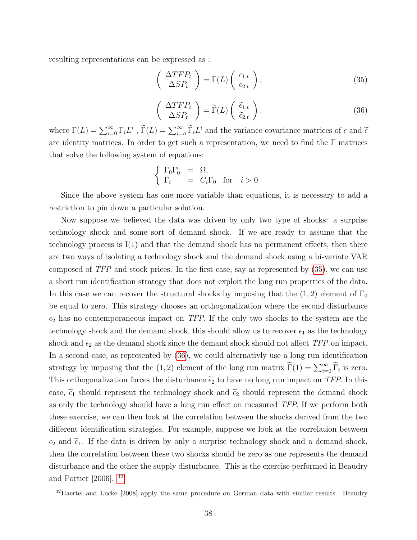resulting representations can be expressed as :

<span id="page-39-0"></span>
$$
\left(\begin{array}{c} \Delta TFP_t \\ \Delta SP_t \end{array}\right) = \Gamma(L) \left(\begin{array}{c} \epsilon_{1,t} \\ \epsilon_{2,t} \end{array}\right),\tag{35}
$$

<span id="page-39-1"></span>
$$
\begin{pmatrix}\n\Delta T F P_t \\
\Delta S P_t\n\end{pmatrix} = \widetilde{\Gamma}(L) \begin{pmatrix} \widetilde{\epsilon}_{1,t} \\
\widetilde{\epsilon}_{2,t} \end{pmatrix},
$$
\n(36)

where  $\Gamma(L) = \sum_{i=0}^{\infty} \Gamma_i L^i$ ,  $\widetilde{\Gamma}(L) = \sum_{i=0}^{\infty} \widetilde{\Gamma}_i L^i$  and the variance covariance matrices of  $\epsilon$  and  $\widetilde{\epsilon}$ are identity matrices. In order to get such a representation, we need to find the  $\Gamma$  matrices that solve the following system of equations:

$$
\begin{cases}\n\Gamma_0 \Gamma'_0 = \Omega, \\
\Gamma_i = C_i \Gamma_0 \text{ for } i > 0\n\end{cases}
$$

Since the above system has one more variable than equations, it is necessary to add a restriction to pin down a particular solution.

Now suppose we believed the data was driven by only two type of shocks: a surprise technology shock and some sort of demand shock. If we are ready to assume that the technology process is  $I(1)$  and that the demand shock has no permanent effects, then there are two ways of isolating a technology shock and the demand shock using a bi-variate VAR composed of TFP and stock prices. In the first case, say as represented by [\(35\)](#page-39-0), we can use a short run identification strategy that does not exploit the long run properties of the data. In this case we can recover the structural shocks by imposing that the  $(1, 2)$  element of  $\Gamma_0$ be equal to zero. This strategy chooses an orthogonalization where the second disturbance  $\epsilon_2$  has no contemporaneous impact on TFP. If the only two shocks to the system are the technology shock and the demand shock, this should allow us to recover  $\epsilon_1$  as the technology shock and  $\epsilon_2$  as the demand shock since the demand shock should not affect TFP on impact. In a second case, as represented by [\(36\)](#page-39-1), we could alternativly use a long run identification strategy by imposing that the (1, 2) element of the long run matrix  $\tilde{\Gamma}(1) = \sum_{i=0}^{\infty} \tilde{\Gamma}_i$  is zero. This orthogonalization forces the disturbance  $\tilde{\epsilon}_2$  to have no long run impact on TFP. In this case,  $\tilde{\epsilon}_1$  should represent the technology shock and  $\tilde{\epsilon}_2$  should represent the demand shock as only the technology should have a long run effect on measured TFP. If we perform both these exercise, we can then look at the correlation between the shocks derived from the two different identification strategies. For example, suppose we look at the correlation between  $\epsilon_2$  and  $\tilde{\epsilon}_1$ . If the data is driven by only a surprise technology shock and a demand shock, then the correlation between these two shocks should be zero as one represents the demand disturbance and the other the supply disturbance. This is the exercise performed in Beaudry and Portier [2006]. [42](#page-39-2)

<span id="page-39-2"></span><sup>&</sup>lt;sup>42</sup>Haertel and Lucke [2008] apply the same procedure on German data with similar results. Beaudry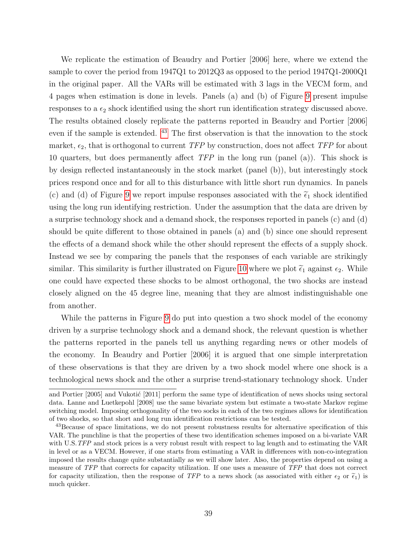We replicate the estimation of Beaudry and Portier [2006] here, where we extend the sample to cover the period from 1947Q1 to 2012Q3 as opposed to the period 1947Q1-2000Q1 in the original paper. All the VARs will be estimated with 3 lags in the VECM form, and 4 pages when estimation is done in levels. Panels (a) and (b) of Figure [9](#page-41-0) present impulse responses to a  $\epsilon_2$  shock identified using the short run identification strategy discussed above. The results obtained closely replicate the patterns reported in Beaudry and Portier [2006] even if the sample is extended. [43](#page-40-0) The first observation is that the innovation to the stock market,  $\epsilon_2$ , that is orthogonal to current TFP by construction, does not affect TFP for about 10 quarters, but does permanently affect  $TFP$  in the long run (panel (a)). This shock is by design reflected instantaneously in the stock market (panel (b)), but interestingly stock prices respond once and for all to this disturbance with little short run dynamics. In panels (c) and (d) of Figure [9](#page-41-0) we report impulse responses associated with the  $\tilde{\epsilon}_1$  shock identified using the long run identifying restriction. Under the assumption that the data are driven by a surprise technology shock and a demand shock, the responses reported in panels (c) and (d) should be quite different to those obtained in panels (a) and (b) since one should represent the effects of a demand shock while the other should represent the effects of a supply shock. Instead we see by comparing the panels that the responses of each variable are strikingly similar. This similarity is further illustrated on Figure [10](#page-42-0) where we plot  $\tilde{\epsilon}_1$  against  $\epsilon_2$ . While one could have expected these shocks to be almost orthogonal, the two shocks are instead closely aligned on the 45 degree line, meaning that they are almost indistinguishable one from another.

While the patterns in Figure [9](#page-41-0) do put into question a two shock model of the economy driven by a surprise technology shock and a demand shock, the relevant question is whether the patterns reported in the panels tell us anything regarding news or other models of the economy. In Beaudry and Portier [2006] it is argued that one simple interpretation of these observations is that they are driven by a two shock model where one shock is a technological news shock and the other a surprise trend-stationary technology shock. Under

and Portier [2005] and Vukotić [2011] perform the same type of identification of news shocks using sectoral data. Lanne and Luetkepohl [2008] use the same bivariate system but estimate a two-state Markov regime switching model. Imposing orthogonality of the two socks in each of the two regimes allows for identification of two shocks, so that short and long run identification restrictions can be tested.

<span id="page-40-0"></span><sup>&</sup>lt;sup>43</sup>Because of space limitations, we do not present robustness results for alternative specification of this VAR. The punchline is that the properties of these two identification schemes imposed on a bi-variate VAR with U.S.TFP and stock prices is a very robust result with respect to lag length and to estimating the VAR in level or as a VECM. However, if one starts from estimating a VAR in differences with non-co-integration imposed the results change quite substantially as we will show later. Also, the properties depend on using a measure of TFP that corrects for capacity utilization. If one uses a measure of TFP that does not correct for capacity utilization, then the response of TFP to a news shock (as associated with either  $\epsilon_2$  or  $\tilde{\epsilon}_1$ ) is much quicker.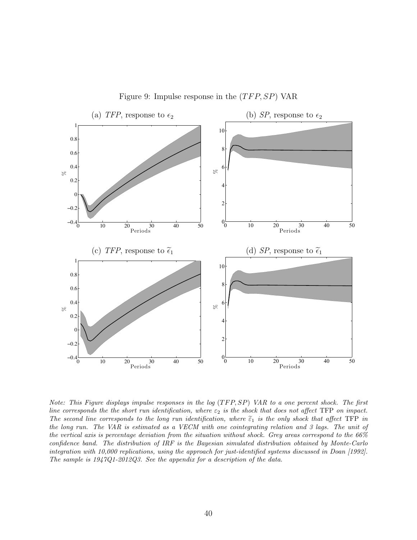

<span id="page-41-0"></span>Figure 9: Impulse response in the  $(TFP, SP)$  VAR

Note: This Figure displays impulse responses in the log  $(TFP, SP)$  VAR to a one percent shock. The first line corresponds the the short run identification, where  $\varepsilon_2$  is the shock that does not affect TFP on impact. The second line corresponds to the long run identification, where  $\tilde{\epsilon}_1$  is the only shock that affect TFP in the long run. The VAR is estimated as a VECM with one cointegrating relation and 3 lags. The unit of the vertical axis is percentage deviation from the situation without shock. Grey areas correspond to the 66% confidence band. The distribution of IRF is the Bayesian simulated distribution obtained by Monte-Carlo integration with 10,000 replications, using the approach for just-identified systems discussed in Doan [1992]. The sample is 1947Q1-2012Q3. See the appendix for a description of the data.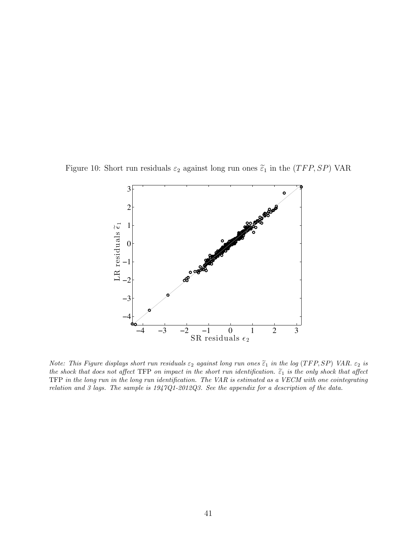Figure 10: Short run residuals  $\varepsilon_2$  against long run ones  $\tilde{\varepsilon}_1$  in the (TFP, SP) VAR

<span id="page-42-0"></span>

Note: This Figure displays short run residuals  $\varepsilon_2$  against long run ones  $\tilde{\varepsilon}_1$  in the log (TFP, SP) VAR.  $\varepsilon_2$  is the shock that does not affect TFP on impact in the short run identification.  $\tilde{\epsilon}_1$  is the only shock that affect TFP in the long run in the long run identification. The VAR is estimated as a VECM with one cointegrating relation and 3 lags. The sample is 1947Q1-2012Q3. See the appendix for a description of the data.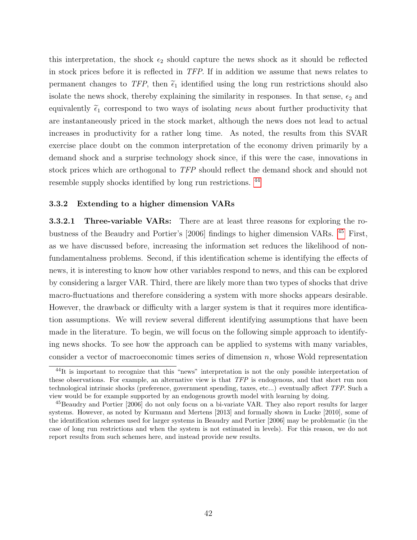this interpretation, the shock  $\epsilon_2$  should capture the news shock as it should be reflected in stock prices before it is reflected in TFP. If in addition we assume that news relates to permanent changes to TFP, then  $\tilde{\epsilon}_1$  identified using the long run restrictions should also isolate the news shock, thereby explaining the similarity in responses. In that sense,  $\epsilon_2$  and equivalently  $\tilde{\epsilon}_1$  correspond to two ways of isolating news about further productivity that are instantaneously priced in the stock market, although the news does not lead to actual increases in productivity for a rather long time. As noted, the results from this SVAR exercise place doubt on the common interpretation of the economy driven primarily by a demand shock and a surprise technology shock since, if this were the case, innovations in stock prices which are orthogonal to TFP should reflect the demand shock and should not resemble supply shocks identified by long run restrictions. [44](#page-43-0)

## 3.3.2 Extending to a higher dimension VARs

<span id="page-43-2"></span>3.3.2.1 Three-variable VARs: There are at least three reasons for exploring the robustness of the Beaudry and Portier's [2006] findings to higher dimension VARs. [45](#page-43-1) First, as we have discussed before, increasing the information set reduces the likelihood of nonfundamentalness problems. Second, if this identification scheme is identifying the effects of news, it is interesting to know how other variables respond to news, and this can be explored by considering a larger VAR. Third, there are likely more than two types of shocks that drive macro-fluctuations and therefore considering a system with more shocks appears desirable. However, the drawback or difficulty with a larger system is that it requires more identification assumptions. We will review several different identifying assumptions that have been made in the literature. To begin, we will focus on the following simple approach to identifying news shocks. To see how the approach can be applied to systems with many variables, consider a vector of macroeconomic times series of dimension  $n$ , whose Wold representation

<span id="page-43-0"></span> $^{44}$ It is important to recognize that this "news" interpretation is not the only possible interpretation of these observations. For example, an alternative view is that TFP is endogenous, and that short run non technological intrinsic shocks (preference, government spending, taxes, etc...) eventually affect TFP. Such a view would be for example supported by an endogenous growth model with learning by doing.

<span id="page-43-1"></span><sup>45</sup>Beaudry and Portier [2006] do not only focus on a bi-variate VAR. They also report results for larger systems. However, as noted by Kurmann and Mertens [2013] and formally shown in Lucke [2010], some of the identification schemes used for larger systems in Beaudry and Portier [2006] may be problematic (in the case of long run restrictions and when the system is not estimated in levels). For this reason, we do not report results from such schemes here, and instead provide new results.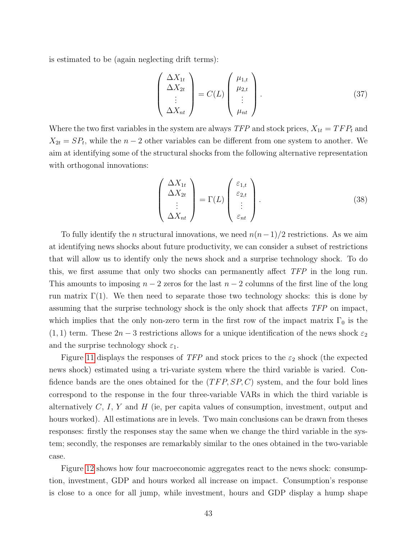is estimated to be (again neglecting drift terms):

<span id="page-44-0"></span>
$$
\begin{pmatrix}\n\Delta X_{1t} \\
\Delta X_{2t} \\
\vdots \\
\Delta X_{nt}\n\end{pmatrix} = C(L) \begin{pmatrix}\n\mu_{1,t} \\
\mu_{2,t} \\
\vdots \\
\mu_{nt}\n\end{pmatrix}.
$$
\n(37)

Where the two first variables in the system are always  $TFP$  and stock prices,  $X_{1t} = TFP_t$  and  $X_{2t} = SP_t$ , while the  $n-2$  other variables can be different from one system to another. We aim at identifying some of the structural shocks from the following alternative representation with orthogonal innovations:

<span id="page-44-1"></span>
$$
\begin{pmatrix}\n\Delta X_{1t} \\
\Delta X_{2t} \\
\vdots \\
\Delta X_{nt}\n\end{pmatrix} = \Gamma(L) \begin{pmatrix}\n\varepsilon_{1,t} \\
\varepsilon_{2,t} \\
\vdots \\
\varepsilon_{nt}\n\end{pmatrix}.
$$
\n(38)

To fully identify the *n* structural innovations, we need  $n(n-1)/2$  restrictions. As we aim at identifying news shocks about future productivity, we can consider a subset of restrictions that will allow us to identify only the news shock and a surprise technology shock. To do this, we first assume that only two shocks can permanently affect TFP in the long run. This amounts to imposing  $n-2$  zeros for the last  $n-2$  columns of the first line of the long run matrix  $\Gamma(1)$ . We then need to separate those two technology shocks: this is done by assuming that the surprise technology shock is the only shock that affects TFP on impact, which implies that the only non-zero term in the first row of the impact matrix  $\Gamma_0$  is the  $(1, 1)$  term. These  $2n - 3$  restrictions allows for a unique identification of the news shock  $\varepsilon_2$ and the surprise technology shock  $\varepsilon_1$ .

Figure [11](#page-45-0) displays the responses of  $TFP$  and stock prices to the  $\varepsilon_2$  shock (the expected news shock) estimated using a tri-variate system where the third variable is varied. Confidence bands are the ones obtained for the  $(TFP, SP, C)$  system, and the four bold lines correspond to the response in the four three-variable VARs in which the third variable is alternatively  $C, I, Y$  and  $H$  (ie, per capita values of consumption, investment, output and hours worked). All estimations are in levels. Two main conclusions can be drawn from theses responses: firstly the responses stay the same when we change the third variable in the system; secondly, the responses are remarkably similar to the ones obtained in the two-variable case.

Figure [12](#page-47-0) shows how four macroeconomic aggregates react to the news shock: consumption, investment, GDP and hours worked all increase on impact. Consumption's response is close to a once for all jump, while investment, hours and GDP display a hump shape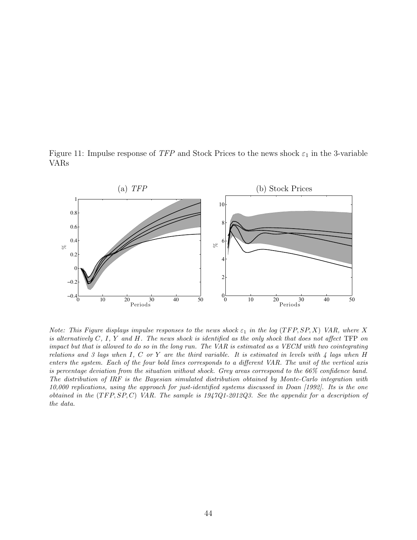<span id="page-45-0"></span>Figure 11: Impulse response of TFP and Stock Prices to the news shock  $\varepsilon_1$  in the 3-variable VARs



Note: This Figure displays impulse responses to the news shock  $\varepsilon_1$  in the log (TFP, SP, X) VAR, where X is alternatively  $C, I, Y$  and  $H$ . The news shock is identified as the only shock that does not affect TFP on impact but that is allowed to do so in the long run. The VAR is estimated as a VECM with two cointegrating relations and 3 lags when I, C or Y are the third variable. It is estimated in levels with  $\frac{1}{4}$  lags when H enters the system. Each of the four bold lines corresponds to a different VAR. The unit of the vertical axis is percentage deviation from the situation without shock. Grey areas correspond to the 66% confidence band. The distribution of IRF is the Bayesian simulated distribution obtained by Monte-Carlo integration with 10,000 replications, using the approach for just-identified systems discussed in Doan [1992]. Its is the one obtained in the  $(TFP, SP, C)$  VAR. The sample is 1947Q1-2012Q3. See the appendix for a description of the data.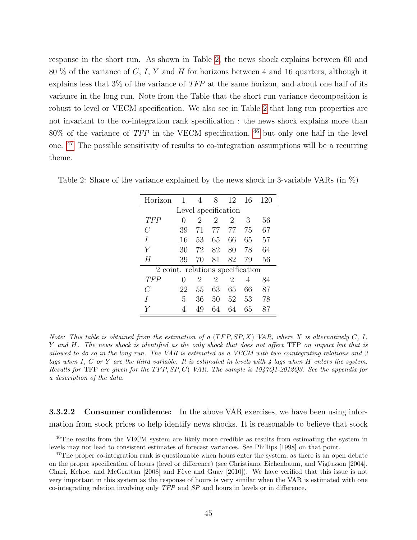response in the short run. As shown in Table [2,](#page-46-0) the news shock explains between 60 and 80 % of the variance of C, I, Y and H for horizons between 4 and 16 quarters, although it explains less that 3% of the variance of TFP at the same horizon, and about one half of its variance in the long run. Note from the Table that the short run variance decomposition is robust to level or VECM specification. We also see in Table [2](#page-46-0) that long run properties are not invariant to the co-integration rank specification : the news shock explains more than 80% of the variance of TFP in the VECM specification, [46](#page-46-1) but only one half in the level one. [47](#page-46-2) The possible sensitivity of results to co-integration assumptions will be a recurring theme.

| Horizon                          | 1                | 4                           | 8              | 12             | 16 | 120 |
|----------------------------------|------------------|-----------------------------|----------------|----------------|----|-----|
| Level specification              |                  |                             |                |                |    |     |
| TFP                              | $\left( \right)$ | $\mathcal{D}_{\mathcal{L}}$ | $\overline{2}$ | $\overline{2}$ | 3  | 56  |
| C                                | 39               | 71                          | 77             | 77             | 75 | 67  |
| I                                | 16               | 53                          | 65             | 66             | 65 | 57  |
| Y                                | 30               | 72                          | 82             | 80             | 78 | 64  |
| H                                | 39               | 70                          | 81             | 82             | 79 | 56  |
| 2 coint. relations specification |                  |                             |                |                |    |     |
| TFP                              | $\mathcal{O}$    | 2                           | 2              | 2              | 4  | 84  |
| C                                | 22               | 55                          | 63             | 65             | 66 | 87  |
| I                                | 5                | 36                          | 50             | 52             | 53 | 78  |
|                                  | 4                | 49                          | 64             | 64             | 65 | 87  |

<span id="page-46-0"></span>Table 2: Share of the variance explained by the news shock in 3-variable VARs (in %)

Note: This table is obtained from the estimation of a  $(TFP, SP, X)$  VAR, where X is alternatively C, I, Y and H. The news shock is identified as the only shock that does not affect TFP on impact but that is allowed to do so in the long run. The VAR is estimated as a VECM with two cointegrating relations and 3 lags when I, C or Y are the third variable. It is estimated in levels with  $\lambda$  lags when H enters the system. Results for TFP are given for the  $TFP, SP, C$ ) VAR. The sample is 1947Q1-2012Q3. See the appendix for a description of the data.

**3.3.2.2 Consumer confidence:** In the above VAR exercises, we have been using information from stock prices to help identify news shocks. It is reasonable to believe that stock

<span id="page-46-1"></span><sup>&</sup>lt;sup>46</sup>The results from the VECM system are likely more credible as results from estimating the system in levels may not lead to consistent estimates of forecast variances. See Phillips [1998] on that point.

<span id="page-46-2"></span><sup>&</sup>lt;sup>47</sup>The proper co-integration rank is questionable when hours enter the system, as there is an open debate on the proper specification of hours (level or difference) (see Christiano, Eichenbaum, and Vigfusson [2004], Chari, Kehoe, and McGrattan [2008] and Fève and Guay [2010]). We have verified that this issue is not very important in this system as the response of hours is very similar when the VAR is estimated with one co-integrating relation involving only TFP and SP and hours in levels or in difference.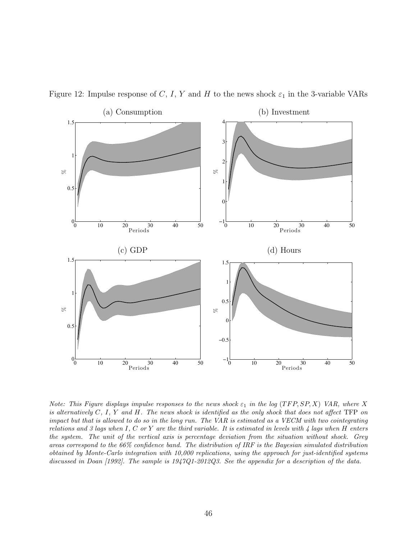

<span id="page-47-0"></span>Figure 12: Impulse response of C, I, Y and H to the news shock  $\varepsilon_1$  in the 3-variable VARs

Note: This Figure displays impulse responses to the news shock  $\varepsilon_1$  in the log (TFP, SP, X) VAR, where X is alternatively  $C, I, Y$  and  $H$ . The news shock is identified as the only shock that does not affect TFP on impact but that is allowed to do so in the long run. The VAR is estimated as a VECM with two cointegrating relations and 3 lags when  $I, C$  or  $Y$  are the third variable. It is estimated in levels with  $\mu$  lags when  $H$  enters the system. The unit of the vertical axis is percentage deviation from the situation without shock. Grey areas correspond to the 66% confidence band. The distribution of IRF is the Bayesian simulated distribution obtained by Monte-Carlo integration with 10,000 replications, using the approach for just-identified systems discussed in Doan [1992]. The sample is 1947Q1-2012Q3. See the appendix for a description of the data.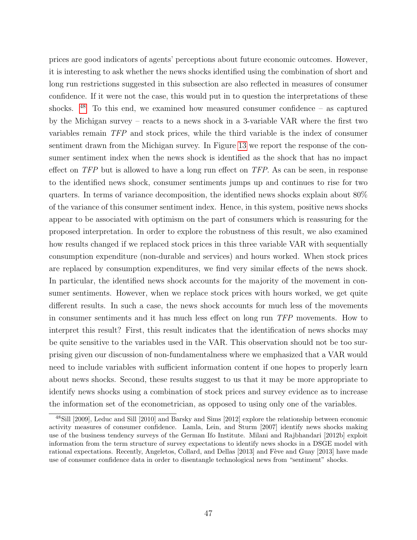prices are good indicators of agents' perceptions about future economic outcomes. However, it is interesting to ask whether the news shocks identified using the combination of short and long run restrictions suggested in this subsection are also reflected in measures of consumer confidence. If it were not the case, this would put in to question the interpretations of these shocks.  $48$  To this end, we examined how measured consumer confidence – as captured by the Michigan survey – reacts to a news shock in a 3-variable VAR where the first two variables remain TFP and stock prices, while the third variable is the index of consumer sentiment drawn from the Michigan survey. In Figure [13](#page-49-0) we report the response of the consumer sentiment index when the news shock is identified as the shock that has no impact effect on TFP but is allowed to have a long run effect on TFP. As can be seen, in response to the identified news shock, consumer sentiments jumps up and continues to rise for two quarters. In terms of variance decomposition, the identified news shocks explain about 80% of the variance of this consumer sentiment index. Hence, in this system, positive news shocks appear to be associated with optimism on the part of consumers which is reassuring for the proposed interpretation. In order to explore the robustness of this result, we also examined how results changed if we replaced stock prices in this three variable VAR with sequentially consumption expenditure (non-durable and services) and hours worked. When stock prices are replaced by consumption expenditures, we find very similar effects of the news shock. In particular, the identified news shock accounts for the majority of the movement in consumer sentiments. However, when we replace stock prices with hours worked, we get quite different results. In such a case, the news shock accounts for much less of the movements in consumer sentiments and it has much less effect on long run TFP movements. How to interpret this result? First, this result indicates that the identification of news shocks may be quite sensitive to the variables used in the VAR. This observation should not be too surprising given our discussion of non-fundamentalness where we emphasized that a VAR would need to include variables with sufficient information content if one hopes to properly learn about news shocks. Second, these results suggest to us that it may be more appropriate to identify news shocks using a combination of stock prices and survey evidence as to increase the information set of the econometrician, as opposed to using only one of the variables.

<span id="page-48-0"></span><sup>48</sup>Sill [2009], Leduc and Sill [2010] and Barsky and Sims [2012] explore the relationship between economic activity measures of consumer confidence. Lamla, Lein, and Sturm [2007] identify news shocks making use of the business tendency surveys of the German Ifo Institute. Milani and Rajbhandari [2012b] exploit information from the term structure of survey expectations to identify news shocks in a DSGE model with rational expectations. Recently, Angeletos, Collard, and Dellas [2013] and Fève and Guay [2013] have made use of consumer confidence data in order to disentangle technological news from "sentiment" shocks.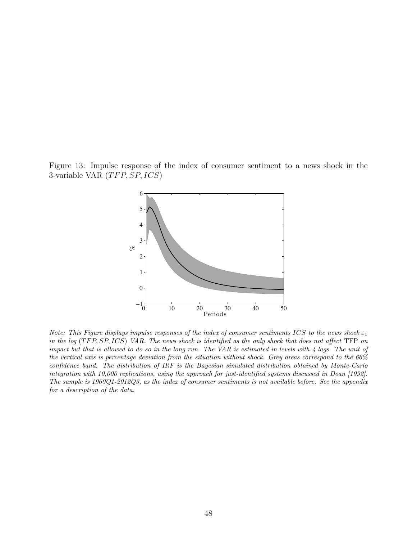Figure 13: Impulse response of the index of consumer sentiment to a news shock in the 3-variable VAR  $(TFP, SP, ICS)$ 

<span id="page-49-0"></span>

Note: This Figure displays impulse responses of the index of consumer sentiments ICS to the news shock  $\varepsilon_1$ in the log  $(TFP, SP, ICS)$  VAR. The news shock is identified as the only shock that does not affect TFP on impact but that is allowed to do so in the long run. The VAR is estimated in levels with  $\frac{1}{4}$  lags. The unit of the vertical axis is percentage deviation from the situation without shock. Grey areas correspond to the 66% confidence band. The distribution of IRF is the Bayesian simulated distribution obtained by Monte-Carlo integration with 10,000 replications, using the approach for just-identified systems discussed in Doan [1992]. The sample is 1960Q1-2012Q3, as the index of consumer sentiments is not available before. See the appendix for a description of the data.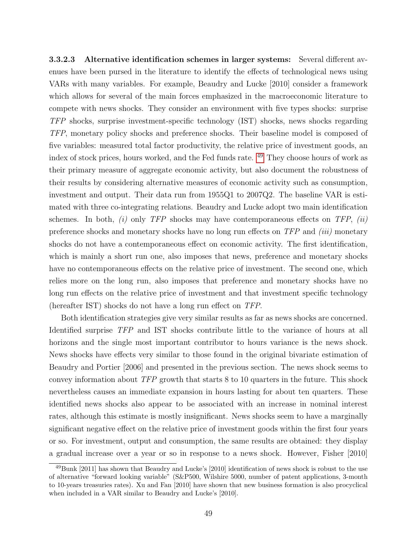3.3.2.3 Alternative identification schemes in larger systems: Several different avenues have been pursed in the literature to identify the effects of technological news using VARs with many variables. For example, Beaudry and Lucke [2010] consider a framework which allows for several of the main forces emphasized in the macroeconomic literature to compete with news shocks. They consider an environment with five types shocks: surprise TFP shocks, surprise investment-specific technology (IST) shocks, news shocks regarding TFP, monetary policy shocks and preference shocks. Their baseline model is composed of five variables: measured total factor productivity, the relative price of investment goods, an index of stock prices, hours worked, and the Fed funds rate. [49](#page-50-0) They choose hours of work as their primary measure of aggregate economic activity, but also document the robustness of their results by considering alternative measures of economic activity such as consumption, investment and output. Their data run from 1955Q1 to 2007Q2. The baseline VAR is estimated with three co-integrating relations. Beaudry and Lucke adopt two main identification schemes. In both,  $(i)$  only TFP shocks may have contemporaneous effects on TFP,  $(ii)$ preference shocks and monetary shocks have no long run effects on  $TFP$  and *(iii)* monetary shocks do not have a contemporaneous effect on economic activity. The first identification, which is mainly a short run one, also imposes that news, preference and monetary shocks have no contemporaneous effects on the relative price of investment. The second one, which relies more on the long run, also imposes that preference and monetary shocks have no long run effects on the relative price of investment and that investment specific technology (hereafter IST) shocks do not have a long run effect on TFP.

Both identification strategies give very similar results as far as news shocks are concerned. Identified surprise TFP and IST shocks contribute little to the variance of hours at all horizons and the single most important contributor to hours variance is the news shock. News shocks have effects very similar to those found in the original bivariate estimation of Beaudry and Portier [2006] and presented in the previous section. The news shock seems to convey information about TFP growth that starts 8 to 10 quarters in the future. This shock nevertheless causes an immediate expansion in hours lasting for about ten quarters. These identified news shocks also appear to be associated with an increase in nominal interest rates, although this estimate is mostly insignificant. News shocks seem to have a marginally significant negative effect on the relative price of investment goods within the first four years or so. For investment, output and consumption, the same results are obtained: they display a gradual increase over a year or so in response to a news shock. However, Fisher [2010]

<span id="page-50-0"></span><sup>49</sup>Bunk [2011] has shown that Beaudry and Lucke's [2010] identification of news shock is robust to the use of alternative "forward looking variable" (S&P500, Wilshire 5000, number of patent applications, 3-month to 10-years treasuries rates). Xu and Fan [2010] have shown that new business formation is also procyclical when included in a VAR similar to Beaudry and Lucke's [2010].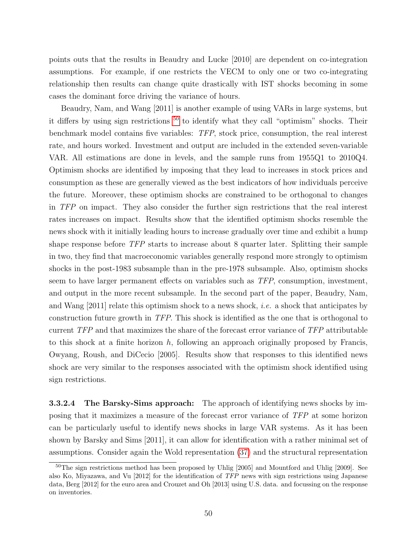points outs that the results in Beaudry and Lucke [2010] are dependent on co-integration assumptions. For example, if one restricts the VECM to only one or two co-integrating relationship then results can change quite drastically with IST shocks becoming in some cases the dominant force driving the variance of hours.

Beaudry, Nam, and Wang [2011] is another example of using VARs in large systems, but it differs by using sign restrictions  $50$  to identify what they call "optimism" shocks. Their benchmark model contains five variables: TFP, stock price, consumption, the real interest rate, and hours worked. Investment and output are included in the extended seven-variable VAR. All estimations are done in levels, and the sample runs from 1955Q1 to 2010Q4. Optimism shocks are identified by imposing that they lead to increases in stock prices and consumption as these are generally viewed as the best indicators of how individuals perceive the future. Moreover, these optimism shocks are constrained to be orthogonal to changes in TFP on impact. They also consider the further sign restrictions that the real interest rates increases on impact. Results show that the identified optimism shocks resemble the news shock with it initially leading hours to increase gradually over time and exhibit a hump shape response before TFP starts to increase about 8 quarter later. Splitting their sample in two, they find that macroeconomic variables generally respond more strongly to optimism shocks in the post-1983 subsample than in the pre-1978 subsample. Also, optimism shocks seem to have larger permanent effects on variables such as TFP, consumption, investment, and output in the more recent subsample. In the second part of the paper, Beaudry, Nam, and Wang [2011] relate this optimism shock to a news shock, *i.e.* a shock that anticipates by construction future growth in TFP. This shock is identified as the one that is orthogonal to current TFP and that maximizes the share of the forecast error variance of TFP attributable to this shock at a finite horizon  $h$ , following an approach originally proposed by Francis, Owyang, Roush, and DiCecio [2005]. Results show that responses to this identified news shock are very similar to the responses associated with the optimism shock identified using sign restrictions.

**3.3.2.4** The Barsky-Sims approach: The approach of identifying news shocks by imposing that it maximizes a measure of the forecast error variance of TFP at some horizon can be particularly useful to identify news shocks in large VAR systems. As it has been shown by Barsky and Sims [2011], it can allow for identification with a rather minimal set of assumptions. Consider again the Wold representation [\(37\)](#page-44-0) and the structural representation

<span id="page-51-0"></span> $50$ The sign restrictions method has been proposed by Uhlig [2005] and Mountford and Uhlig [2009]. See also Ko, Miyazawa, and Vu [2012] for the identification of TFP news with sign restrictions using Japanese data, Berg [2012] for the euro area and Crouzet and Oh [2013] using U.S. data. and focussing on the response on inventories.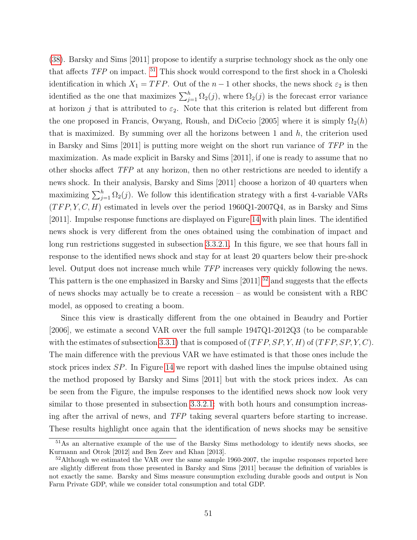[\(38\)](#page-44-1). Barsky and Sims [2011] propose to identify a surprise technology shock as the only one that affects TFP on impact. [51](#page-52-0) This shock would correspond to the first shock in a Choleski identification in which  $X_1 = TFP$ . Out of the  $n-1$  other shocks, the news shock  $\varepsilon_2$  is then identified as the one that maximizes  $\sum_{j=1}^{h} \Omega_2(j)$ , where  $\Omega_2(j)$  is the forecast error variance at horizon j that is attributed to  $\varepsilon_2$ . Note that this criterion is related but different from the one proposed in Francis, Owyang, Roush, and DiCecio [2005] where it is simply  $\Omega_2(h)$ that is maximized. By summing over all the horizons between 1 and  $h$ , the criterion used in Barsky and Sims [2011] is putting more weight on the short run variance of TFP in the maximization. As made explicit in Barsky and Sims [2011], if one is ready to assume that no other shocks affect TFP at any horizon, then no other restrictions are needed to identify a news shock. In their analysis, Barsky and Sims [2011] choose a horizon of 40 quarters when maximizing  $\sum_{j=1}^{h} \Omega_2(j)$ . We follow this identification strategy with a first 4-variable VARs  $(TFP, Y, C, H)$  estimated in levels over the period 1960Q1-2007Q4, as in Barsky and Sims [2011]. Impulse response functions are displayed on Figure [14](#page-54-0) with plain lines. The identified news shock is very different from the ones obtained using the combination of impact and long run restrictions suggested in subsection [3.3.2.1.](#page-43-2) In this figure, we see that hours fall in response to the identified news shock and stay for at least 20 quarters below their pre-shock level. Output does not increase much while TFP increases very quickly following the news. This pattern is the one emphasized in Barsky and Sims  $[2011]$ <sup>[52](#page-52-1)</sup> and suggests that the effects of news shocks may actually be to create a recession – as would be consistent with a RBC model, as opposed to creating a boom.

Since this view is drastically different from the one obtained in Beaudry and Portier [2006], we estimate a second VAR over the full sample 1947Q1-2012Q3 (to be comparable with the estimates of subsection [3.3.1\)](#page-38-0) that is composed of  $(TFP, SP, Y, H)$  of  $(TFP, SP, Y, C)$ . The main difference with the previous VAR we have estimated is that those ones include the stock prices index SP. In Figure [14](#page-54-0) we report with dashed lines the impulse obtained using the method proposed by Barsky and Sims [2011] but with the stock prices index. As can be seen from the Figure, the impulse responses to the identified news shock now look very similar to those presented in subsection [3.3.2.1:](#page-43-2) with both hours and consumption increasing after the arrival of news, and TFP taking several quarters before starting to increase. These results highlight once again that the identification of news shocks may be sensitive

<span id="page-52-0"></span><sup>&</sup>lt;sup>51</sup>As an alternative example of the use of the Barsky Sims methodology to identify news shocks, see Kurmann and Otrok [2012] and Ben Zeev and Khan [2013].

<span id="page-52-1"></span> $52$ Although we estimated the VAR over the same sample 1960-2007, the impulse responses reported here are slightly different from those presented in Barsky and Sims [2011] because the definition of variables is not exactly the same. Barsky and Sims measure consumption excluding durable goods and output is Non Farm Private GDP, while we consider total consumption and total GDP.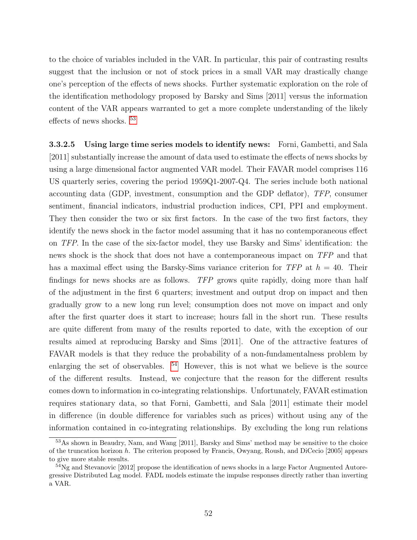to the choice of variables included in the VAR. In particular, this pair of contrasting results suggest that the inclusion or not of stock prices in a small VAR may drastically change one's perception of the effects of news shocks. Further systematic exploration on the role of the identification methodology proposed by Barsky and Sims [2011] versus the information content of the VAR appears warranted to get a more complete understanding of the likely effects of news shocks. [53](#page-53-0)

3.3.2.5 Using large time series models to identify news: Forni, Gambetti, and Sala [2011] substantially increase the amount of data used to estimate the effects of news shocks by using a large dimensional factor augmented VAR model. Their FAVAR model comprises 116 US quarterly series, covering the period 1959Q1-2007-Q4. The series include both national accounting data (GDP, investment, consumption and the GDP deflator), TFP, consumer sentiment, financial indicators, industrial production indices, CPI, PPI and employment. They then consider the two or six first factors. In the case of the two first factors, they identify the news shock in the factor model assuming that it has no contemporaneous effect on TFP. In the case of the six-factor model, they use Barsky and Sims' identification: the news shock is the shock that does not have a contemporaneous impact on TFP and that has a maximal effect using the Barsky-Sims variance criterion for  $TFP$  at  $h = 40$ . Their findings for news shocks are as follows. TFP grows quite rapidly, doing more than half of the adjustment in the first 6 quarters; investment and output drop on impact and then gradually grow to a new long run level; consumption does not move on impact and only after the first quarter does it start to increase; hours fall in the short run. These results are quite different from many of the results reported to date, with the exception of our results aimed at reproducing Barsky and Sims [2011]. One of the attractive features of FAVAR models is that they reduce the probability of a non-fundamentalness problem by enlarging the set of observables.  $54$  However, this is not what we believe is the source of the different results. Instead, we conjecture that the reason for the different results comes down to information in co-integrating relationships. Unfortunately, FAVAR estimation requires stationary data, so that Forni, Gambetti, and Sala [2011] estimate their model in difference (in double difference for variables such as prices) without using any of the information contained in co-integrating relationships. By excluding the long run relations

<span id="page-53-0"></span><sup>53</sup>As shown in Beaudry, Nam, and Wang [2011], Barsky and Sims' method may be sensitive to the choice of the truncation horizon h. The criterion proposed by Francis, Owyang, Roush, and DiCecio [2005] appears to give more stable results.

<span id="page-53-1"></span> $^{54}$ Ng and Stevanovic [2012] propose the identification of news shocks in a large Factor Augmented Autoregressive Distributed Lag model. FADL models estimate the impulse responses directly rather than inverting a VAR.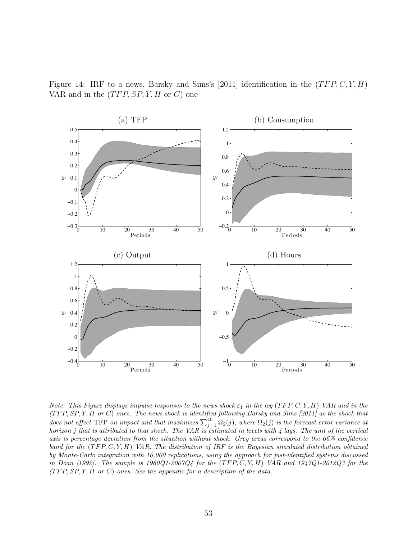<span id="page-54-0"></span>Figure 14: IRF to a news, Barsky and Sims's [2011] identification in the  $(TFP, C, Y, H)$ VAR and in the  $(TFP, SP, Y, H \text{ or } C)$  one



Note: This Figure displays impulse responses to the news shock  $\varepsilon_1$  in the log (TFP, C, Y, H) VAR and in the  $(TFP, SP, Y, H \text{ or } C)$  ones. The news shock is identified following Barsky and Sims [2011] as the shock that does not affect TFP on impact and that maximizes  $\sum_{j=1}^{40} \Omega_2(j)$ , where  $\Omega_2(j)$  is the forecast error variance at horizon j that is attributed to that shock. The VAR is estimated in levels with  $\frac{1}{4}$  lags. The unit of the vertical axis is percentage deviation from the situation without shock. Grey areas correspond to the 66% confidence band for the  $(TFP, C, Y, H)$  VAR. The distribution of IRF is the Bayesian simulated distribution obtained by Monte-Carlo integration with 10,000 replications, using the approach for just-identified systems discussed in Doan [1992]. The sample is  $1960Q1-2007Q4$  for the  $(TFP, C, Y, H)$  VAR and  $1947Q1-2012Q3$  for the  $(TFP, SP, Y, H \text{ or } C)$  ones. See the appendix for a description of the data.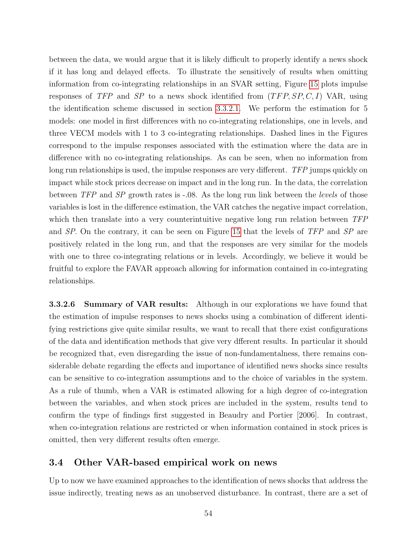between the data, we would argue that it is likely difficult to properly identify a news shock if it has long and delayed effects. To illustrate the sensitively of results when omitting information from co-integrating relationships in an SVAR setting, Figure [15](#page-56-0) plots impulse responses of TFP and SP to a news shock identified from  $(TFP, SP, C, I)$  VAR, using the identification scheme discussed in section [3.3.2.1.](#page-43-2) We perform the estimation for 5 models: one model in first differences with no co-integrating relationships, one in levels, and three VECM models with 1 to 3 co-integrating relationships. Dashed lines in the Figures correspond to the impulse responses associated with the estimation where the data are in difference with no co-integrating relationships. As can be seen, when no information from long run relationships is used, the impulse responses are very different. TFP jumps quickly on impact while stock prices decrease on impact and in the long run. In the data, the correlation between TFP and SP growth rates is -.08. As the long run link between the *levels* of those variables is lost in the difference estimation, the VAR catches the negative impact correlation, which then translate into a very counterintuitive negative long run relation between TFP and SP. On the contrary, it can be seen on Figure [15](#page-56-0) that the levels of TFP and SP are positively related in the long run, and that the responses are very similar for the models with one to three co-integrating relations or in levels. Accordingly, we believe it would be fruitful to explore the FAVAR approach allowing for information contained in co-integrating relationships.

3.3.2.6 Summary of VAR results: Although in our explorations we have found that the estimation of impulse responses to news shocks using a combination of different identifying restrictions give quite similar results, we want to recall that there exist configurations of the data and identification methods that give very dfferent results. In particular it should be recognized that, even disregarding the issue of non-fundamentalness, there remains considerable debate regarding the effects and importance of identified news shocks since results can be sensitive to co-integration assumptions and to the choice of variables in the system. As a rule of thumb, when a VAR is estimated allowing for a high degree of co-integration between the variables, and when stock prices are included in the system, results tend to confirm the type of findings first suggested in Beaudry and Portier [2006]. In contrast, when co-integration relations are restricted or when information contained in stock prices is omitted, then very different results often emerge.

# 3.4 Other VAR-based empirical work on news

Up to now we have examined approaches to the identification of news shocks that address the issue indirectly, treating news as an unobserved disturbance. In contrast, there are a set of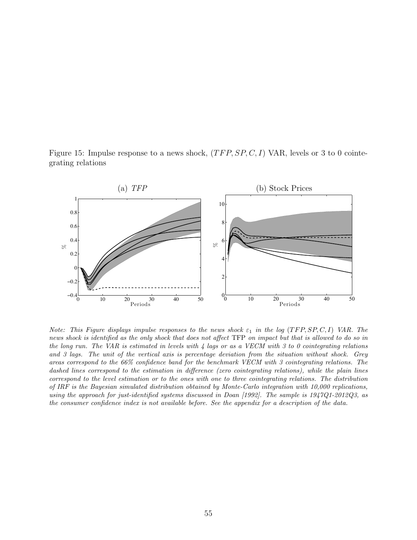<span id="page-56-0"></span>Figure 15: Impulse response to a news shock,  $(TFP, SP, C, I)$  VAR, levels or 3 to 0 cointegrating relations



Note: This Figure displays impulse responses to the news shock  $\varepsilon_1$  in the log (TFP, SP, C, I) VAR. The news shock is identified as the only shock that does not affect TFP on impact but that is allowed to do so in the long run. The VAR is estimated in levels with  $\lambda$  lags or as a VECM with 3 to 0 cointegrating relations and 3 lags. The unit of the vertical axis is percentage deviation from the situation without shock. Grey areas correspond to the 66% confidence band for the benchmark VECM with 3 cointegrating relations. The dashed lines correspond to the estimation in difference (zero cointegrating relations), while the plain lines correspond to the level estimation or to the ones with one to three cointegrating relations. The distribution of IRF is the Bayesian simulated distribution obtained by Monte-Carlo integration with 10,000 replications, using the approach for just-identified systems discussed in Doan [1992]. The sample is 1947Q1-2012Q3, as the consumer confidence index is not available before. See the appendix for a description of the data.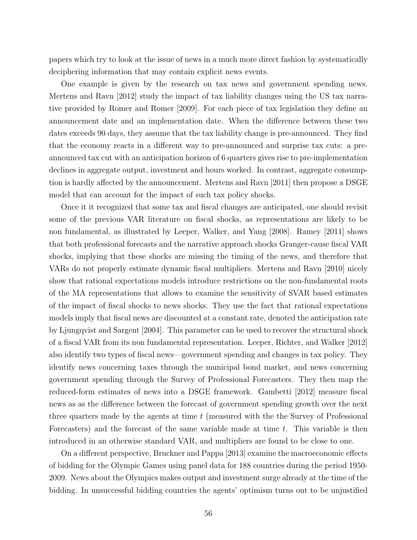papers which try to look at the issue of news in a much more direct fashion by systematically deciphering information that may contain explicit news events.

One example is given by the research on tax news and government spending news. Mertens and Ravn [2012] study the impact of tax liability changes using the US tax narrative provided by Romer and Romer [2009]. For each piece of tax legislation they define an announcement date and an implementation date. When the difference between these two dates exceeds 90 days, they assume that the tax liability change is pre-announced. They find that the economy reacts in a different way to pre-announced and surprise tax cuts: a preannounced tax cut with an anticipation horizon of 6 quarters gives rise to pre-implementation declines in aggregate output, investment and hours worked. In contrast, aggregate consumption is hardly affected by the announcement. Mertens and Ravn [2011] then propose a DSGE model that can account for the impact of such tax policy shocks.

Once it it recognized that some tax and fiscal changes are anticipated, one should revisit some of the previous VAR literature on fiscal shocks, as representations are likely to be non fundamental, as illustrated by Leeper, Walker, and Yang [2008]. Ramey [2011] shows that both professional forecasts and the narrative approach shocks Granger-cause fiscal VAR shocks, implying that these shocks are missing the timing of the news, and therefore that VARs do not properly estimate dynamic fiscal multipliers. Mertens and Ravn [2010] nicely show that rational expectations models introduce restrictions on the non-fundamental roots of the MA representations that allows to examine the sensitivity of SVAR based estimates of the impact of fiscal shocks to news shocks. They use the fact that rational expectations models imply that fiscal news are discounted at a constant rate, denoted the anticipation rate by Ljungqvist and Sargent [2004]. This parameter can be used to recover the structural shock of a fiscal VAR from its non fundamental representation. Leeper, Richter, and Walker [2012] also identify two types of fiscal news—government spending and changes in tax policy. They identify news concerning taxes through the municipal bond market, and news concerning government spending through the Survey of Professional Forecasters. They then map the reduced-form estimates of news into a DSGE framework. Gambetti [2012] measure fiscal news as as the difference between the forecast of government spending growth over the next three quarters made by the agents at time  $t$  (measured with the survey of Professional Forecasters) and the forecast of the same variable made at time t. This variable is then introduced in an otherwise standard VAR, and multipliers are found to be close to one.

On a different perspective, Bruckner and Pappa [2013] examine the macroeconomic effects of bidding for the Olympic Games using panel data for 188 countries during the period 1950- 2009. News about the Olympics makes output and investment surge already at the time of the bidding. In unsuccessful bidding countries the agents' optimism turns out to be unjustified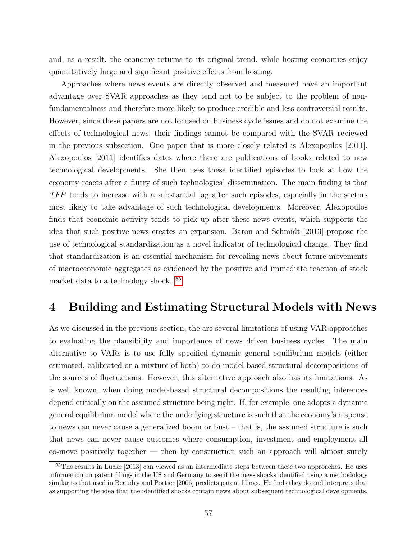and, as a result, the economy returns to its original trend, while hosting economies enjoy quantitatively large and significant positive effects from hosting.

Approaches where news events are directly observed and measured have an important advantage over SVAR approaches as they tend not to be subject to the problem of nonfundamentalness and therefore more likely to produce credible and less controversial results. However, since these papers are not focused on business cycle issues and do not examine the effects of technological news, their findings cannot be compared with the SVAR reviewed in the previous subsection. One paper that is more closely related is Alexopoulos [2011]. Alexopoulos [2011] identifies dates where there are publications of books related to new technological developments. She then uses these identified episodes to look at how the economy reacts after a flurry of such technological dissemination. The main finding is that TFP tends to increase with a substantial lag after such episodes, especially in the sectors most likely to take advantage of such technological developments. Moreover, Alexopoulos finds that economic activity tends to pick up after these news events, which supports the idea that such positive news creates an expansion. Baron and Schmidt [2013] propose the use of technological standardization as a novel indicator of technological change. They find that standardization is an essential mechanism for revealing news about future movements of macroeconomic aggregates as evidenced by the positive and immediate reaction of stock market data to a technology shock. <sup>[55](#page-58-0)</sup>

# 4 Building and Estimating Structural Models with News

As we discussed in the previous section, the are several limitations of using VAR approaches to evaluating the plausibility and importance of news driven business cycles. The main alternative to VARs is to use fully specified dynamic general equilibrium models (either estimated, calibrated or a mixture of both) to do model-based structural decompositions of the sources of fluctuations. However, this alternative approach also has its limitations. As is well known, when doing model-based structural decompositions the resulting inferences depend critically on the assumed structure being right. If, for example, one adopts a dynamic general equilibrium model where the underlying structure is such that the economy's response to news can never cause a generalized boom or bust – that is, the assumed structure is such that news can never cause outcomes where consumption, investment and employment all co-move positively together — then by construction such an approach will almost surely

<span id="page-58-0"></span><sup>55</sup>The results in Lucke [2013] can viewed as an intermediate steps between these two approaches. He uses information on patent filings in the US and Germany to see if the news shocks identified using a methodology similar to that used in Beaudry and Portier [2006] predicts patent filings. He finds they do and interprets that as supporting the idea that the identified shocks contain news about subsequent technological developments.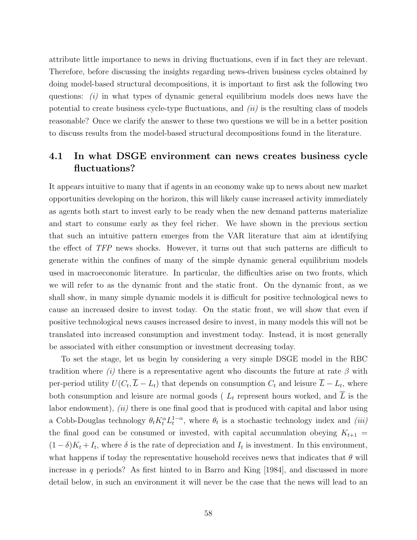attribute little importance to news in driving fluctuations, even if in fact they are relevant. Therefore, before discussing the insights regarding news-driven business cycles obtained by doing model-based structural decompositions, it is important to first ask the following two questions:  $(i)$  in what types of dynamic general equilibrium models does news have the potential to create business cycle-type fluctuations, and  $(ii)$  is the resulting class of models reasonable? Once we clarify the answer to these two questions we will be in a better position to discuss results from the model-based structural decompositions found in the literature.

# 4.1 In what DSGE environment can news creates business cycle fluctuations?

It appears intuitive to many that if agents in an economy wake up to news about new market opportunities developing on the horizon, this will likely cause increased activity immediately as agents both start to invest early to be ready when the new demand patterns materialize and start to consume early as they feel richer. We have shown in the previous section that such an intuitive pattern emerges from the VAR literature that aim at identifying the effect of TFP news shocks. However, it turns out that such patterns are difficult to generate within the confines of many of the simple dynamic general equilibrium models used in macroeconomic literature. In particular, the difficulties arise on two fronts, which we will refer to as the dynamic front and the static front. On the dynamic front, as we shall show, in many simple dynamic models it is difficult for positive technological news to cause an increased desire to invest today. On the static front, we will show that even if positive technological news causes increased desire to invest, in many models this will not be translated into increased consumption and investment today. Instead, it is most generally be associated with either consumption or investment decreasing today.

To set the stage, let us begin by considering a very simple DSGE model in the RBC tradition where (i) there is a representative agent who discounts the future at rate  $\beta$  with per-period utility  $U(C_t, \overline{L} - L_t)$  that depends on consumption  $C_t$  and leisure  $L - L_t$ , where both consumption and leisure are normal goods ( $L_t$  represent hours worked, and L is the labor endowment), *(ii)* there is one final good that is produced with capital and labor using a Cobb-Douglas technology  $\theta_t K_t^{\alpha} L_t^{1-\alpha}$ , where  $\theta_t$  is a stochastic technology index and *(iii)* the final good can be consumed or invested, with capital accumulation obeying  $K_{t+1}$  =  $(1 - \delta)K_t + I_t$ , where  $\delta$  is the rate of depreciation and  $I_t$  is investment. In this environment, what happens if today the representative household receives news that indicates that  $\theta$  will increase in q periods? As first hinted to in Barro and King  $[1984]$ , and discussed in more detail below, in such an environment it will never be the case that the news will lead to an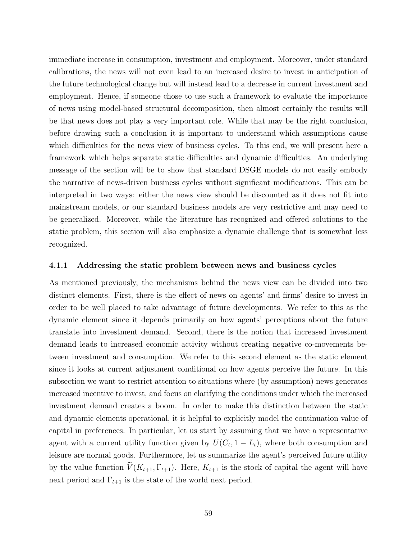immediate increase in consumption, investment and employment. Moreover, under standard calibrations, the news will not even lead to an increased desire to invest in anticipation of the future technological change but will instead lead to a decrease in current investment and employment. Hence, if someone chose to use such a framework to evaluate the importance of news using model-based structural decomposition, then almost certainly the results will be that news does not play a very important role. While that may be the right conclusion, before drawing such a conclusion it is important to understand which assumptions cause which difficulties for the news view of business cycles. To this end, we will present here a framework which helps separate static difficulties and dynamic difficulties. An underlying message of the section will be to show that standard DSGE models do not easily embody the narrative of news-driven business cycles without significant modifications. This can be interpreted in two ways: either the news view should be discounted as it does not fit into mainstream models, or our standard business models are very restrictive and may need to be generalized. Moreover, while the literature has recognized and offered solutions to the static problem, this section will also emphasize a dynamic challenge that is somewhat less recognized.

#### 4.1.1 Addressing the static problem between news and business cycles

As mentioned previously, the mechanisms behind the news view can be divided into two distinct elements. First, there is the effect of news on agents' and firms' desire to invest in order to be well placed to take advantage of future developments. We refer to this as the dynamic element since it depends primarily on how agents' perceptions about the future translate into investment demand. Second, there is the notion that increased investment demand leads to increased economic activity without creating negative co-movements between investment and consumption. We refer to this second element as the static element since it looks at current adjustment conditional on how agents perceive the future. In this subsection we want to restrict attention to situations where (by assumption) news generates increased incentive to invest, and focus on clarifying the conditions under which the increased investment demand creates a boom. In order to make this distinction between the static and dynamic elements operational, it is helpful to explicitly model the continuation value of capital in preferences. In particular, let us start by assuming that we have a representative agent with a current utility function given by  $U(C_t, 1 - L_t)$ , where both consumption and leisure are normal goods. Furthermore, let us summarize the agent's perceived future utility by the value function  $\widetilde{V}(K_{t+1}, \Gamma_{t+1})$ . Here,  $K_{t+1}$  is the stock of capital the agent will have next period and  $\Gamma_{t+1}$  is the state of the world next period.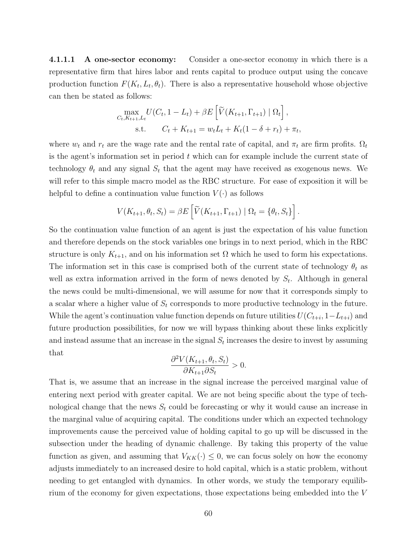4.1.1.1 A one-sector economy: Consider a one-sector economy in which there is a representative firm that hires labor and rents capital to produce output using the concave production function  $F(K_t, L_t, \theta_t)$ . There is also a representative household whose objective can then be stated as follows:

$$
\max_{C_t, K_{t+1}, L_t} U(C_t, 1 - L_t) + \beta E \left[ \widetilde{V}(K_{t+1}, \Gamma_{t+1}) \mid \Omega_t \right],
$$
  
s.t. 
$$
C_t + K_{t+1} = w_t L_t + K_t (1 - \delta + r_t) + \pi_t,
$$

where  $w_t$  and  $r_t$  are the wage rate and the rental rate of capital, and  $\pi_t$  are firm profits.  $\Omega_t$ is the agent's information set in period  $t$  which can for example include the current state of technology  $\theta_t$  and any signal  $S_t$  that the agent may have received as exogenous news. We will refer to this simple macro model as the RBC structure. For ease of exposition it will be helpful to define a continuation value function  $V(\cdot)$  as follows

$$
V(K_{t+1}, \theta_t, S_t) = \beta E \left[ \widetilde{V}(K_{t+1}, \Gamma_{t+1}) \mid \Omega_t = \{\theta_t, S_t\} \right].
$$

So the continuation value function of an agent is just the expectation of his value function and therefore depends on the stock variables one brings in to next period, which in the RBC structure is only  $K_{t+1}$ , and on his information set  $\Omega$  which he used to form his expectations. The information set in this case is comprised both of the current state of technology  $\theta_t$  as well as extra information arrived in the form of news denoted by  $S_t$ . Although in general the news could be multi-dimensional, we will assume for now that it corresponds simply to a scalar where a higher value of  $S_t$  corresponds to more productive technology in the future. While the agent's continuation value function depends on future utilities  $U(C_{t+i}, 1-L_{t+i})$  and future production possibilities, for now we will bypass thinking about these links explicitly and instead assume that an increase in the signal  $S_t$  increases the desire to invest by assuming that

$$
\frac{\partial^2 V(K_{t+1}, \theta_t, S_t)}{\partial K_{t+1} \partial S_t} > 0.
$$

That is, we assume that an increase in the signal increase the perceived marginal value of entering next period with greater capital. We are not being specific about the type of technological change that the news  $S_t$  could be forecasting or why it would cause an increase in the marginal value of acquiring capital. The conditions under which an expected technology improvements cause the perceived value of holding capital to go up will be discussed in the subsection under the heading of dynamic challenge. By taking this property of the value function as given, and assuming that  $V_{KK}(\cdot) \leq 0$ , we can focus solely on how the economy adjusts immediately to an increased desire to hold capital, which is a static problem, without needing to get entangled with dynamics. In other words, we study the temporary equilibrium of the economy for given expectations, those expectations being embedded into the V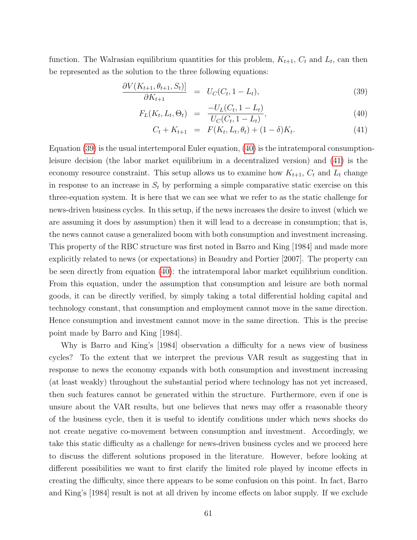function. The Walrasian equilibrium quantities for this problem,  $K_{t+1}$ ,  $C_t$  and  $L_t$ , can then be represented as the solution to the three following equations:

<span id="page-62-0"></span>
$$
\frac{\partial V(K_{t+1}, \theta_{t+1}, S_t)]}{\partial K_{t+1}} = U_C(C_t, 1 - L_t),
$$
\n(39)

$$
F_L(K_t, L_t, \Theta_t) = \frac{-U_L(C_t, 1 - L_t)}{U_C(C_t, 1 - L_t)},
$$
\n(40)

$$
C_t + K_{t+1} = F(K_t, L_t, \theta_t) + (1 - \delta)K_t.
$$
\n(41)

Equation [\(39\)](#page-62-0) is the usual intertemporal Euler equation, [\(40\)](#page-62-0) is the intratemporal consumptionleisure decision (the labor market equilibrium in a decentralized version) and [\(41\)](#page-62-0) is the economy resource constraint. This setup allows us to examine how  $K_{t+1}$ ,  $C_t$  and  $L_t$  change in response to an increase in  $S_t$  by performing a simple comparative static exercise on this three-equation system. It is here that we can see what we refer to as the static challenge for news-driven business cycles. In this setup, if the news increases the desire to invest (which we are assuming it does by assumption) then it will lead to a decrease in consumption; that is, the news cannot cause a generalized boom with both consumption and investment increasing. This property of the RBC structure was first noted in Barro and King [1984] and made more explicitly related to news (or expectations) in Beaudry and Portier [2007]. The property can be seen directly from equation [\(40\)](#page-62-0): the intratemporal labor market equilibrium condition. From this equation, under the assumption that consumption and leisure are both normal goods, it can be directly verified, by simply taking a total differential holding capital and technology constant, that consumption and employment cannot move in the same direction. Hence consumption and investment cannot move in the same direction. This is the precise point made by Barro and King [1984].

Why is Barro and King's [1984] observation a difficulty for a news view of business cycles? To the extent that we interpret the previous VAR result as suggesting that in response to news the economy expands with both consumption and investment increasing (at least weakly) throughout the substantial period where technology has not yet increased, then such features cannot be generated within the structure. Furthermore, even if one is unsure about the VAR results, but one believes that news may offer a reasonable theory of the business cycle, then it is useful to identify conditions under which news shocks do not create negative co-movement between consumption and investment. Accordingly, we take this static difficulty as a challenge for news-driven business cycles and we proceed here to discuss the different solutions proposed in the literature. However, before looking at different possibilities we want to first clarify the limited role played by income effects in creating the difficulty, since there appears to be some confusion on this point. In fact, Barro and King's [1984] result is not at all driven by income effects on labor supply. If we exclude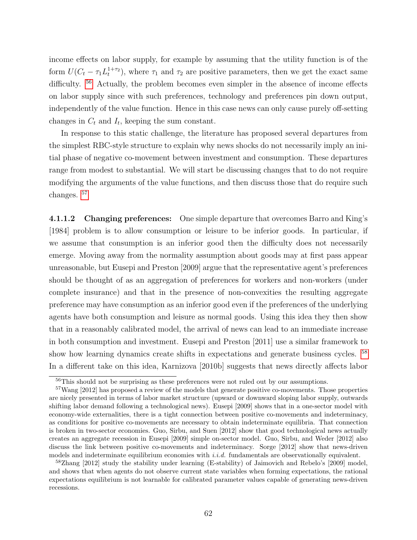income effects on labor supply, for example by assuming that the utility function is of the form  $U(C_t - \tau_1 L_t^{1+\tau_2})$ , where  $\tau_1$  and  $\tau_2$  are positive parameters, then we get the exact same difficulty. <sup>[56](#page-63-0)</sup> Actually, the problem becomes even simpler in the absence of income effects on labor supply since with such preferences, technology and preferences pin down output, independently of the value function. Hence in this case news can only cause purely off-setting changes in  $C_t$  and  $I_t$ , keeping the sum constant.

In response to this static challenge, the literature has proposed several departures from the simplest RBC-style structure to explain why news shocks do not necessarily imply an initial phase of negative co-movement between investment and consumption. These departures range from modest to substantial. We will start be discussing changes that to do not require modifying the arguments of the value functions, and then discuss those that do require such changes. [57](#page-63-1)

4.1.1.2 Changing preferences: One simple departure that overcomes Barro and King's [1984] problem is to allow consumption or leisure to be inferior goods. In particular, if we assume that consumption is an inferior good then the difficulty does not necessarily emerge. Moving away from the normality assumption about goods may at first pass appear unreasonable, but Eusepi and Preston [2009] argue that the representative agent's preferences should be thought of as an aggregation of preferences for workers and non-workers (under complete insurance) and that in the presence of non-convexities the resulting aggregate preference may have consumption as an inferior good even if the preferences of the underlying agents have both consumption and leisure as normal goods. Using this idea they then show that in a reasonably calibrated model, the arrival of news can lead to an immediate increase in both consumption and investment. Eusepi and Preston [2011] use a similar framework to show how learning dynamics create shifts in expectations and generate business cycles. [58](#page-63-2) In a different take on this idea, Karnizova [2010b] suggests that news directly affects labor

<span id="page-63-1"></span><span id="page-63-0"></span><sup>&</sup>lt;sup>56</sup>This should not be surprising as these preferences were not ruled out by our assumptions.

<sup>57</sup>Wang [2012] has proposed a review of the models that generate positive co-movements. Those properties are nicely presented in terms of labor market structure (upward or downward sloping labor supply, outwards shifting labor demand following a technological news). Eusepi [2009] shows that in a one-sector model with economy-wide externalities, there is a tight connection between positive co-movements and indeterminacy, as conditions for positive co-movements are necessary to obtain indeterminate equilibria. That connection is broken in two-sector economies. Guo, Sirbu, and Suen [2012] show that good technological news actually creates an aggregate recession in Eusepi [2009] simple on-sector model. Guo, Sirbu, and Weder [2012] also discuss the link between positive co-movements and indeterminacy. Sorge [2012] show that news-driven models and indeterminate equilibrium economies with i.i.d. fundamentals are observationally equivalent.

<span id="page-63-2"></span><sup>58</sup>Zhang [2012] study the stability under learning (E-stability) of Jaimovich and Rebelo's [2009] model, and shows that when agents do not observe current state variables when forming expectations, the rational expectations equilibrium is not learnable for calibrated parameter values capable of generating news-driven recessions.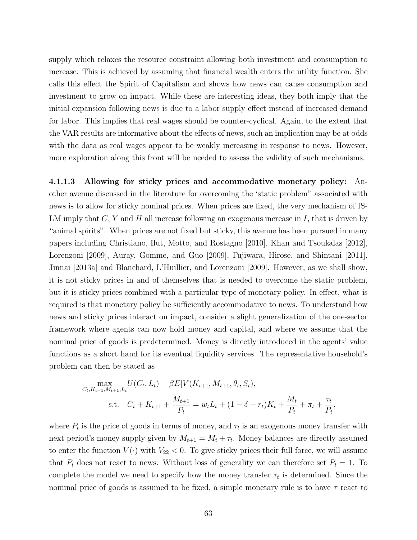supply which relaxes the resource constraint allowing both investment and consumption to increase. This is achieved by assuming that financial wealth enters the utility function. She calls this effect the Spirit of Capitalism and shows how news can cause consumption and investment to grow on impact. While these are interesting ideas, they both imply that the initial expansion following news is due to a labor supply effect instead of increased demand for labor. This implies that real wages should be counter-cyclical. Again, to the extent that the VAR results are informative about the effects of news, such an implication may be at odds with the data as real wages appear to be weakly increasing in response to news. However, more exploration along this front will be needed to assess the validity of such mechanisms.

4.1.1.3 Allowing for sticky prices and accommodative monetary policy: Another avenue discussed in the literature for overcoming the 'static problem" associated with news is to allow for sticky nominal prices. When prices are fixed, the very mechanism of IS-LM imply that  $C, Y$  and  $H$  all increase following an exogenous increase in I, that is driven by "animal spirits". When prices are not fixed but sticky, this avenue has been pursued in many papers including Christiano, Ilut, Motto, and Rostagno [2010], Khan and Tsoukalas [2012], Lorenzoni [2009], Auray, Gomme, and Guo [2009], Fujiwara, Hirose, and Shintani [2011], Jinnai [2013a] and Blanchard, L'Huillier, and Lorenzoni [2009]. However, as we shall show, it is not sticky prices in and of themselves that is needed to overcome the static problem, but it is sticky prices combined with a particular type of monetary policy. In effect, what is required is that monetary policy be sufficiently accommodative to news. To understand how news and sticky prices interact on impact, consider a slight generalization of the one-sector framework where agents can now hold money and capital, and where we assume that the nominal price of goods is predetermined. Money is directly introduced in the agents' value functions as a short hand for its eventual liquidity services. The representative household's problem can then be stated as

$$
\max_{C_t, K_{t+1}, M_{t+1}, L_t} U(C_t, L_t) + \beta E[V(K_{t+1}, M_{t+1}, \theta_t, S_t),
$$
  
s.t. 
$$
C_t + K_{t+1} + \frac{M_{t+1}}{P_t} = w_t L_t + (1 - \delta + r_t) K_t + \frac{M_t}{P_t} + \pi_t + \frac{\tau_t}{P_t}
$$

,

where  $P_t$  is the price of goods in terms of money, and  $\tau_t$  is an exogenous money transfer with next period's money supply given by  $M_{t+1} = M_t + \tau_t$ . Money balances are directly assumed to enter the function  $V(\cdot)$  with  $V_{22} < 0$ . To give sticky prices their full force, we will assume that  $P_t$  does not react to news. Without loss of generality we can therefore set  $P_t = 1$ . To complete the model we need to specify how the money transfer  $\tau_t$  is determined. Since the nominal price of goods is assumed to be fixed, a simple monetary rule is to have  $\tau$  react to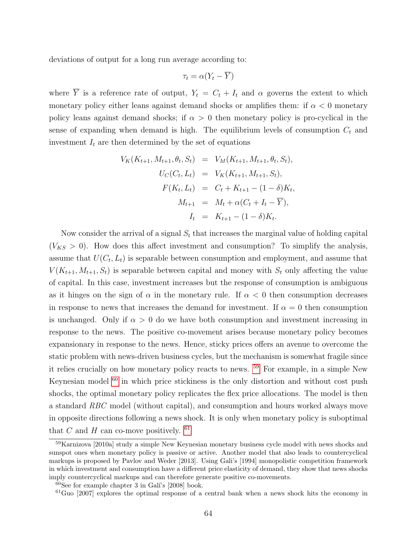deviations of output for a long run average according to:

$$
\tau_t = \alpha (Y_t - \overline{Y})
$$

where  $\overline{Y}$  is a reference rate of output,  $Y_t = C_t + I_t$  and  $\alpha$  governs the extent to which monetary policy either leans against demand shocks or amplifies them: if  $\alpha < 0$  monetary policy leans against demand shocks; if  $\alpha > 0$  then monetary policy is pro-cyclical in the sense of expanding when demand is high. The equilibrium levels of consumption  $C_t$  and investment  $I_t$  are then determined by the set of equations

$$
V_K(K_{t+1}, M_{t+1}, \theta_t, S_t) = V_M(K_{t+1}, M_{t+1}, \theta_t, S_t),
$$
  
\n
$$
U_C(C_t, L_t) = V_K(K_{t+1}, M_{t+1}, S_t),
$$
  
\n
$$
F(K_t, L_t) = C_t + K_{t+1} - (1 - \delta)K_t,
$$
  
\n
$$
M_{t+1} = M_t + \alpha(C_t + I_t - \overline{Y}),
$$
  
\n
$$
I_t = K_{t+1} - (1 - \delta)K_t.
$$

Now consider the arrival of a signal  $S_t$  that increases the marginal value of holding capital  $(V_{KS} > 0)$ . How does this affect investment and consumption? To simplify the analysis, assume that  $U(C_t, L_t)$  is separable between consumption and employment, and assume that  $V(K_{t+1}, M_{t+1}, S_t)$  is separable between capital and money with  $S_t$  only affecting the value of capital. In this case, investment increases but the response of consumption is ambiguous as it hinges on the sign of  $\alpha$  in the monetary rule. If  $\alpha < 0$  then consumption decreases in response to news that increases the demand for investment. If  $\alpha = 0$  then consumption is unchanged. Only if  $\alpha > 0$  do we have both consumption and investment increasing in response to the news. The positive co-movement arises because monetary policy becomes expansionary in response to the news. Hence, sticky prices offers an avenue to overcome the static problem with news-driven business cycles, but the mechanism is somewhat fragile since it relies crucially on how monetary policy reacts to news. [59](#page-65-0) For example, in a simple New Keynesian model [60](#page-65-1) in which price stickiness is the only distortion and without cost push shocks, the optimal monetary policy replicates the flex price allocations. The model is then a standard RBC model (without capital), and consumption and hours worked always move in opposite directions following a news shock. It is only when monetary policy is suboptimal that C and H can co-move positively.  $61$ 

<span id="page-65-0"></span><sup>&</sup>lt;sup>59</sup>Karnizova [2010a] study a simple New Keynesian monetary business cycle model with news shocks and sunspot ones when monetary policy is passive or active. Another model that also leads to countercyclical markups is proposed by Pavlov and Weder [2013]. Using Gali's [1994] monopolistic competition framework in which investment and consumption have a different price elasticity of demand, they show that news shocks imply countercyclical markups and can therefore generate positive co-movements.

<span id="page-65-1"></span> $60$ See for example chapter 3 in Galí's [2008] book.

<span id="page-65-2"></span><sup>61</sup>Guo [2007] explores the optimal response of a central bank when a news shock hits the economy in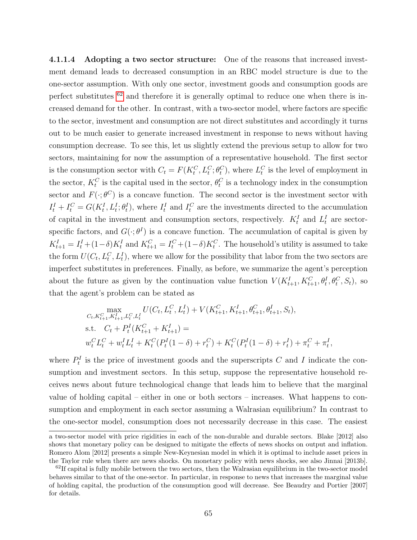4.1.1.4 Adopting a two sector structure: One of the reasons that increased investment demand leads to decreased consumption in an RBC model structure is due to the one-sector assumption. With only one sector, investment goods and consumption goods are perfect substitutes  $62$  and therefore it is generally optimal to reduce one when there is increased demand for the other. In contrast, with a two-sector model, where factors are specific to the sector, investment and consumption are not direct substitutes and accordingly it turns out to be much easier to generate increased investment in response to news without having consumption decrease. To see this, let us slightly extend the previous setup to allow for two sectors, maintaining for now the assumption of a representative household. The first sector is the consumption sector with  $C_t = F(K_t^C, L_t^C; \theta_t^C)$ , where  $L_t^C$  is the level of employment in the sector,  $K_t^C$  is the capital used in the sector,  $\theta_t^C$  is a technology index in the consumption sector and  $F(\cdot; \theta^C)$  is a concave function. The second sector is the investment sector with  $I_t^I + I_t^C = G(K_t^I, L_t^I; \theta_t^I)$ , where  $I_t^I$  and  $I_t^C$  are the investments directed to the accumulation of capital in the investment and consumption sectors, respectively.  $K_t^I$  and  $L_t^I$  are sectorspecific factors, and  $G(\cdot;\theta^I)$  is a concave function. The accumulation of capital is given by  $K_{t+1}^I = I_t^I + (1-\delta)K_t^I$  and  $K_{t+1}^C = I_t^C + (1-\delta)K_t^C$ . The household's utility is assumed to take the form  $U(C_t, L_t^C, L_t^I)$ , where we allow for the possibility that labor from the two sectors are imperfect substitutes in preferences. Finally, as before, we summarize the agent's perception about the future as given by the continuation value function  $V(K_{t+1}^I, K_{t+1}^C, \theta_t^I, \theta_t^C, S_t)$ , so that the agent's problem can be stated as

$$
\max_{C_t, K_{t+1}^C, K_{t+1}^I, L_t^C, L_t^I} U(C_t, L_t^C, L_t^I) + V(K_{t+1}^C, K_{t+1}^I, \theta_{t+1}^C, \theta_{t+1}^I, S_t),
$$
  
s.t.  $C_t + P_t^I(K_{t+1}^C + K_{t+1}^I) =$   

$$
w_t^C L_t^C + w_t^I L_t^I + K_t^C (P_t^I(1 - \delta) + r_t^C) + K_t^C (P_t^I(1 - \delta) + r_t^I) + \pi_t^C + \pi_t^I
$$

,

where  $P_t^I$  is the price of investment goods and the superscripts C and I indicate the consumption and investment sectors. In this setup, suppose the representative household receives news about future technological change that leads him to believe that the marginal value of holding capital – either in one or both sectors – increases. What happens to consumption and employment in each sector assuming a Walrasian equilibrium? In contrast to the one-sector model, consumption does not necessarily decrease in this case. The easiest

a two-sector model with price rigidities in each of the non-durable and durable sectors. Blake [2012] also shows that monetary policy can be designed to mitigate the effects of news shocks on output and inflation. Romero Alom [2012] presents a simple New-Keynesian model in which it is optimal to include asset prices in the Taylor rule when there are news shocks. On monetary policy with news shocks, see also Jinnai [2013b].

<span id="page-66-0"></span> $62$ If capital is fully mobile between the two sectors, then the Walrasian equilibrium in the two-sector model behaves similar to that of the one-sector. In particular, in response to news that increases the marginal value of holding capital, the production of the consumption good will decrease. See Beaudry and Portier [2007] for details.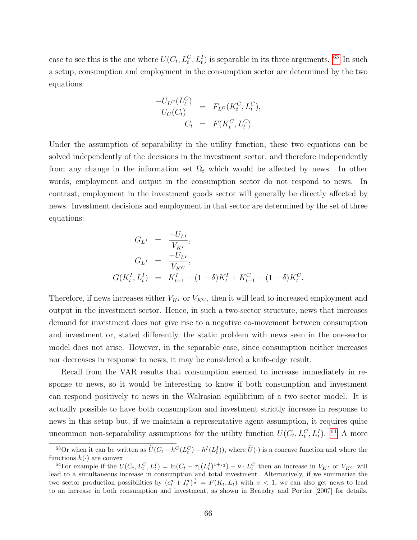case to see this is the one where  $U(C_t, L_t^C, L_t^I)$  is separable in its three arguments. <sup>[63](#page-67-0)</sup> In such a setup, consumption and employment in the consumption sector are determined by the two equations:

$$
\frac{-U_{L^C}(L_t^C)}{U_C(C_t)} = F_{L^C}(K_t^C, L_t^C),
$$
  

$$
C_t = F(K_t^C, L_t^C).
$$

Under the assumption of separability in the utility function, these two equations can be solved independently of the decisions in the investment sector, and therefore independently from any change in the information set  $\Omega_t$  which would be affected by news. In other words, employment and output in the consumption sector do not respond to news. In contrast, employment in the investment goods sector will generally be directly affected by news. Investment decisions and employment in that sector are determined by the set of three equations:

$$
G_{L^{I}} = \frac{-U_{L^{I}}}{V_{K^{I}}},
$$
  
\n
$$
G_{L^{I}} = \frac{-U_{L^{I}}}{V_{K^{C}}},
$$
  
\n
$$
G(K_{t}^{I}, L_{t}^{I}) = K_{t+1}^{I} - (1 - \delta)K_{t}^{I} + K_{t+1}^{C} - (1 - \delta)K_{t}^{C}.
$$

Therefore, if news increases either  $V_{K}$  or  $V_{K}$ , then it will lead to increased employment and output in the investment sector. Hence, in such a two-sector structure, news that increases demand for investment does not give rise to a negative co-movement between consumption and investment or, stated differently, the static problem with news seen in the one-sector model does not arise. However, in the separable case, since consumption neither increases nor decreases in response to news, it may be considered a knife-edge result.

Recall from the VAR results that consumption seemed to increase immediately in response to news, so it would be interesting to know if both consumption and investment can respond positively to news in the Walrasian equilibrium of a two sector model. It is actually possible to have both consumption and investment strictly increase in response to news in this setup but, if we maintain a representative agent assumption, it requires quite uncommon non-separability assumptions for the utility function  $U(C_t, L_t^C, L_t^I)$ . <sup>[64](#page-67-1)</sup> A more

<span id="page-67-0"></span><sup>&</sup>lt;sup>63</sup>Or when it can be written as  $\tilde{U}(C_t - h^C(L_t^C) - h^I(L_t^I))$ , where  $\tilde{U}(\cdot)$  is a concave function and where the functions  $h(\cdot)$  are convex

<span id="page-67-1"></span><sup>&</sup>lt;sup>64</sup>For example if the  $U(C_t, L_t^C, L_t^I) = \ln(C_t - \tau_1(L_t^I)^{1+\tau_2}) - \nu \cdot L_t^C$  then an increase in  $V_{K^I}$  or  $V_{K^C}$  will lead to a simultaneous increase in consumption and total investment. Alternatively, if we summarize the two sector production possibilities by  $(c_t^{\sigma} + I_t^{\sigma})^{\frac{1}{\sigma}} = F(K_t, L_t)$  with  $\sigma < 1$ , we can also get news to lead to an increase in both consumption and investment, as shown in Beaudry and Portier [2007] for details.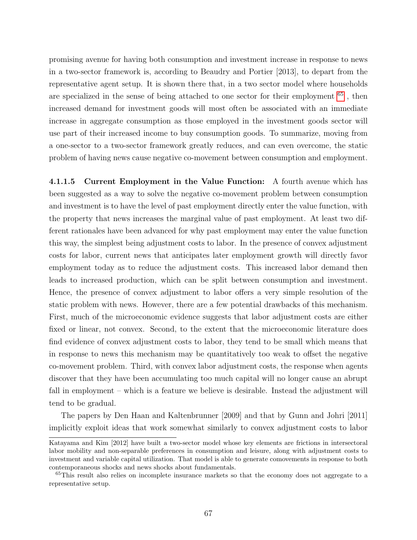promising avenue for having both consumption and investment increase in response to news in a two-sector framework is, according to Beaudry and Portier [2013], to depart from the representative agent setup. It is shown there that, in a two sector model where households are specialized in the sense of being attached to one sector for their employment <sup>[65](#page-68-0)</sup>, then increased demand for investment goods will most often be associated with an immediate increase in aggregate consumption as those employed in the investment goods sector will use part of their increased income to buy consumption goods. To summarize, moving from a one-sector to a two-sector framework greatly reduces, and can even overcome, the static problem of having news cause negative co-movement between consumption and employment.

4.1.1.5 Current Employment in the Value Function: A fourth avenue which has been suggested as a way to solve the negative co-movement problem between consumption and investment is to have the level of past employment directly enter the value function, with the property that news increases the marginal value of past employment. At least two different rationales have been advanced for why past employment may enter the value function this way, the simplest being adjustment costs to labor. In the presence of convex adjustment costs for labor, current news that anticipates later employment growth will directly favor employment today as to reduce the adjustment costs. This increased labor demand then leads to increased production, which can be split between consumption and investment. Hence, the presence of convex adjustment to labor offers a very simple resolution of the static problem with news. However, there are a few potential drawbacks of this mechanism. First, much of the microeconomic evidence suggests that labor adjustment costs are either fixed or linear, not convex. Second, to the extent that the microeconomic literature does find evidence of convex adjustment costs to labor, they tend to be small which means that in response to news this mechanism may be quantitatively too weak to offset the negative co-movement problem. Third, with convex labor adjustment costs, the response when agents discover that they have been accumulating too much capital will no longer cause an abrupt fall in employment – which is a feature we believe is desirable. Instead the adjustment will tend to be gradual.

The papers by Den Haan and Kaltenbrunner [2009] and that by Gunn and Johri [2011] implicitly exploit ideas that work somewhat similarly to convex adjustment costs to labor

Katayama and Kim [2012] have built a two-sector model whose key elements are frictions in intersectoral labor mobility and non-separable preferences in consumption and leisure, along with adjustment costs to investment and variable capital utilization. That model is able to generate comovements in response to both contemporaneous shocks and news shocks about fundamentals.

<span id="page-68-0"></span><sup>65</sup>This result also relies on incomplete insurance markets so that the economy does not aggregate to a representative setup.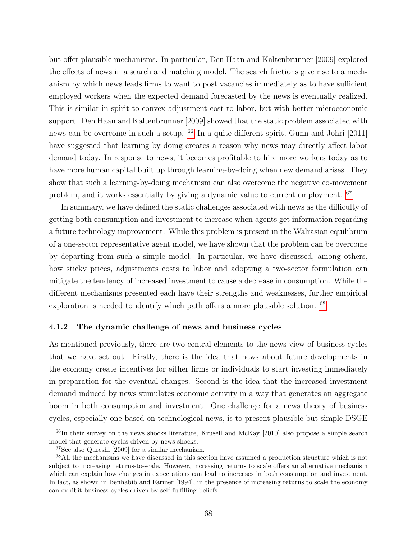but offer plausible mechanisms. In particular, Den Haan and Kaltenbrunner [2009] explored the effects of news in a search and matching model. The search frictions give rise to a mechanism by which news leads firms to want to post vacancies immediately as to have sufficient employed workers when the expected demand forecasted by the news is eventually realized. This is similar in spirit to convex adjustment cost to labor, but with better microeconomic support. Den Haan and Kaltenbrunner [2009] showed that the static problem associated with news can be overcome in such a setup. [66](#page-69-0) In a quite different spirit, Gunn and Johri [2011] have suggested that learning by doing creates a reason why news may directly affect labor demand today. In response to news, it becomes profitable to hire more workers today as to have more human capital built up through learning-by-doing when new demand arises. They show that such a learning-by-doing mechanism can also overcome the negative co-movement problem, and it works essentially by giving a dynamic value to current employment. [67](#page-69-1)

In summary, we have defined the static challenges associated with news as the difficulty of getting both consumption and investment to increase when agents get information regarding a future technology improvement. While this problem is present in the Walrasian equilibrum of a one-sector representative agent model, we have shown that the problem can be overcome by departing from such a simple model. In particular, we have discussed, among others, how sticky prices, adjustments costs to labor and adopting a two-sector formulation can mitigate the tendency of increased investment to cause a decrease in consumption. While the different mechanisms presented each have their strengths and weaknesses, further empirical exploration is needed to identify which path offers a more plausible solution. [68](#page-69-2)

## 4.1.2 The dynamic challenge of news and business cycles

As mentioned previously, there are two central elements to the news view of business cycles that we have set out. Firstly, there is the idea that news about future developments in the economy create incentives for either firms or individuals to start investing immediately in preparation for the eventual changes. Second is the idea that the increased investment demand induced by news stimulates economic activity in a way that generates an aggregate boom in both consumption and investment. One challenge for a news theory of business cycles, especially one based on technological news, is to present plausible but simple DSGE

<span id="page-69-0"></span><sup>&</sup>lt;sup>66</sup>In their survey on the news shocks literature, Krusell and McKay [2010] also propose a simple search model that generate cycles driven by news shocks.

<span id="page-69-2"></span><span id="page-69-1"></span><sup>67</sup>See also Qureshi [2009] for a similar mechanism.

<sup>&</sup>lt;sup>68</sup>All the mechanisms we have discussed in this section have assumed a production structure which is not subject to increasing returns-to-scale. However, increasing returns to scale offers an alternative mechanism which can explain how changes in expectations can lead to increases in both consumption and investment. In fact, as shown in Benhabib and Farmer [1994], in the presence of increasing returns to scale the economy can exhibit business cycles driven by self-fulfilling beliefs.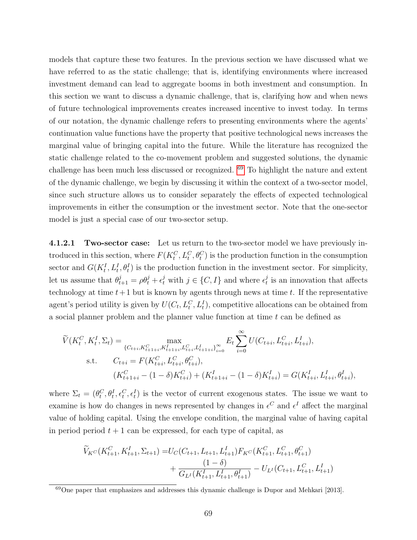models that capture these two features. In the previous section we have discussed what we have referred to as the static challenge; that is, identifying environments where increased investment demand can lead to aggregate booms in both investment and consumption. In this section we want to discuss a dynamic challenge, that is, clarifying how and when news of future technological improvements creates increased incentive to invest today. In terms of our notation, the dynamic challenge refers to presenting environments where the agents' continuation value functions have the property that positive technological news increases the marginal value of bringing capital into the future. While the literature has recognized the static challenge related to the co-movement problem and suggested solutions, the dynamic challenge has been much less discussed or recognized. [69](#page-70-0) To highlight the nature and extent of the dynamic challenge, we begin by discussing it within the context of a two-sector model, since such structure allows us to consider separately the effects of expected technological improvements in either the consumption or the investment sector. Note that the one-sector model is just a special case of our two-sector setup.

4.1.2.1 Two-sector case: Let us return to the two-sector model we have previously introduced in this section, where  $F(K_t^C, L_t^C, \theta_t^C)$  is the production function in the consumption sector and  $G(K_t^I, L_t^I, \theta_t^I)$  is the production function in the investment sector. For simplicity, let us assume that  $\theta_{t+1}^j = \rho \theta_t^j + \epsilon_t^j$  with  $j \in \{C, I\}$  and where  $\epsilon_t^j$  $\frac{J}{t}$  is an innovation that affects technology at time  $t+1$  but is known by agents through news at time t. If the representative agent's period utility is given by  $U(C_t, L_t^C, L_t^I)$ , competitive allocations can be obtained from a social planner problem and the planner value function at time  $t$  can be defined as

$$
\widetilde{V}(K_t^C, K_t^I, \Sigma_t) = \max_{\{C_{t+i}, K_{t+1+i}^C, K_{t+1+i}^I, L_{t+i}^C, L_{t+1+i}^I\}_{i=0}^{\infty}} E_t \sum_{i=0}^{\infty} U(C_{t+i}, L_{t+i}^C, L_{t+i}^I),
$$
\ns.t. 
$$
C_{t+i} = F(K_{t+i}^C, L_{t+i}^C, \theta_{t+i}^C),
$$
\n
$$
(K_{t+1+i}^C - (1 - \delta)K_{t+i}^C) + (K_{t+1+i}^I - (1 - \delta)K_{t+i}^I) = G(K_{t+i}^I, L_{t+i}^I, \theta_{t+i}^I),
$$

where  $\Sigma_t = (\theta_t^C, \theta_t^I, \epsilon_t^C, \epsilon_t^I)$  is the vector of current exogenous states. The issue we want to examine is how do changes in news represented by changes in  $\epsilon^C$  and  $\epsilon^I$  affect the marginal value of holding capital. Using the envelope condition, the marginal value of having capital in period period  $t + 1$  can be expressed, for each type of capital, as

$$
\widetilde{V}_{K}c(K_{t+1}^C, K_{t+1}^I, \Sigma_{t+1}) = U_C(C_{t+1}, L_{t+1}, L_{t+1}^I)F_{K}c(K_{t+1}^C, L_{t+1}^C, \theta_{t+1}^C) \n+ \frac{(1 - \delta)}{G_{L}K(K_{t+1}^I, L_{t+1}^I, \theta_{t+1}^I)} - U_{L}C_{t+1}^I, L_{t+1}^I, L_{t+1}^I
$$

<span id="page-70-0"></span> $69$ One paper that emphasizes and addresses this dynamic challenge is Dupor and Mehkari [2013].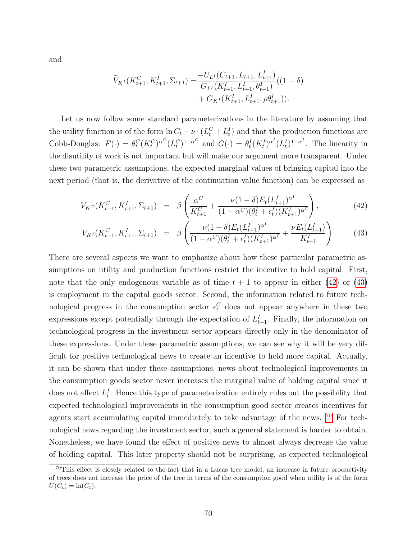and

$$
\widetilde{V}_{K^{I}}(K_{t+1}^{C}, K_{t+1}^{I}, \Sigma_{t+1}) = \frac{-U_{L^{I}}(C_{t+1}, L_{t+1}, L_{t+1}^{I})}{G_{L^{I}}(K_{t+1}^{I}, L_{t+1}^{I}, \theta_{t+1}^{I})}((1 - \delta) + G_{K^{I}}(K_{t+1}^{I}, L_{t+1}^{I}, \rho \theta_{t+1}^{I})).
$$

Let us now follow some standard parameterizations in the literature by assuming that the utility function is of the form  $\ln C_t - \nu \cdot (L_t^C + L_t^I)$  and that the production functions are Cobb-Douglas:  $F(\cdot) = \theta_t^C (K_t^C)^{\alpha} (L_t^C)^{1-\alpha^C}$  and  $G(\cdot) = \theta_t^I (K_t^I)^{\alpha} (L_t^I)^{1-\alpha^I}$ . The linearity in the disutility of work is not important but will make our argument more transparent. Under these two parametric assumptions, the expected marginal values of bringing capital into the next period (that is, the derivative of the continuation value function) can be expressed as

<span id="page-71-0"></span>
$$
V_{K}c(K_{t+1}^C, K_{t+1}^I, \Sigma_{t+1}) = \beta \left( \frac{\alpha^C}{K_{t+1}^C} + \frac{\nu (1-\delta) E_t (L_{t+1}^I)^{\alpha^I}}{(1-\alpha^C) (\theta_t^I + \epsilon_t^I) (K_{t+1}^I)^{\alpha^I}} \right),
$$
(42)

$$
V_{K^{I}}(K_{t+1}^{C}, K_{t+1}^{I}, \Sigma_{t+1}) = \beta \left( \frac{\nu (1-\delta) E_{t}(L_{t+1}^{I})^{\alpha^{I}}}{(1-\alpha^{C})(\theta_{t}^{I} + \epsilon_{t}^{I})(K_{t+1}^{I})^{\alpha^{I}}} + \frac{\nu E_{t}(L_{t+1}^{I})}{K_{t+1}^{I}} \right). \tag{43}
$$

There are several aspects we want to emphasize about how these particular parametric assumptions on utility and production functions restrict the incentive to hold capital. First, note that the only endogenous variable as of time  $t + 1$  to appear in either [\(42\)](#page-71-0) or [\(43\)](#page-71-0) is employment in the capital goods sector. Second, the information related to future technological progress in the consumption sector  $\epsilon_t^C$  does not appear anywhere in these two expressions except potentially through the expectation of  $L_{t+1}^I$ . Finally, the information on technological progress in the investment sector appears directly only in the denominator of these expressions. Under these parametric assumptions, we can see why it will be very difficult for positive technological news to create an incentive to hold more capital. Actually, it can be shown that under these assumptions, news about technological improvements in the consumption goods sector never increases the marginal value of holding capital since it does not affect  $L_t^I$ . Hence this type of parameterization entirely rules out the possibility that expected technological improvements in the consumption good sector creates incentives for agents start accumulating capital immediately to take advantage of the news. [70](#page-71-1) For technological news regarding the investment sector, such a general statement is harder to obtain. Nonetheless, we have found the effect of positive news to almost always decrease the value of holding capital. This later property should not be surprising, as expected technological

<span id="page-71-1"></span><sup>70</sup>This effect is closely related to the fact that in a Lucas tree model, an increase in future productivity of trees does not increase the price of the tree in terms of the consumption good when utility is of the form  $U(C_t) = \ln(C_t).$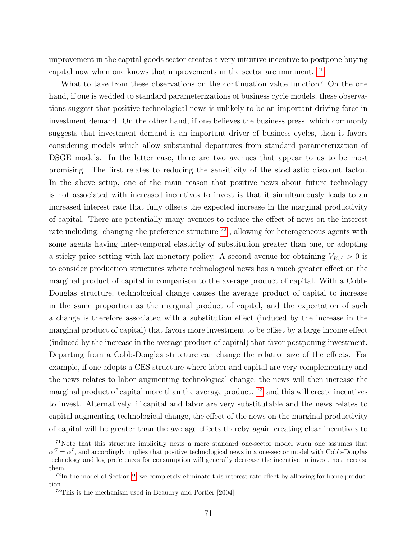improvement in the capital goods sector creates a very intuitive incentive to postpone buying capital now when one knows that improvements in the sector are imminent. [71](#page-72-0)

What to take from these observations on the continuation value function? On the one hand, if one is wedded to standard parameterizations of business cycle models, these observations suggest that positive technological news is unlikely to be an important driving force in investment demand. On the other hand, if one believes the business press, which commonly suggests that investment demand is an important driver of business cycles, then it favors considering models which allow substantial departures from standard parameterization of DSGE models. In the latter case, there are two avenues that appear to us to be most promising. The first relates to reducing the sensitivity of the stochastic discount factor. In the above setup, one of the main reason that positive news about future technology is not associated with increased incentives to invest is that it simultaneously leads to an increased interest rate that fully offsets the expected increase in the marginal productivity of capital. There are potentially many avenues to reduce the effect of news on the interest rate including: changing the preference structure  $^{72}$  $^{72}$  $^{72}$ , allowing for heterogeneous agents with some agents having inter-temporal elasticity of substitution greater than one, or adopting a sticky price setting with lax monetary policy. A second avenue for obtaining  $V_{K_{\epsilon}} > 0$  is to consider production structures where technological news has a much greater effect on the marginal product of capital in comparison to the average product of capital. With a Cobb-Douglas structure, technological change causes the average product of capital to increase in the same proportion as the marginal product of capital, and the expectation of such a change is therefore associated with a substitution effect (induced by the increase in the marginal product of capital) that favors more investment to be offset by a large income effect (induced by the increase in the average product of capital) that favor postponing investment. Departing from a Cobb-Douglas structure can change the relative size of the effects. For example, if one adopts a CES structure where labor and capital are very complementary and the news relates to labor augmenting technological change, the news will then increase the marginal product of capital more than the average product. <sup>[73](#page-72-2)</sup> and this will create incentives to invest. Alternatively, if capital and labor are very substitutable and the news relates to capital augmenting technological change, the effect of the news on the marginal productivity of capital will be greater than the average effects thereby again creating clear incentives to

<span id="page-72-0"></span> $71$ Note that this structure implicitly nests a more standard one-sector model when one assumes that  $\alpha^C = \alpha^I$ , and accordingly implies that positive technological news in a one-sector model with Cobb-Douglas technology and log preferences for consumption will generally decrease the incentive to invest, not increase them.

<span id="page-72-1"></span> $72$ In the model of Section [2,](#page-4-0) we completely eliminate this interest rate effect by allowing for home production.

<span id="page-72-2"></span><sup>73</sup>This is the mechanism used in Beaudry and Portier [2004].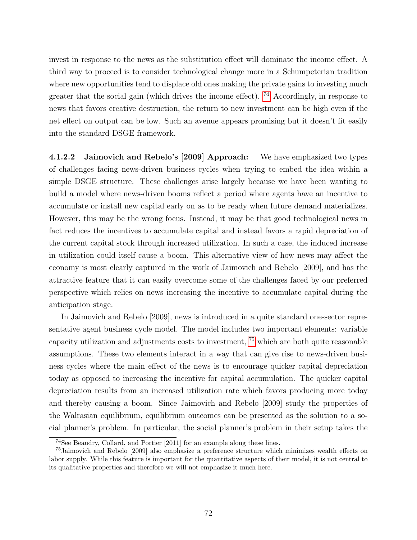invest in response to the news as the substitution effect will dominate the income effect. A third way to proceed is to consider technological change more in a Schumpeterian tradition where new opportunities tend to displace old ones making the private gains to investing much greater that the social gain (which drives the income effect).  $74$  Accordingly, in response to news that favors creative destruction, the return to new investment can be high even if the net effect on output can be low. Such an avenue appears promising but it doesn't fit easily into the standard DSGE framework.

4.1.2.2 Jaimovich and Rebelo's [2009] Approach: We have emphasized two types of challenges facing news-driven business cycles when trying to embed the idea within a simple DSGE structure. These challenges arise largely because we have been wanting to build a model where news-driven booms reflect a period where agents have an incentive to accumulate or install new capital early on as to be ready when future demand materializes. However, this may be the wrong focus. Instead, it may be that good technological news in fact reduces the incentives to accumulate capital and instead favors a rapid depreciation of the current capital stock through increased utilization. In such a case, the induced increase in utilization could itself cause a boom. This alternative view of how news may affect the economy is most clearly captured in the work of Jaimovich and Rebelo [2009], and has the attractive feature that it can easily overcome some of the challenges faced by our preferred perspective which relies on news increasing the incentive to accumulate capital during the anticipation stage.

In Jaimovich and Rebelo [2009], news is introduced in a quite standard one-sector representative agent business cycle model. The model includes two important elements: variable capacity utilization and adjustments costs to investment, [75](#page-73-1) which are both quite reasonable assumptions. These two elements interact in a way that can give rise to news-driven business cycles where the main effect of the news is to encourage quicker capital depreciation today as opposed to increasing the incentive for capital accumulation. The quicker capital depreciation results from an increased utilization rate which favors producing more today and thereby causing a boom. Since Jaimovich and Rebelo [2009] study the properties of the Walrasian equilibrium, equilibrium outcomes can be presented as the solution to a social planner's problem. In particular, the social planner's problem in their setup takes the

<span id="page-73-1"></span><span id="page-73-0"></span><sup>74</sup>See Beaudry, Collard, and Portier [2011] for an example along these lines.

<sup>75</sup>Jaimovich and Rebelo [2009] also emphasize a preference structure which minimizes wealth effects on labor supply. While this feature is important for the quantitative aspects of their model, it is not central to its qualitative properties and therefore we will not emphasize it much here.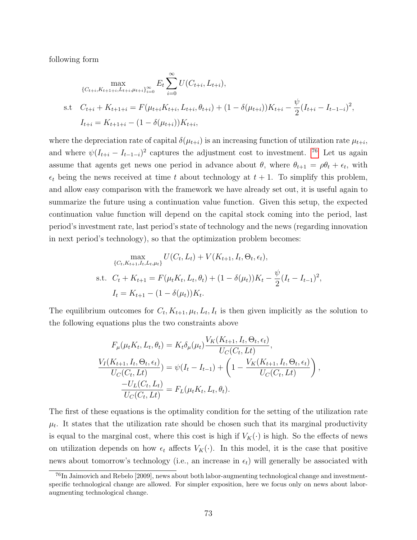following form

$$
\max_{\{C_{t+i}, K_{t+1+i}, L_{t+i}, \mu_{t+i}\}_{i=0}^{\infty}} E_t \sum_{i=0}^{\infty} U(C_{t+i}, L_{t+i}),
$$
\ns.t  $C_{t+i} + K_{t+1+i} = F(\mu_{t+i} K_{t+i}, L_{t+i}, \theta_{t+i}) + (1 - \delta(\mu_{t+i})) K_{t+i} - \frac{\psi}{2} (I_{t+i} - I_{t-1-i})^2,$   
\n $I_{t+i} = K_{t+1+i} - (1 - \delta(\mu_{t+i})) K_{t+i},$ 

where the depreciation rate of capital  $\delta(\mu_{t+i})$  is an increasing function of utilization rate  $\mu_{t+i}$ , and where  $\psi(I_{t+i} - I_{t-1-i})^2$  captures the adjustment cost to investment. <sup>[76](#page-74-0)</sup> Let us again assume that agents get news one period in advance about  $\theta$ , where  $\theta_{t+1} = \rho \theta_t + \epsilon_t$ , with  $\epsilon_t$  being the news received at time t about technology at  $t + 1$ . To simplify this problem, and allow easy comparison with the framework we have already set out, it is useful again to summarize the future using a continuation value function. Given this setup, the expected continuation value function will depend on the capital stock coming into the period, last period's investment rate, last period's state of technology and the news (regarding innovation in next period's technology), so that the optimization problem becomes:

$$
\max_{\{C_t, K_{t+1}, I_t, L_t, \mu_t\}} U(C_t, L_t) + V(K_{t+1}, I_t, \Theta_t, \epsilon_t),
$$
  
s.t.  $C_t + K_{t+1} = F(\mu_t K_t, L_t, \theta_t) + (1 - \delta(\mu_t))K_t - \frac{\psi}{2}(I_t - I_{t-1})^2,$   
 $I_t = K_{t+1} - (1 - \delta(\mu_t))K_t.$ 

The equilibrium outcomes for  $C_t$ ,  $K_{t+1}$ ,  $\mu_t$ ,  $L_t$ ,  $I_t$  is then given implicitly as the solution to the following equations plus the two constraints above

$$
F_{\mu}(\mu_t K_t, L_t, \theta_t) = K_t \delta_{\mu}(\mu_t) \frac{V_K(K_{t+1}, I_t, \Theta_t, \epsilon_t)}{U_C(C_t, Lt)},
$$
  

$$
\frac{V_I(K_{t+1}, I_t, \Theta_t, \epsilon_t)}{U_C(C_t, Lt)} = \psi(I_t - I_{t-1}) + \left(1 - \frac{V_K(K_{t+1}, I_t, \Theta_t, \epsilon_t)}{U_C(C_t, Lt)}\right),
$$
  

$$
\frac{-U_L(C_t, L_t)}{U_C(C_t, Lt)} = F_L(\mu_t K_t, L_t, \theta_t).
$$

The first of these equations is the optimality condition for the setting of the utilization rate  $\mu_t$ . It states that the utilization rate should be chosen such that its marginal productivity is equal to the marginal cost, where this cost is high if  $V_K(\cdot)$  is high. So the effects of news on utilization depends on how  $\epsilon_t$  affects  $V_K(\cdot)$ . In this model, it is the case that positive news about tomorrow's technology (i.e., an increase in  $\epsilon_t$ ) will generally be associated with

<span id="page-74-0"></span><sup>76</sup>In Jaimovich and Rebelo [2009], news about both labor-augmenting technological change and investmentspecific technological change are allowed. For simpler exposition, here we focus only on news about laboraugmenting technological change.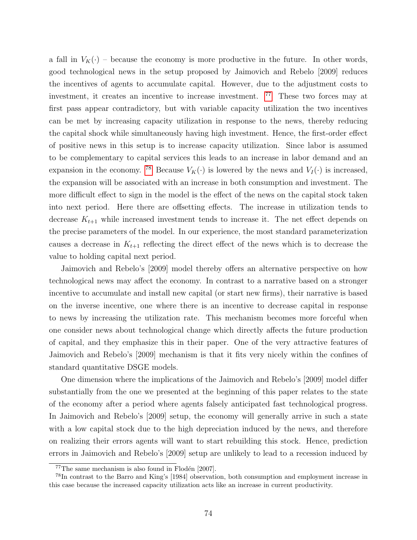a fall in  $V_K(\cdot)$  – because the economy is more productive in the future. In other words, good technological news in the setup proposed by Jaimovich and Rebelo [2009] reduces the incentives of agents to accumulate capital. However, due to the adjustment costs to investment, it creates an incentive to increase investment. <sup>[77](#page-75-0)</sup> These two forces may at first pass appear contradictory, but with variable capacity utilization the two incentives can be met by increasing capacity utilization in response to the news, thereby reducing the capital shock while simultaneously having high investment. Hence, the first-order effect of positive news in this setup is to increase capacity utilization. Since labor is assumed to be complementary to capital services this leads to an increase in labor demand and an expansion in the economy. <sup>[78](#page-75-1)</sup> Because  $V_K(\cdot)$  is lowered by the news and  $V_I(\cdot)$  is increased, the expansion will be associated with an increase in both consumption and investment. The more difficult effect to sign in the model is the effect of the news on the capital stock taken into next period. Here there are offsetting effects. The increase in utilization tends to decrease  $K_{t+1}$  while increased investment tends to increase it. The net effect depends on the precise parameters of the model. In our experience, the most standard parameterization causes a decrease in  $K_{t+1}$  reflecting the direct effect of the news which is to decrease the value to holding capital next period.

Jaimovich and Rebelo's [2009] model thereby offers an alternative perspective on how technological news may affect the economy. In contrast to a narrative based on a stronger incentive to accumulate and install new capital (or start new firms), their narrative is based on the inverse incentive, one where there is an incentive to decrease capital in response to news by increasing the utilization rate. This mechanism becomes more forceful when one consider news about technological change which directly affects the future production of capital, and they emphasize this in their paper. One of the very attractive features of Jaimovich and Rebelo's [2009] mechanism is that it fits very nicely within the confines of standard quantitative DSGE models.

One dimension where the implications of the Jaimovich and Rebelo's [2009] model differ substantially from the one we presented at the beginning of this paper relates to the state of the economy after a period where agents falsely anticipated fast technological progress. In Jaimovich and Rebelo's [2009] setup, the economy will generally arrive in such a state with a low capital stock due to the high depreciation induced by the news, and therefore on realizing their errors agents will want to start rebuilding this stock. Hence, prediction errors in Jaimovich and Rebelo's [2009] setup are unlikely to lead to a recession induced by

<span id="page-75-1"></span><span id="page-75-0"></span> $77$ The same mechanism is also found in Flodén [2007].

<sup>78</sup>In contrast to the Barro and King's [1984] observation, both consumption and employment increase in this case because the increased capacity utilization acts like an increase in current productivity.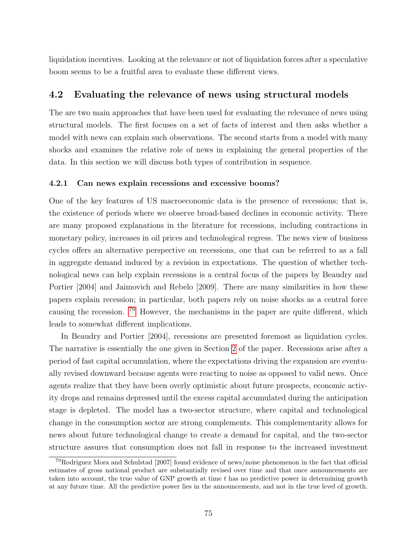liquidation incentives. Looking at the relevance or not of liquidation forces after a speculative boom seems to be a fruitful area to evaluate these different views.

### 4.2 Evaluating the relevance of news using structural models

The are two main approaches that have been used for evaluating the relevance of news using structural models. The first focuses on a set of facts of interest and then asks whether a model with news can explain such observations. The second starts from a model with many shocks and examines the relative role of news in explaining the general properties of the data. In this section we will discuss both types of contribution in sequence.

#### 4.2.1 Can news explain recessions and excessive booms?

One of the key features of US macroeconomic data is the presence of recessions; that is, the existence of periods where we observe broad-based declines in economic activity. There are many proposed explanations in the literature for recessions, including contractions in monetary policy, increases in oil prices and technological regress. The news view of business cycles offers an alternative perspective on recessions, one that can be referred to as a fall in aggregate demand induced by a revision in expectations. The question of whether technological news can help explain recessions is a central focus of the papers by Beaudry and Portier [2004] and Jaimovich and Rebelo [2009]. There are many similarities in how these papers explain recession; in particular, both papers rely on noise shocks as a central force causing the recession. [79](#page-76-0) However, the mechanisms in the paper are quite different, which leads to somewhat different implications.

In Beaudry and Portier [2004], recessions are presented foremost as liquidation cycles. The narrative is essentially the one given in Section [2](#page-4-0) of the paper. Recessions arise after a period of fast capital accumulation, where the expectations driving the expansion are eventually revised downward because agents were reacting to noise as opposed to valid news. Once agents realize that they have been overly optimistic about future prospects, economic activity drops and remains depressed until the excess capital accumulated during the anticipation stage is depleted. The model has a two-sector structure, where capital and technological change in the consumption sector are strong complements. This complementarity allows for news about future technological change to create a demand for capital, and the two-sector structure assures that consumption does not fall in response to the increased investment

<span id="page-76-0"></span><sup>79</sup>Rodriguez Mora and Schulstad [2007] found evidence of news/noise phenomenon in the fact that official estimates of gross national product are substantially revised over time and that once announcements are taken into account, the true value of GNP growth at time t has no predictive power in determining growth at any future time. All the predictive power lies in the announcements, and not in the true level of growth.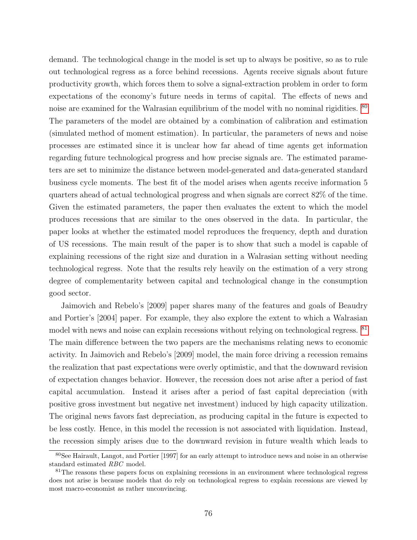demand. The technological change in the model is set up to always be positive, so as to rule out technological regress as a force behind recessions. Agents receive signals about future productivity growth, which forces them to solve a signal-extraction problem in order to form expectations of the economy's future needs in terms of capital. The effects of news and noise are examined for the Walrasian equilibrium of the model with no nominal rigidities. <sup>[80](#page-77-0)</sup> The parameters of the model are obtained by a combination of calibration and estimation (simulated method of moment estimation). In particular, the parameters of news and noise processes are estimated since it is unclear how far ahead of time agents get information regarding future technological progress and how precise signals are. The estimated parameters are set to minimize the distance between model-generated and data-generated standard business cycle moments. The best fit of the model arises when agents receive information 5 quarters ahead of actual technological progress and when signals are correct 82% of the time. Given the estimated parameters, the paper then evaluates the extent to which the model produces recessions that are similar to the ones observed in the data. In particular, the paper looks at whether the estimated model reproduces the frequency, depth and duration of US recessions. The main result of the paper is to show that such a model is capable of explaining recessions of the right size and duration in a Walrasian setting without needing technological regress. Note that the results rely heavily on the estimation of a very strong degree of complementarity between capital and technological change in the consumption good sector.

Jaimovich and Rebelo's [2009] paper shares many of the features and goals of Beaudry and Portier's [2004] paper. For example, they also explore the extent to which a Walrasian model with news and noise can explain recessions without relying on technological regress. [81](#page-77-1) The main difference between the two papers are the mechanisms relating news to economic activity. In Jaimovich and Rebelo's [2009] model, the main force driving a recession remains the realization that past expectations were overly optimistic, and that the downward revision of expectation changes behavior. However, the recession does not arise after a period of fast capital accumulation. Instead it arises after a period of fast capital depreciation (with positive gross investment but negative net investment) induced by high capacity utilization. The original news favors fast depreciation, as producing capital in the future is expected to be less costly. Hence, in this model the recession is not associated with liquidation. Instead, the recession simply arises due to the downward revision in future wealth which leads to

<span id="page-77-0"></span><sup>80</sup>See Hairault, Langot, and Portier [1997] for an early attempt to introduce news and noise in an otherwise standard estimated RBC model.

<span id="page-77-1"></span><sup>&</sup>lt;sup>81</sup>The reasons these papers focus on explaining recessions in an environment where technological regress does not arise is because models that do rely on technological regress to explain recessions are viewed by most macro-economist as rather unconvincing.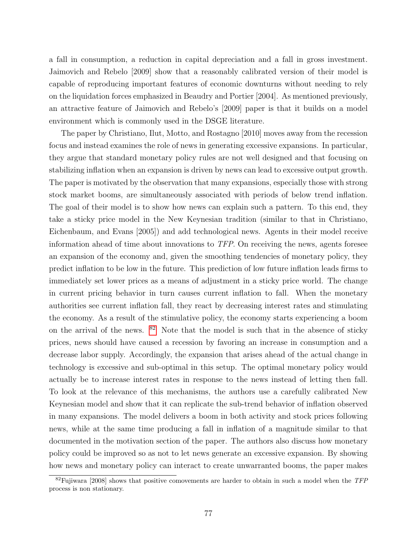a fall in consumption, a reduction in capital depreciation and a fall in gross investment. Jaimovich and Rebelo [2009] show that a reasonably calibrated version of their model is capable of reproducing important features of economic downturns without needing to rely on the liquidation forces emphasized in Beaudry and Portier [2004]. As mentioned previously, an attractive feature of Jaimovich and Rebelo's [2009] paper is that it builds on a model environment which is commonly used in the DSGE literature.

The paper by Christiano, Ilut, Motto, and Rostagno [2010] moves away from the recession focus and instead examines the role of news in generating excessive expansions. In particular, they argue that standard monetary policy rules are not well designed and that focusing on stabilizing inflation when an expansion is driven by news can lead to excessive output growth. The paper is motivated by the observation that many expansions, especially those with strong stock market booms, are simultaneously associated with periods of below trend inflation. The goal of their model is to show how news can explain such a pattern. To this end, they take a sticky price model in the New Keynesian tradition (similar to that in Christiano, Eichenbaum, and Evans [2005]) and add technological news. Agents in their model receive information ahead of time about innovations to TFP. On receiving the news, agents foresee an expansion of the economy and, given the smoothing tendencies of monetary policy, they predict inflation to be low in the future. This prediction of low future inflation leads firms to immediately set lower prices as a means of adjustment in a sticky price world. The change in current pricing behavior in turn causes current inflation to fall. When the monetary authorities see current inflation fall, they react by decreasing interest rates and stimulating the economy. As a result of the stimulative policy, the economy starts experiencing a boom on the arrival of the news.  $82$  Note that the model is such that in the absence of sticky prices, news should have caused a recession by favoring an increase in consumption and a decrease labor supply. Accordingly, the expansion that arises ahead of the actual change in technology is excessive and sub-optimal in this setup. The optimal monetary policy would actually be to increase interest rates in response to the news instead of letting then fall. To look at the relevance of this mechanisms, the authors use a carefully calibrated New Keynesian model and show that it can replicate the sub-trend behavior of inflation observed in many expansions. The model delivers a boom in both activity and stock prices following news, while at the same time producing a fall in inflation of a magnitude similar to that documented in the motivation section of the paper. The authors also discuss how monetary policy could be improved so as not to let news generate an excessive expansion. By showing how news and monetary policy can interact to create unwarranted booms, the paper makes

<span id="page-78-0"></span> $82$ Fujiwara [2008] shows that positive comovements are harder to obtain in such a model when the TFP process is non stationary.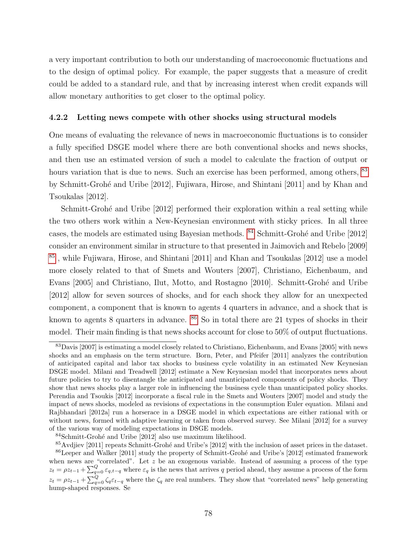a very important contribution to both our understanding of macroeconomic fluctuations and to the design of optimal policy. For example, the paper suggests that a measure of credit could be added to a standard rule, and that by increasing interest when credit expands will allow monetary authorities to get closer to the optimal policy.

#### 4.2.2 Letting news compete with other shocks using structural models

One means of evaluating the relevance of news in macroeconomic fluctuations is to consider a fully specified DSGE model where there are both conventional shocks and news shocks, and then use an estimated version of such a model to calculate the fraction of output or hours variation that is due to news. Such an exercise has been performed, among others,  $83$ by Schmitt-Grohé and Uribe [2012], Fujiwara, Hirose, and Shintani [2011] and by Khan and Tsoukalas [2012].

Schmitt-Grohé and Uribe [2012] performed their exploration within a real setting while the two others work within a New-Keynesian environment with sticky prices. In all three cases, the models are estimated using Bayesian methods.  $84$  Schmitt-Grohé and Uribe [2012] consider an environment similar in structure to that presented in Jaimovich and Rebelo [2009] [85](#page-79-2) , while Fujiwara, Hirose, and Shintani [2011] and Khan and Tsoukalas [2012] use a model more closely related to that of Smets and Wouters [2007], Christiano, Eichenbaum, and Evans [2005] and Christiano, Ilut, Motto, and Rostagno [2010]. Schmitt-Grohé and Uribe [2012] allow for seven sources of shocks, and for each shock they allow for an unexpected component, a component that is known to agents 4 quarters in advance, and a shock that is known to agents 8 quarters in advance.  $86\,$  $86\,$  So in total there are 21 types of shocks in their model. Their main finding is that news shocks account for close to 50% of output fluctuations.

<span id="page-79-0"></span><sup>83</sup>Davis [2007] is estimating a model closely related to Christiano, Eichenbaum, and Evans [2005] with news shocks and an emphasis on the term structure. Born, Peter, and Pfeifer [2011] analyzes the contribution of anticipated capital and labor tax shocks to business cycle volatility in an estimated New Keynesian DSGE model. Milani and Treadwell [2012] estimate a New Keynesian model that incorporates news about future policies to try to disentangle the anticipated and unanticipated components of policy shocks. They show that news shocks play a larger role in influencing the business cycle than unanticipated policy shocks. Perendia and Tsoukis [2012] incorporate a fiscal rule in the Smets and Wouters [2007] model and study the impact of news shocks, modeled as revisions of expectations in the consumption Euler equation. Milani and Rajbhandari [2012a] run a horserace in a DSGE model in which expectations are either rational with or without news, formed with adaptive learning or taken from observed survey. See Milani [2012] for a survey of the various way of modeling expectations in DSGE models.

<span id="page-79-2"></span><span id="page-79-1"></span> $84$ Schmitt-Grohé and Uribe [2012] also use maximum likelihood.

<span id="page-79-3"></span><sup>&</sup>lt;sup>85</sup>Avdiev [2011] repeats Schmitt-Grohé and Uribe's [2012] with the inclusion of asset prices in the dataset.  $86$ Leeper and Walker [2011] study the property of Schmitt-Grohé and Uribe's [2012] estimated framework when news are "correlated". Let  $z$  be an exogenous variable. Instead of assuming a process of the type  $z_t = \rho z_{t-1} + \sum_{q=0}^{Q} \varepsilon_{q,t-q}$  where  $\varepsilon_q$  is the news that arrives q period ahead, they assume a process of the form  $z_t = \rho z_{t-1} + \sum_{q=0}^{Q} \zeta_q \varepsilon_{t-q}$  where the  $\zeta_q$  are real numbers. They show that "correlated news" help generating hump-shaped responses. Se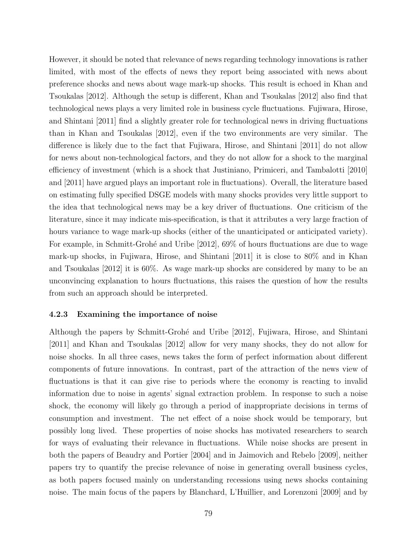However, it should be noted that relevance of news regarding technology innovations is rather limited, with most of the effects of news they report being associated with news about preference shocks and news about wage mark-up shocks. This result is echoed in Khan and Tsoukalas [2012]. Although the setup is different, Khan and Tsoukalas [2012] also find that technological news plays a very limited role in business cycle fluctuations. Fujiwara, Hirose, and Shintani [2011] find a slightly greater role for technological news in driving fluctuations than in Khan and Tsoukalas [2012], even if the two environments are very similar. The difference is likely due to the fact that Fujiwara, Hirose, and Shintani [2011] do not allow for news about non-technological factors, and they do not allow for a shock to the marginal efficiency of investment (which is a shock that Justiniano, Primiceri, and Tambalotti [2010] and [2011] have argued plays an important role in fluctuations). Overall, the literature based on estimating fully specified DSGE models with many shocks provides very little support to the idea that technological news may be a key driver of fluctuations. One criticism of the literature, since it may indicate mis-specification, is that it attributes a very large fraction of hours variance to wage mark-up shocks (either of the unanticipated or anticipated variety). For example, in Schmitt-Grohé and Uribe  $[2012]$ ,  $69\%$  of hours fluctuations are due to wage mark-up shocks, in Fujiwara, Hirose, and Shintani [2011] it is close to 80% and in Khan and Tsoukalas [2012] it is 60%. As wage mark-up shocks are considered by many to be an unconvincing explanation to hours fluctuations, this raises the question of how the results from such an approach should be interpreted.

#### 4.2.3 Examining the importance of noise

Although the papers by Schmitt-Grohé and Uribe [2012], Fujiwara, Hirose, and Shintani [2011] and Khan and Tsoukalas [2012] allow for very many shocks, they do not allow for noise shocks. In all three cases, news takes the form of perfect information about different components of future innovations. In contrast, part of the attraction of the news view of fluctuations is that it can give rise to periods where the economy is reacting to invalid information due to noise in agents' signal extraction problem. In response to such a noise shock, the economy will likely go through a period of inappropriate decisions in terms of consumption and investment. The net effect of a noise shock would be temporary, but possibly long lived. These properties of noise shocks has motivated researchers to search for ways of evaluating their relevance in fluctuations. While noise shocks are present in both the papers of Beaudry and Portier [2004] and in Jaimovich and Rebelo [2009], neither papers try to quantify the precise relevance of noise in generating overall business cycles, as both papers focused mainly on understanding recessions using news shocks containing noise. The main focus of the papers by Blanchard, L'Huillier, and Lorenzoni [2009] and by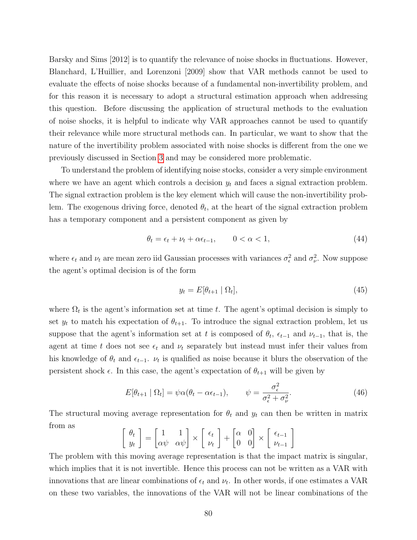Barsky and Sims [2012] is to quantify the relevance of noise shocks in fluctuations. However, Blanchard, L'Huillier, and Lorenzoni [2009] show that VAR methods cannot be used to evaluate the effects of noise shocks because of a fundamental non-invertibility problem, and for this reason it is necessary to adopt a structural estimation approach when addressing this question. Before discussing the application of structural methods to the evaluation of noise shocks, it is helpful to indicate why VAR approaches cannot be used to quantify their relevance while more structural methods can. In particular, we want to show that the nature of the invertibility problem associated with noise shocks is different from the one we previously discussed in Section [3](#page-21-0) and may be considered more problematic.

To understand the problem of identifying noise stocks, consider a very simple environment where we have an agent which controls a decision  $y_t$  and faces a signal extraction problem. The signal extraction problem is the key element which will cause the non-invertibility problem. The exogenous driving force, denoted  $\theta_t$ , at the heart of the signal extraction problem has a temporary component and a persistent component as given by

$$
\theta_t = \epsilon_t + \nu_t + \alpha \epsilon_{t-1}, \qquad 0 < \alpha < 1,\tag{44}
$$

where  $\epsilon_t$  and  $\nu_t$  are mean zero iid Gaussian processes with variances  $\sigma_{\epsilon}^2$  and  $\sigma_{\nu}^2$ . Now suppose the agent's optimal decision is of the form

$$
y_t = E[\theta_{t+1} \mid \Omega_t],\tag{45}
$$

where  $\Omega_t$  is the agent's information set at time t. The agent's optimal decision is simply to set  $y_t$  to match his expectation of  $\theta_{t+1}$ . To introduce the signal extraction problem, let us suppose that the agent's information set at t is composed of  $\theta_t$ ,  $\epsilon_{t-1}$  and  $\nu_{t-1}$ , that is, the agent at time t does not see  $\epsilon_t$  and  $\nu_t$  separately but instead must infer their values from his knowledge of  $\theta_t$  and  $\epsilon_{t-1}$ .  $\nu_t$  is qualified as noise because it blurs the observation of the persistent shock  $\epsilon$ . In this case, the agent's expectation of  $\theta_{t+1}$  will be given by

$$
E[\theta_{t+1} | \Omega_t] = \psi \alpha (\theta_t - \alpha \epsilon_{t-1}), \qquad \psi = \frac{\sigma_\epsilon^2}{\sigma_\epsilon^2 + \sigma_\nu^2}.
$$
 (46)

The structural moving average representation for  $\theta_t$  and  $y_t$  can then be written in matrix from as

$$
\begin{bmatrix} \theta_t \\ y_t \end{bmatrix} = \begin{bmatrix} 1 & 1 \\ \alpha \psi & \alpha \psi \end{bmatrix} \times \begin{bmatrix} \epsilon_t \\ \nu_t \end{bmatrix} + \begin{bmatrix} \alpha & 0 \\ 0 & 0 \end{bmatrix} \times \begin{bmatrix} \epsilon_{t-1} \\ \nu_{t-1} \end{bmatrix}
$$

The problem with this moving average representation is that the impact matrix is singular, which implies that it is not invertible. Hence this process can not be written as a VAR with innovations that are linear combinations of  $\epsilon_t$  and  $\nu_t$ . In other words, if one estimates a VAR on these two variables, the innovations of the VAR will not be linear combinations of the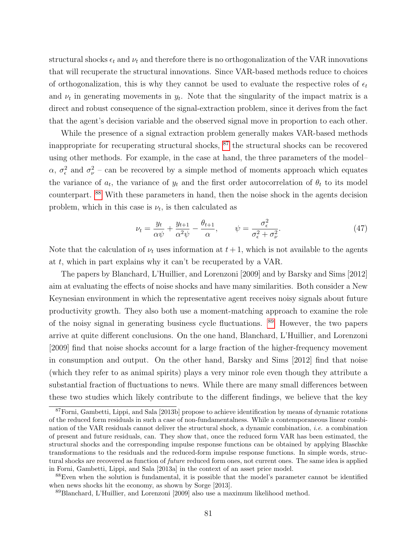structural shocks  $\epsilon_t$  and  $\nu_t$  and therefore there is no orthogonalization of the VAR innovations that will recuperate the structural innovations. Since VAR-based methods reduce to choices of orthogonalization, this is why they cannot be used to evaluate the respective roles of  $\epsilon_t$ and  $\nu_t$  in generating movements in  $y_t$ . Note that the singularity of the impact matrix is a direct and robust consequence of the signal-extraction problem, since it derives from the fact that the agent's decision variable and the observed signal move in proportion to each other.

While the presence of a signal extraction problem generally makes VAR-based methods inappropriate for recuperating structural shocks, [87](#page-82-0) the structural shocks can be recovered using other methods. For example, in the case at hand, the three parameters of the model–  $\alpha$ ,  $\sigma_{\epsilon}^2$  and  $\sigma_{\nu}^2$  – can be recovered by a simple method of moments approach which equates the variance of  $a_t$ , the variance of  $y_t$  and the first order autocorrelation of  $\theta_t$  to its model counterpart. [88](#page-82-1) With these parameters in hand, then the noise shock in the agents decision problem, which in this case is  $\nu_t$ , is then calculated as

$$
\nu_t = \frac{y_t}{\alpha \psi} + \frac{y_{t+1}}{\alpha^2 \psi} - \frac{\theta_{t+1}}{\alpha}, \qquad \psi = \frac{\sigma_\epsilon^2}{\sigma_\epsilon^2 + \sigma_\nu^2}.
$$
\n(47)

Note that the calculation of  $\nu_t$  uses information at  $t+1$ , which is not available to the agents at t, which in part explains why it can't be recuperated by a VAR.

The papers by Blanchard, L'Huillier, and Lorenzoni [2009] and by Barsky and Sims [2012] aim at evaluating the effects of noise shocks and have many similarities. Both consider a New Keynesian environment in which the representative agent receives noisy signals about future productivity growth. They also both use a moment-matching approach to examine the role of the noisy signal in generating business cycle fluctuations. [89](#page-82-2) However, the two papers arrive at quite different conclusions. On the one hand, Blanchard, L'Huillier, and Lorenzoni [2009] find that noise shocks account for a large fraction of the higher-frequency movement in consumption and output. On the other hand, Barsky and Sims [2012] find that noise (which they refer to as animal spirits) plays a very minor role even though they attribute a substantial fraction of fluctuations to news. While there are many small differences between these two studies which likely contribute to the different findings, we believe that the key

<span id="page-82-0"></span><sup>87</sup>Forni, Gambetti, Lippi, and Sala [2013b] propose to achieve identification by means of dynamic rotations of the reduced form residuals in such a case of non-fundamentalness. While a contemporaneous linear combination of the VAR residuals cannot deliver the structural shock, a dynamic combination, i.e. a combination of present and future residuals, can. They show that, once the reduced form VAR has been estimated, the structural shocks and the corresponding impulse response functions can be obtained by applying Blaschke transformations to the residuals and the reduced-form impulse response functions. In simple words, structural shocks are recovered as function of *future* reduced form ones, not current ones. The same idea is applied in Forni, Gambetti, Lippi, and Sala [2013a] in the context of an asset price model.

<span id="page-82-1"></span><sup>88</sup>Even when the solution is fundamental, it is possible that the model's parameter cannot be identified when news shocks hit the economy, as shown by Sorge [2013].

<span id="page-82-2"></span><sup>89</sup>Blanchard, L'Huillier, and Lorenzoni [2009] also use a maximum likelihood method.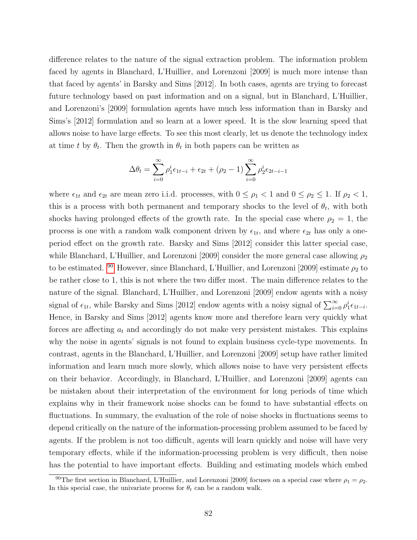difference relates to the nature of the signal extraction problem. The information problem faced by agents in Blanchard, L'Huillier, and Lorenzoni [2009] is much more intense than that faced by agents' in Barsky and Sims [2012]. In both cases, agents are trying to forecast future technology based on past information and on a signal, but in Blanchard, L'Huillier, and Lorenzoni's [2009] formulation agents have much less information than in Barsky and Sims's [2012] formulation and so learn at a lower speed. It is the slow learning speed that allows noise to have large effects. To see this most clearly, let us denote the technology index at time t by  $\theta_t$ . Then the growth in  $\theta_t$  in both papers can be written as

$$
\Delta \theta_t = \sum_{i=0}^{\infty} \rho_1^i \epsilon_{1t-i} + \epsilon_{2t} + (\rho_2 - 1) \sum_{i=0}^{\infty} \rho_2^i \epsilon_{2t-i-1}
$$

where  $\epsilon_{1t}$  and  $\epsilon_{2t}$  are mean zero i.i.d. processes, with  $0 \leq \rho_1 < 1$  and  $0 \leq \rho_2 \leq 1$ . If  $\rho_2 < 1$ , this is a process with both permanent and temporary shocks to the level of  $\theta_t$ , with both shocks having prolonged effects of the growth rate. In the special case where  $\rho_2 = 1$ , the process is one with a random walk component driven by  $\epsilon_{1t}$ , and where  $\epsilon_{2t}$  has only a oneperiod effect on the growth rate. Barsky and Sims [2012] consider this latter special case, while Blanchard, L'Huillier, and Lorenzoni [2009] consider the more general case allowing  $\rho_2$ to be estimated. <sup>[90](#page-83-0)</sup> However, since Blanchard, L'Huillier, and Lorenzoni [2009] estimate  $\rho_2$  to be rather close to 1, this is not where the two differ most. The main difference relates to the nature of the signal. Blanchard, L'Huillier, and Lorenzoni [2009] endow agents with a noisy signal of  $\epsilon_{1t}$ , while Barsky and Sims [2012] endow agents with a noisy signal of  $\sum_{i=0}^{\infty} \rho_1^i \epsilon_{1t-i}$ . Hence, in Barsky and Sims [2012] agents know more and therefore learn very quickly what forces are affecting  $a_t$  and accordingly do not make very persistent mistakes. This explains why the noise in agents' signals is not found to explain business cycle-type movements. In contrast, agents in the Blanchard, L'Huillier, and Lorenzoni [2009] setup have rather limited information and learn much more slowly, which allows noise to have very persistent effects on their behavior. Accordingly, in Blanchard, L'Huillier, and Lorenzoni [2009] agents can be mistaken about their interpretation of the environment for long periods of time which explains why in their framework noise shocks can be found to have substantial effects on fluctuations. In summary, the evaluation of the role of noise shocks in fluctuations seems to depend critically on the nature of the information-processing problem assumed to be faced by agents. If the problem is not too difficult, agents will learn quickly and noise will have very temporary effects, while if the information-processing problem is very difficult, then noise has the potential to have important effects. Building and estimating models which embed

<span id="page-83-0"></span><sup>&</sup>lt;sup>90</sup>The first section in Blanchard, L'Huillier, and Lorenzoni [2009] focuses on a special case where  $\rho_1 = \rho_2$ . In this special case, the univariate process for  $\theta_t$  can be a random walk.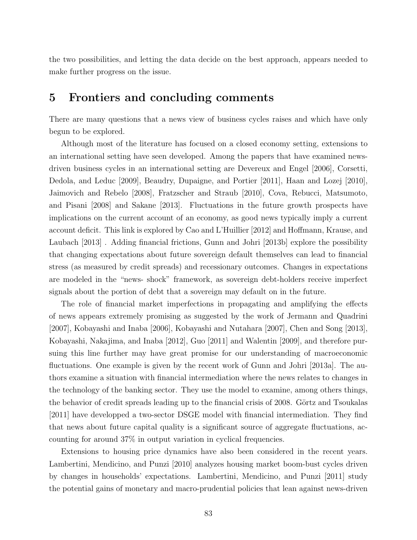the two possibilities, and letting the data decide on the best approach, appears needed to make further progress on the issue.

## 5 Frontiers and concluding comments

There are many questions that a news view of business cycles raises and which have only begun to be explored.

Although most of the literature has focused on a closed economy setting, extensions to an international setting have seen developed. Among the papers that have examined newsdriven business cycles in an international setting are Devereux and Engel [2006], Corsetti, Dedola, and Leduc [2009], Beaudry, Dupaigne, and Portier [2011], Haan and Lozej [2010], Jaimovich and Rebelo [2008], Fratzscher and Straub [2010], Cova, Rebucci, Matsumoto, and Pisani [2008] and Sakane [2013]. Fluctuations in the future growth prospects have implications on the current account of an economy, as good news typically imply a current account deficit. This link is explored by Cao and L'Huillier [2012] and Hoffmann, Krause, and Laubach [2013] . Adding financial frictions, Gunn and Johri [2013b] explore the possibility that changing expectations about future sovereign default themselves can lead to financial stress (as measured by credit spreads) and recessionary outcomes. Changes in expectations are modeled in the "news- shock" framework, as sovereign debt-holders receive imperfect signals about the portion of debt that a sovereign may default on in the future.

The role of financial market imperfections in propagating and amplifying the effects of news appears extremely promising as suggested by the work of Jermann and Quadrini [2007], Kobayashi and Inaba [2006], Kobayashi and Nutahara [2007], Chen and Song [2013], Kobayashi, Nakajima, and Inaba [2012], Guo [2011] and Walentin [2009], and therefore pursuing this line further may have great promise for our understanding of macroeconomic fluctuations. One example is given by the recent work of Gunn and Johri [2013a]. The authors examine a situation with financial intermediation where the news relates to changes in the technology of the banking sector. They use the model to examine, among others things, the behavior of credit spreads leading up to the financial crisis of 2008. Görtz and Tsoukalas [2011] have developped a two-sector DSGE model with financial intermediation. They find that news about future capital quality is a significant source of aggregate fluctuations, accounting for around 37% in output variation in cyclical frequencies.

Extensions to housing price dynamics have also been considered in the recent years. Lambertini, Mendicino, and Punzi [2010] analyzes housing market boom-bust cycles driven by changes in households' expectations. Lambertini, Mendicino, and Punzi [2011] study the potential gains of monetary and macro-prudential policies that lean against news-driven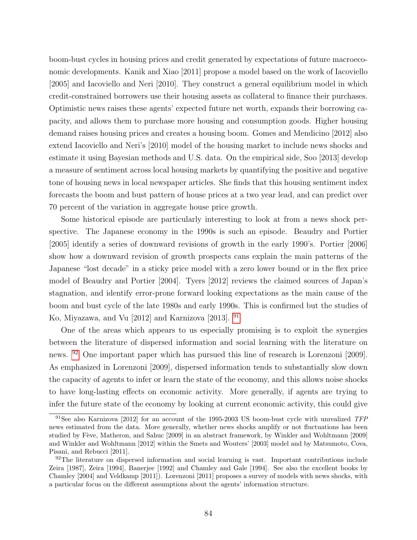boom-bust cycles in housing prices and credit generated by expectations of future macroeconomic developments. Kanik and Xiao [2011] propose a model based on the work of Iacoviello [2005] and Iacoviello and Neri [2010]. They construct a general equilibrium model in which credit-constrained borrowers use their housing assets as collateral to finance their purchases. Optimistic news raises these agents' expected future net worth, expands their borrowing capacity, and allows them to purchase more housing and consumption goods. Higher housing demand raises housing prices and creates a housing boom. Gomes and Mendicino [2012] also extend Iacoviello and Neri's [2010] model of the housing market to include news shocks and estimate it using Bayesian methods and U.S. data. On the empirical side, Soo [2013] develop a measure of sentiment across local housing markets by quantifying the positive and negative tone of housing news in local newspaper articles. She finds that this housing sentiment index forecasts the boom and bust pattern of house prices at a two year lead, and can predict over 70 percent of the variation in aggregate house price growth.

Some historical episode are particularly interesting to look at from a news shock perspective. The Japanese economy in the 1990s is such an episode. Beaudry and Portier [2005] identify a series of downward revisions of growth in the early 1990's. Portier [2006] show how a downward revision of growth prospects cans explain the main patterns of the Japanese "lost decade" in a sticky price model with a zero lower bound or in the flex price model of Beaudry and Portier [2004]. Tyers [2012] reviews the claimed sources of Japan's stagnation, and identify error-prone forward looking expectations as the main cause of the boom and bust cycle of the late 1980s and early 1990s. This is confirmed but the studies of Ko, Miyazawa, and Vu [2012] and Karnizova [2013]. [91](#page-85-0)

One of the areas which appears to us especially promising is to exploit the synergies between the literature of dispersed information and social learning with the literature on news. [92](#page-85-1) One important paper which has pursued this line of research is Lorenzoni [2009]. As emphasized in Lorenzoni [2009], dispersed information tends to substantially slow down the capacity of agents to infer or learn the state of the economy, and this allows noise shocks to have long-lasting effects on economic activity. More generally, if agents are trying to infer the future state of the economy by looking at current economic activity, this could give

<span id="page-85-0"></span><sup>&</sup>lt;sup>91</sup>See also Karnizova [2012] for an account of the 1995-2003 US boom-bust cycle with unrealized TFP news estimated from the data. More generally, whether news shocks amplify or not fluctuations has been studied by Fève, Matheron, and Sahuc [2009] in an abstract framework, by Winkler and Wohltmann [2009] and Winkler and Wohltmann [2012] within the Smets and Wouters' [2003] model and by Matsumoto, Cova, Pisani, and Rebucci [2011].

<span id="page-85-1"></span><sup>&</sup>lt;sup>92</sup>The literature on dispersed information and social learning is vast. Important contributions include Zeira [1987], Zeira [1994], Banerjee [1992] and Chamley and Gale [1994]. See also the excellent books by Chamley [2004] and Veldkamp [2011]). Lorenzoni [2011] proposes a survey of models with news shocks, with a particular focus on the different assumptions about the agents' information structure.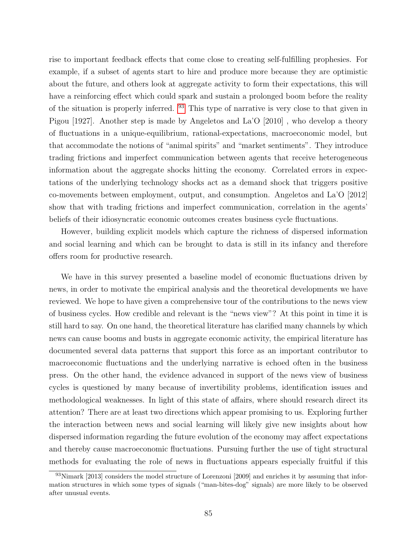rise to important feedback effects that come close to creating self-fulfilling prophesies. For example, if a subset of agents start to hire and produce more because they are optimistic about the future, and others look at aggregate activity to form their expectations, this will have a reinforcing effect which could spark and sustain a prolonged boom before the reality of the situation is properly inferred. [93](#page-86-0) This type of narrative is very close to that given in Pigou [1927]. Another step is made by Angeletos and La'O [2010] , who develop a theory of fluctuations in a unique-equilibrium, rational-expectations, macroeconomic model, but that accommodate the notions of "animal spirits" and "market sentiments". They introduce trading frictions and imperfect communication between agents that receive heterogeneous information about the aggregate shocks hitting the economy. Correlated errors in expectations of the underlying technology shocks act as a demand shock that triggers positive co-movements between employment, output, and consumption. Angeletos and La'O [2012] show that with trading frictions and imperfect communication, correlation in the agents' beliefs of their idiosyncratic economic outcomes creates business cycle fluctuations.

However, building explicit models which capture the richness of dispersed information and social learning and which can be brought to data is still in its infancy and therefore offers room for productive research.

We have in this survey presented a baseline model of economic fluctuations driven by news, in order to motivate the empirical analysis and the theoretical developments we have reviewed. We hope to have given a comprehensive tour of the contributions to the news view of business cycles. How credible and relevant is the "news view"? At this point in time it is still hard to say. On one hand, the theoretical literature has clarified many channels by which news can cause booms and busts in aggregate economic activity, the empirical literature has documented several data patterns that support this force as an important contributor to macroeconomic fluctuations and the underlying narrative is echoed often in the business press. On the other hand, the evidence advanced in support of the news view of business cycles is questioned by many because of invertibility problems, identification issues and methodological weaknesses. In light of this state of affairs, where should research direct its attention? There are at least two directions which appear promising to us. Exploring further the interaction between news and social learning will likely give new insights about how dispersed information regarding the future evolution of the economy may affect expectations and thereby cause macroeconomic fluctuations. Pursuing further the use of tight structural methods for evaluating the role of news in fluctuations appears especially fruitful if this

<span id="page-86-0"></span><sup>93</sup>Nimark [2013] considers the model structure of Lorenzoni [2009] and enriches it by assuming that information structures in which some types of signals ("man-bites-dog" signals) are more likely to be observed after unusual events.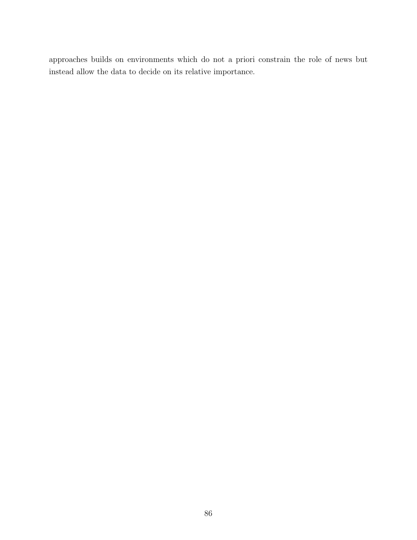approaches builds on environments which do not a priori constrain the role of news but instead allow the data to decide on its relative importance.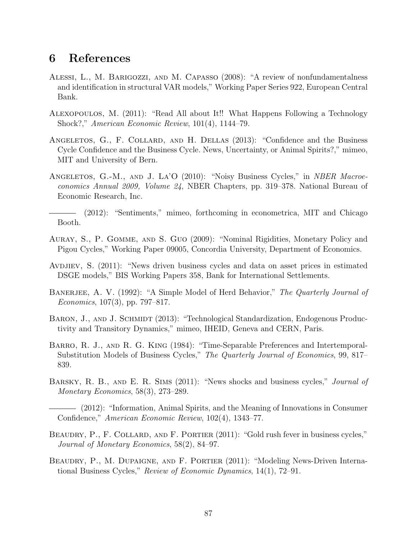## 6 References

- Alessi, L., M. Barigozzi, and M. Capasso (2008): "A review of nonfundamentalness and identification in structural VAR models," Working Paper Series 922, European Central Bank.
- Alexopoulos, M. (2011): "Read All about It!! What Happens Following a Technology Shock?," American Economic Review, 101(4), 1144–79.
- ANGELETOS, G., F. COLLARD, AND H. DELLAS (2013): "Confidence and the Business Cycle Confidence and the Business Cycle. News, Uncertainty, or Animal Spirits?," mimeo, MIT and University of Bern.
- ANGELETOS, G.-M., AND J. LA'O (2010): "Noisy Business Cycles," in *NBER Macroe*conomics Annual 2009, Volume 24, NBER Chapters, pp. 319–378. National Bureau of Economic Research, Inc.
- (2012): "Sentiments," mimeo, forthcoming in econometrica, MIT and Chicago Booth.
- Auray, S., P. Gomme, and S. Guo (2009): "Nominal Rigidities, Monetary Policy and Pigou Cycles," Working Paper 09005, Concordia University, Department of Economics.
- AVDJIEV, S.  $(2011)$ : "News driven business cycles and data on asset prices in estimated DSGE models," BIS Working Papers 358, Bank for International Settlements.
- BANERJEE, A. V. (1992): "A Simple Model of Herd Behavior," The Quarterly Journal of *Economics*, 107(3), pp. 797–817.
- BARON, J., AND J. SCHMIDT (2013): "Technological Standardization, Endogenous Productivity and Transitory Dynamics," mimeo, IHEID, Geneva and CERN, Paris.
- BARRO, R. J., AND R. G. KING (1984): "Time-Separable Preferences and Intertemporal-Substitution Models of Business Cycles," The Quarterly Journal of Economics, 99, 817– 839.
- BARSKY, R. B., AND E. R. SIMS (2011): "News shocks and business cycles," *Journal of* Monetary Economics, 58(3), 273–289.
- (2012): "Information, Animal Spirits, and the Meaning of Innovations in Consumer Confidence," American Economic Review, 102(4), 1343–77.
- BEAUDRY, P., F. COLLARD, AND F. PORTIER (2011): "Gold rush fever in business cycles," Journal of Monetary Economics, 58(2), 84–97.
- BEAUDRY, P., M. DUPAIGNE, AND F. PORTIER (2011): "Modeling News-Driven International Business Cycles," Review of Economic Dynamics, 14(1), 72–91.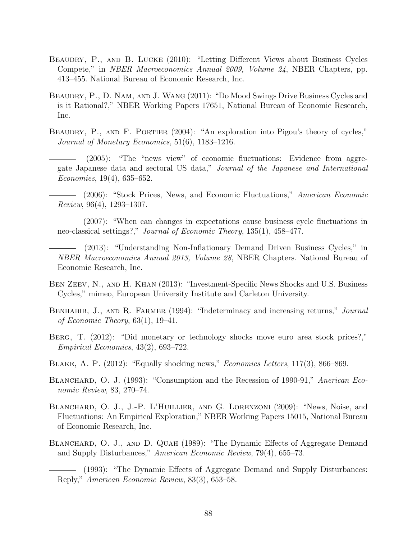- BEAUDRY, P., AND B. LUCKE (2010): "Letting Different Views about Business Cycles Compete," in NBER Macroeconomics Annual 2009, Volume 24, NBER Chapters, pp. 413–455. National Bureau of Economic Research, Inc.
- BEAUDRY, P., D. NAM, AND J. WANG (2011): "Do Mood Swings Drive Business Cycles and is it Rational?," NBER Working Papers 17651, National Bureau of Economic Research, Inc.
- BEAUDRY, P., AND F. PORTIER (2004): "An exploration into Pigou's theory of cycles," Journal of Monetary Economics, 51(6), 1183–1216.
	- (2005): "The "news view" of economic fluctuations: Evidence from aggregate Japanese data and sectoral US data," Journal of the Japanese and International Economies, 19(4), 635–652.
	- (2006): "Stock Prices, News, and Economic Fluctuations," American Economic Review, 96(4), 1293–1307.
	- (2007): "When can changes in expectations cause business cycle fluctuations in neo-classical settings?," Journal of Economic Theory, 135(1), 458–477.
	- (2013): "Understanding Non-Inflationary Demand Driven Business Cycles," in NBER Macroeconomics Annual 2013, Volume 28, NBER Chapters. National Bureau of Economic Research, Inc.
- BEN ZEEV, N., AND H. KHAN (2013): "Investment-Specific News Shocks and U.S. Business Cycles," mimeo, European University Institute and Carleton University.
- BENHABIB, J., AND R. FARMER (1994): "Indeterminacy and increasing returns," Journal of Economic Theory, 63(1), 19–41.
- Berg, T. (2012): "Did monetary or technology shocks move euro area stock prices?," Empirical Economics, 43(2), 693–722.
- Blake, A. P. (2012): "Equally shocking news," Economics Letters, 117(3), 866–869.
- BLANCHARD, O. J. (1993): "Consumption and the Recession of 1990-91," Anerican Economic Review, 83, 270–74.
- BLANCHARD, O. J., J.-P. L'HUILLIER, AND G. LORENZONI (2009): "News, Noise, and Fluctuations: An Empirical Exploration," NBER Working Papers 15015, National Bureau of Economic Research, Inc.
- BLANCHARD, O. J., AND D. QUAH (1989): "The Dynamic Effects of Aggregate Demand and Supply Disturbances," American Economic Review, 79(4), 655–73.

(1993): "The Dynamic Effects of Aggregate Demand and Supply Disturbances: Reply," American Economic Review, 83(3), 653–58.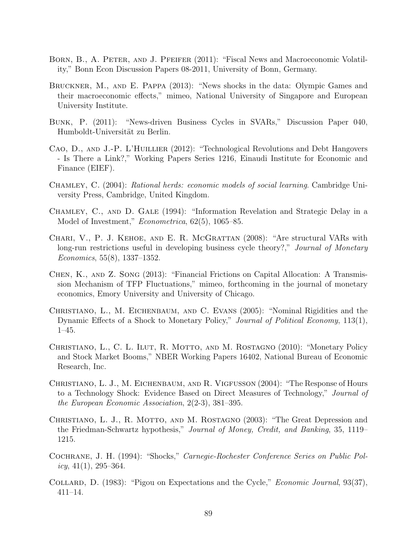- Born, B., A. Peter, and J. Pfeifer (2011): "Fiscal News and Macroeconomic Volatility," Bonn Econ Discussion Papers 08-2011, University of Bonn, Germany.
- Bruckner, M., and E. Pappa (2013): "News shocks in the data: Olympic Games and their macroeconomic effects," mimeo, National University of Singapore and European University Institute.
- Bunk, P. (2011): "News-driven Business Cycles in SVARs," Discussion Paper 040, Humboldt-Universität zu Berlin.
- CAO, D., AND J.-P. L'HUILLIER (2012): "Technological Revolutions and Debt Hangovers - Is There a Link?," Working Papers Series 1216, Einaudi Institute for Economic and Finance (EIEF).
- Chamley, C. (2004): Rational herds: economic models of social learning. Cambridge University Press, Cambridge, United Kingdom.
- CHAMLEY, C., AND D. GALE (1994): "Information Revelation and Strategic Delay in a Model of Investment," *Econometrica*, 62(5), 1065–85.
- Chari, V., P. J. Kehoe, and E. R. McGrattan (2008): "Are structural VARs with long-run restrictions useful in developing business cycle theory?," Journal of Monetary Economics, 55(8), 1337–1352.
- Chen, K., and Z. Song (2013): "Financial Frictions on Capital Allocation: A Transmission Mechanism of TFP Fluctuations," mimeo, forthcoming in the journal of monetary economics, Emory University and University of Chicago.
- Christiano, L., M. Eichenbaum, and C. Evans (2005): "Nominal Rigidities and the Dynamic Effects of a Shock to Monetary Policy," Journal of Political Economy, 113(1), 1–45.
- CHRISTIANO, L., C. L. ILUT, R. MOTTO, AND M. ROSTAGNO (2010): "Monetary Policy and Stock Market Booms," NBER Working Papers 16402, National Bureau of Economic Research, Inc.
- Christiano, L. J., M. Eichenbaum, and R. Vigfusson (2004): "The Response of Hours to a Technology Shock: Evidence Based on Direct Measures of Technology," Journal of the European Economic Association, 2(2-3), 381–395.
- CHRISTIANO, L. J., R. MOTTO, AND M. ROSTAGNO (2003): "The Great Depression and the Friedman-Schwartz hypothesis," Journal of Money, Credit, and Banking, 35, 1119– 1215.
- Cochrane, J. H. (1994): "Shocks," Carnegie-Rochester Conference Series on Public Pol $icy, 41(1), 295-364.$
- COLLARD, D. (1983): "Pigou on Expectations and the Cycle," *Economic Journal*, 93(37), 411–14.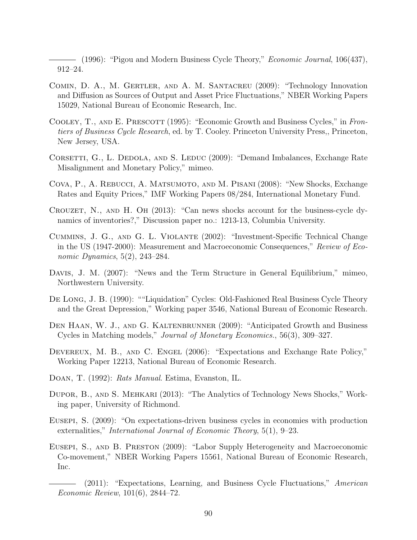$-$  (1996): "Pigou and Modern Business Cycle Theory," *Economic Journal*, 106(437), 912–24.

- COMIN, D. A., M. GERTLER, AND A. M. SANTACREU (2009): "Technology Innovation and Diffusion as Sources of Output and Asset Price Fluctuations," NBER Working Papers 15029, National Bureau of Economic Research, Inc.
- COOLEY, T., AND E. PRESCOTT (1995): "Economic Growth and Business Cycles," in Frontiers of Business Cycle Research, ed. by T. Cooley. Princeton University Press,, Princeton, New Jersey, USA.
- CORSETTI, G., L. DEDOLA, AND S. LEDUC (2009): "Demand Imbalances, Exchange Rate Misalignment and Monetary Policy," mimeo.
- Cova, P., A. Rebucci, A. Matsumoto, and M. Pisani (2008): "New Shocks, Exchange Rates and Equity Prices," IMF Working Papers 08/284, International Monetary Fund.
- Crouzet, N., and H. Oh (2013): "Can news shocks account for the business-cycle dynamics of inventories?," Discussion paper no.: 1213-13, Columbia University.
- Cummins, J. G., and G. L. Violante (2002): "Investment-Specific Technical Change in the US (1947-2000): Measurement and Macroeconomic Consequences," Review of Economic Dynamics, 5(2), 243–284.
- DAVIS, J. M. (2007): "News and the Term Structure in General Equilibrium," mimeo, Northwestern University.
- De Long, J. B. (1990): ""Liquidation" Cycles: Old-Fashioned Real Business Cycle Theory and the Great Depression," Working paper 3546, National Bureau of Economic Research.
- DEN HAAN, W. J., AND G. KALTENBRUNNER (2009): "Anticipated Growth and Business Cycles in Matching models," Journal of Monetary Economics., 56(3), 309–327.
- DEVEREUX, M. B., AND C. ENGEL (2006): "Expectations and Exchange Rate Policy," Working Paper 12213, National Bureau of Economic Research.
- Doan, T. (1992): Rats Manual. Estima, Evanston, IL.
- Dupor, B., and S. Mehkari (2013): "The Analytics of Technology News Shocks," Working paper, University of Richmond.
- Eusepi, S. (2009): "On expectations-driven business cycles in economies with production externalities," International Journal of Economic Theory, 5(1), 9–23.
- Eusepi, S., and B. Preston (2009): "Labor Supply Heterogeneity and Macroeconomic Co-movement," NBER Working Papers 15561, National Bureau of Economic Research, Inc.
	- (2011): "Expectations, Learning, and Business Cycle Fluctuations," American Economic Review, 101(6), 2844–72.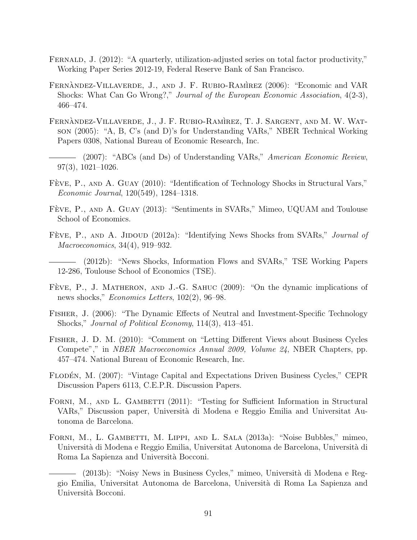- FERNALD, J. (2012): "A quarterly, utilization-adjusted series on total factor productivity," Working Paper Series 2012-19, Federal Reserve Bank of San Francisco.
- FERNANDEZ-VILLAVERDE, J., AND J. F. RUBIO-RAMIREZ (2006): "Economic and VAR Shocks: What Can Go Wrong?," Journal of the European Economic Association, 4(2-3), 466–474.
- FERNANDEZ-VILLAVERDE, J., J. F. RUBIO-RAMIREZ, T. J. SARGENT, AND M. W. WATson (2005): "A, B, C's (and D)'s for Understanding VARs," NBER Technical Working Papers 0308, National Bureau of Economic Research, Inc.
- (2007): "ABCs (and Ds) of Understanding VARs," American Economic Review, 97(3), 1021–1026.
- FÈVE, P., AND A. GUAY (2010): "Identification of Technology Shocks in Structural Vars," Economic Journal, 120(549), 1284–1318.
- FÈVE, P., AND A. GUAY (2013): "Sentiments in SVARs," Mimeo, UQUAM and Toulouse School of Economics.
- FÈVE, P., AND A. JIDOUD (2012a): "Identifying News Shocks from SVARs," *Journal of* Macroeconomics, 34(4), 919–932.
- (2012b): "News Shocks, Information Flows and SVARs," TSE Working Papers 12-286, Toulouse School of Economics (TSE).
- FÈVE, P., J. MATHERON, AND J.-G. SAHUC (2009): "On the dynamic implications of news shocks," Economics Letters, 102(2), 96–98.
- Fisher, J. (2006): "The Dynamic Effects of Neutral and Investment-Specific Technology Shocks," Journal of Political Economy, 114(3), 413–451.
- Fisher, J. D. M. (2010): "Comment on "Letting Different Views about Business Cycles Compete"," in NBER Macroeconomics Annual 2009, Volume 24, NBER Chapters, pp. 457–474. National Bureau of Economic Research, Inc.
- FLODEN, M. (2007): "Vintage Capital and Expectations Driven Business Cycles," CEPR Discussion Papers 6113, C.E.P.R. Discussion Papers.
- FORNI, M., AND L. GAMBETTI (2011): "Testing for Sufficient Information in Structural VARs," Discussion paper, Universit`a di Modena e Reggio Emilia and Universitat Autonoma de Barcelona.
- Forni, M., L. Gambetti, M. Lippi, and L. Sala (2013a): "Noise Bubbles," mimeo, Universit`a di Modena e Reggio Emilia, Universitat Autonoma de Barcelona, Universit`a di Roma La Sapienza and Universit`a Bocconi.
	- (2013b): "Noisy News in Business Cycles," mimeo, Universit`a di Modena e Reggio Emilia, Universitat Autonoma de Barcelona, Universit`a di Roma La Sapienza and Università Bocconi.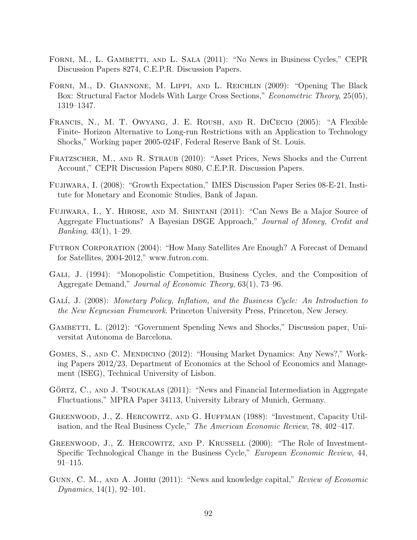- FORNI, M., L. GAMBETTI, AND L. SALA (2011): "No News in Business Cycles," CEPR Discussion Papers 8274, C.E.P.R. Discussion Papers.
- Forni, M., D. Giannone, M. Lippi, and L. Reichlin (2009): "Opening The Black Box: Structural Factor Models With Large Cross Sections," Econometric Theory, 25(05), 1319–1347.
- Francis, N., M. T. Owyang, J. E. Roush, and R. DiCecio (2005): "A Flexible Finite- Horizon Alternative to Long-run Restrictions with an Application to Technology Shocks," Working paper 2005-024F, Federal Reserve Bank of St. Louis.
- FRATZSCHER, M., AND R. STRAUB (2010): "Asset Prices, News Shocks and the Current Account," CEPR Discussion Papers 8080, C.E.P.R. Discussion Papers.
- Fujiwara, I. (2008): "Growth Expectation," IMES Discussion Paper Series 08-E-21, Institute for Monetary and Economic Studies, Bank of Japan.
- Fujiwara, I., Y. Hirose, and M. Shintani (2011): "Can News Be a Major Source of Aggregate Fluctuations? A Bayesian DSGE Approach," Journal of Money, Credit and Banking, 43(1), 1–29.
- Futron Corporation (2004): "How Many Satellites Are Enough? A Forecast of Demand for Satellites, 2004-2012," www.futron.com.
- Gali, J. (1994): "Monopolistic Competition, Business Cycles, and the Composition of Aggregate Demand," Journal of Economic Theory, 63(1), 73–96.
- GALÍ, J. (2008): Monetary Policy, Inflation, and the Business Cycle: An Introduction to the New Keynesian Framework. Princeton University Press, Princeton, New Jersey.
- GAMBETTI, L. (2012): "Government Spending News and Shocks," Discussion paper, Universitat Autonoma de Barcelona.
- Gomes, S., and C. Mendicino (2012): "Housing Market Dynamics: Any News?," Working Papers 2012/23, Department of Economics at the School of Economics and Management (ISEG), Technical University of Lisbon.
- GÖRTZ,  $C_{\cdot}$ , AND J. TSOUKALAS (2011): "News and Financial Intermediation in Aggregate Fluctuations," MPRA Paper 34113, University Library of Munich, Germany.
- Greenwood, J., Z. Hercowitz, and G. Huffman (1988): "Investment, Capacity Utilisation, and the Real Business Cycle," The American Economic Review, 78, 402–417.
- GREENWOOD, J., Z. HERCOWITZ, AND P. KRUSSELL (2000): "The Role of Investment-Specific Technological Change in the Business Cycle," European Economic Review, 44, 91–115.
- GUNN, C. M., AND A. JOHRI (2011): "News and knowledge capital," Review of Economic Dynamics,  $14(1)$ ,  $92-101$ .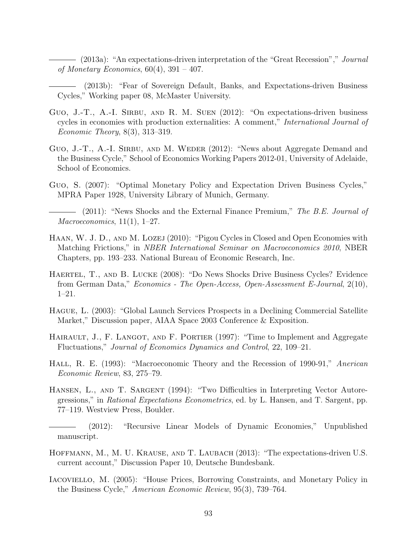$-$  (2013a): "An expectations-driven interpretation of the "Great Recession"," *Journal* of Monetary Economics,  $60(4)$ ,  $391 - 407$ .

(2013b): "Fear of Sovereign Default, Banks, and Expectations-driven Business Cycles," Working paper 08, McMaster University.

- GUO, J.-T., A.-I. SIRBU, AND R. M. SUEN  $(2012)$ : "On expectations-driven business cycles in economies with production externalities: A comment," International Journal of Economic Theory, 8(3), 313–319.
- Guo, J.-T., A.-I. SIRBU, AND M. WEDER (2012): "News about Aggregate Demand and the Business Cycle," School of Economics Working Papers 2012-01, University of Adelaide, School of Economics.
- Guo, S. (2007): "Optimal Monetary Policy and Expectation Driven Business Cycles," MPRA Paper 1928, University Library of Munich, Germany.

— (2011): "News Shocks and the External Finance Premium," The B.E. Journal of  $Macroeconomics, 11(1), 1-27.$ 

- Haan, W. J. D., and M. Lozej (2010): "Pigou Cycles in Closed and Open Economies with Matching Frictions," in NBER International Seminar on Macroeconomics 2010, NBER Chapters, pp. 193–233. National Bureau of Economic Research, Inc.
- Haertel, T., and B. Lucke (2008): "Do News Shocks Drive Business Cycles? Evidence from German Data," Economics - The Open-Access, Open-Assessment E-Journal, 2(10), 1–21.
- Hague, L. (2003): "Global Launch Services Prospects in a Declining Commercial Satellite Market," Discussion paper, AIAA Space 2003 Conference & Exposition.
- HAIRAULT, J., F. LANGOT, AND F. PORTIER (1997): "Time to Implement and Aggregate Fluctuations," Journal of Economics Dynamics and Control, 22, 109–21.
- Hall, R. E. (1993): "Macroeconomic Theory and the Recession of 1990-91," Anerican Economic Review, 83, 275–79.
- HANSEN, L., AND T. SARGENT (1994): "Two Difficulties in Interpreting Vector Autoregressions," in Rational Expectations Econometrics, ed. by L. Hansen, and T. Sargent, pp. 77–119. Westview Press, Boulder.
- (2012): "Recursive Linear Models of Dynamic Economies," Unpublished manuscript.
- Hoffmann, M., M. U. Krause, and T. Laubach (2013): "The expectations-driven U.S. current account," Discussion Paper 10, Deutsche Bundesbank.
- Iacoviello, M. (2005): "House Prices, Borrowing Constraints, and Monetary Policy in the Business Cycle," American Economic Review, 95(3), 739–764.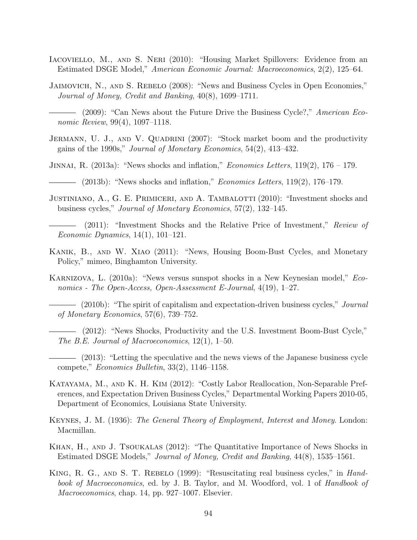- Iacoviello, M., and S. Neri (2010): "Housing Market Spillovers: Evidence from an Estimated DSGE Model," American Economic Journal: Macroeconomics, 2(2), 125–64.
- Jaimovich, N., and S. Rebelo (2008): "News and Business Cycles in Open Economies," Journal of Money, Credit and Banking, 40(8), 1699–1711.

- JERMANN, U. J., AND V. QUADRINI (2007): "Stock market boom and the productivity gains of the 1990s," Journal of Monetary Economics, 54(2), 413–432.
- JINNAI, R.  $(2013a)$ : "News shocks and inflation," *Economics Letters*, 119 $(2)$ , 176 179.
- $\hspace{1.5mm}$  (2013b): "News shocks and inflation," *Economics Letters*, 119(2), 176–179.
- JUSTINIANO, A., G. E. PRIMICERI, AND A. TAMBALOTTI (2010): "Investment shocks and business cycles," Journal of Monetary Economics, 57(2), 132–145.
- (2011): "Investment Shocks and the Relative Price of Investment," Review of Economic Dynamics, 14(1), 101–121.
- Kanik, B., and W. Xiao (2011): "News, Housing Boom-Bust Cycles, and Monetary Policy," mimeo, Binghamton University.
- Karnizova, L. (2010a): "News versus sunspot shocks in a New Keynesian model," Economics - The Open-Access, Open-Assessment E-Journal, 4(19), 1–27.
- (2010b): "The spirit of capitalism and expectation-driven business cycles," *Journal* of Monetary Economics, 57(6), 739–752.
	- (2012): "News Shocks, Productivity and the U.S. Investment Boom-Bust Cycle," The B.E. Journal of Macroeconomics, 12(1), 1–50.
- (2013): "Letting the speculative and the news views of the Japanese business cycle compete," Economics Bulletin, 33(2), 1146–1158.
- Katayama, M., and K. H. Kim (2012): "Costly Labor Reallocation, Non-Separable Preferences, and Expectation Driven Business Cycles," Departmental Working Papers 2010-05, Department of Economics, Louisiana State University.
- Keynes, J. M. (1936): The General Theory of Employment, Interest and Money. London: Macmillan.
- Khan, H., and J. Tsoukalas (2012): "The Quantitative Importance of News Shocks in Estimated DSGE Models," Journal of Money, Credit and Banking, 44(8), 1535–1561.
- King, R. G., and S. T. Rebelo (1999): "Resuscitating real business cycles," in Handbook of Macroeconomics, ed. by J. B. Taylor, and M. Woodford, vol. 1 of Handbook of Macroeconomics, chap. 14, pp. 927–1007. Elsevier.

<sup>- (2009): &</sup>quot;Can News about the Future Drive the Business Cycle?," American Economic Review, 99(4), 1097–1118.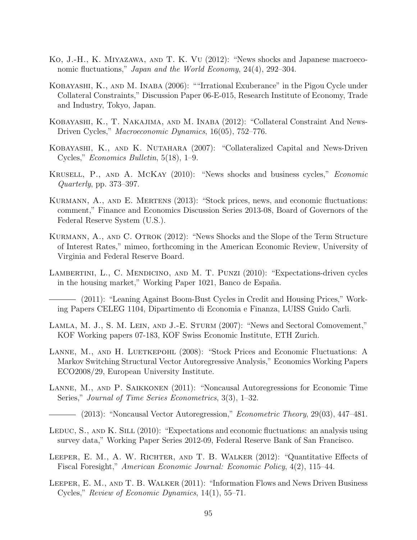- Ko, J.-H., K. Miyazawa, and T. K. Vu (2012): "News shocks and Japanese macroeconomic fluctuations," Japan and the World Economy, 24(4), 292–304.
- Kobayashi, K., and M. Inaba (2006): ""Irrational Exuberance" in the Pigou Cycle under Collateral Constraints," Discussion Paper 06-E-015, Research Institute of Economy, Trade and Industry, Tokyo, Japan.
- Kobayashi, K., T. Nakajima, and M. Inaba (2012): "Collateral Constraint And News-Driven Cycles," Macroeconomic Dynamics, 16(05), 752–776.
- Kobayashi, K., and K. Nutahara (2007): "Collateralized Capital and News-Driven Cycles," Economics Bulletin, 5(18), 1–9.
- Krusell, P., and A. McKay (2010): "News shocks and business cycles," Economic Quarterly, pp. 373–397.
- KURMANN, A., AND E. MERTENS (2013): "Stock prices, news, and economic fluctuations: comment," Finance and Economics Discussion Series 2013-08, Board of Governors of the Federal Reserve System (U.S.).
- KURMANN, A., AND C. OTROK (2012): "News Shocks and the Slope of the Term Structure of Interest Rates," mimeo, forthcoming in the American Economic Review, University of Virginia and Federal Reserve Board.
- LAMBERTINI, L., C. MENDICINO, AND M. T. PUNZI (2010): "Expectations-driven cycles in the housing market," Working Paper 1021, Banco de España.

(2011): "Leaning Against Boom-Bust Cycles in Credit and Housing Prices," Working Papers CELEG 1104, Dipartimento di Economia e Finanza, LUISS Guido Carli.

- Lamla, M. J., S. M. Lein, and J.-E. Sturm (2007): "News and Sectoral Comovement," KOF Working papers 07-183, KOF Swiss Economic Institute, ETH Zurich.
- LANNE, M., AND H. LUETKEPOHL (2008): "Stock Prices and Economic Fluctuations: A Markov Switching Structural Vector Autoregressive Analysis," Economics Working Papers ECO2008/29, European University Institute.
- Lanne, M., and P. Saikkonen (2011): "Noncausal Autoregressions for Economic Time Series," Journal of Time Series Econometrics, 3(3), 1–32.
- $-$  (2013): "Noncausal Vector Autoregression," *Econometric Theory*, 29(03), 447–481.
- LEDUC, S., AND K. SILL (2010): "Expectations and economic fluctuations: an analysis using survey data," Working Paper Series 2012-09, Federal Reserve Bank of San Francisco.
- LEEPER, E. M., A. W. RICHTER, AND T. B. WALKER (2012): "Quantitative Effects of Fiscal Foresight," American Economic Journal: Economic Policy, 4(2), 115–44.
- Leeper, E. M., and T. B. Walker (2011): "Information Flows and News Driven Business Cycles," Review of Economic Dynamics, 14(1), 55–71.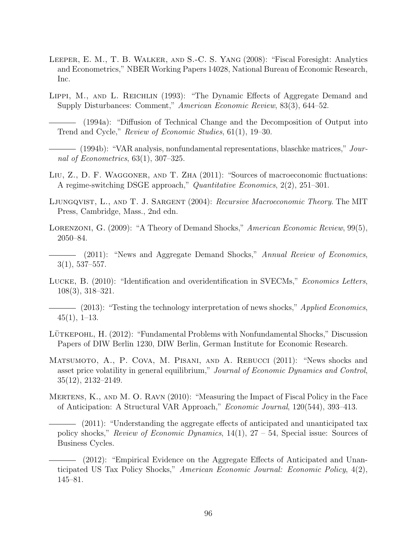- Leeper, E. M., T. B. Walker, and S.-C. S. Yang (2008): "Fiscal Foresight: Analytics and Econometrics," NBER Working Papers 14028, National Bureau of Economic Research, Inc.
- LIPPI, M., AND L. REICHLIN (1993): "The Dynamic Effects of Aggregate Demand and Supply Disturbances: Comment," American Economic Review, 83(3), 644–52.
	- (1994a): "Diffusion of Technical Change and the Decomposition of Output into Trend and Cycle," Review of Economic Studies, 61(1), 19–30.
- (1994b): "VAR analysis, nonfundamental representations, blaschke matrices," Journal of Econometrics, 63(1), 307–325.
- LIU, Z., D. F. WAGGONER, AND T. ZHA (2011): "Sources of macroeconomic fluctuations: A regime-switching DSGE approach," Quantitative Economics, 2(2), 251–301.
- LJUNGQVIST, L., AND T. J. SARGENT (2004): Recursive Macroeconomic Theory. The MIT Press, Cambridge, Mass., 2nd edn.
- LORENZONI, G. (2009): "A Theory of Demand Shocks," American Economic Review, 99(5), 2050–84.
- (2011): "News and Aggregate Demand Shocks," Annual Review of Economics, 3(1), 537–557.
- Lucke, B. (2010): "Identification and overidentification in SVECMs," Economics Letters, 108(3), 318–321.
- (2013): "Testing the technology interpretation of news shocks," *Applied Economics*,  $45(1), 1-13.$
- LÜTKEPOHL, H. (2012): "Fundamental Problems with Nonfundamental Shocks," Discussion Papers of DIW Berlin 1230, DIW Berlin, German Institute for Economic Research.
- Matsumoto, A., P. Cova, M. Pisani, and A. Rebucci (2011): "News shocks and asset price volatility in general equilibrium," Journal of Economic Dynamics and Control, 35(12), 2132–2149.
- Mertens, K., and M. O. Ravn (2010): "Measuring the Impact of Fiscal Policy in the Face of Anticipation: A Structural VAR Approach," Economic Journal, 120(544), 393–413.
	- (2011): "Understanding the aggregate effects of anticipated and unanticipated tax policy shocks," Review of Economic Dynamics,  $14(1)$ ,  $27 - 54$ , Special issue: Sources of Business Cycles.
	- (2012): "Empirical Evidence on the Aggregate Effects of Anticipated and Unanticipated US Tax Policy Shocks," American Economic Journal: Economic Policy, 4(2), 145–81.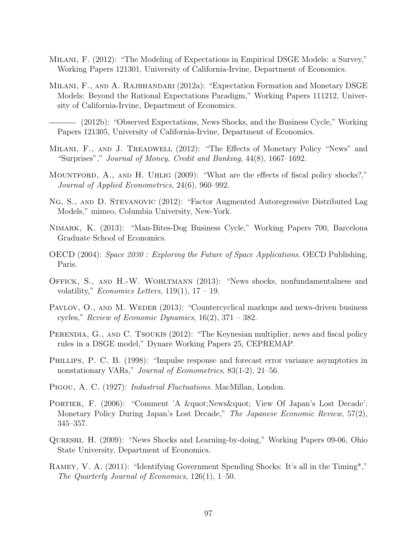- Milani, F. (2012): "The Modeling of Expectations in Empirical DSGE Models: a Survey," Working Papers 121301, University of California-Irvine, Department of Economics.
- Milani, F., and A. Rajbhandari (2012a): "Expectation Formation and Monetary DSGE Models: Beyond the Rational Expectations Paradigm," Working Papers 111212, University of California-Irvine, Department of Economics.
	- (2012b): "Observed Expectations, News Shocks, and the Business Cycle," Working Papers 121305, University of California-Irvine, Department of Economics.
- Milani, F., and J. Treadwell (2012): "The Effects of Monetary Policy "News" and "Surprises"," Journal of Money, Credit and Banking, 44(8), 1667–1692.
- MOUNTFORD, A., AND H. UHLIG (2009): "What are the effects of fiscal policy shocks?," Journal of Applied Econometrics, 24(6), 960–992.
- Ng, S., and D. Stevanovic (2012): "Factor Augmented Autoregressive Distributed Lag Models," mimeo, Columbia University, New-York.
- Nimark, K. (2013): "Man-Bites-Dog Business Cycle," Working Papers 700, Barcelona Graduate School of Economics.
- OECD (2004): Space 2030 : Exploring the Future of Space Applications. OECD Publishing, Paris.
- Offick, S., and H.-W. Wohltmann (2013): "News shocks, nonfundamentalness and volatility," *Economics Letters*, 119(1),  $17 - 19$ .
- PAVLOV, O., AND M. WEDER (2013): "Countercyclical markups and news-driven business cycles," Review of Economic Dynamics,  $16(2)$ ,  $371 - 382$ .
- PERENDIA, G., AND C. TSOUKIS (2012): "The Keynesian multiplier, news and fiscal policy rules in a DSGE model," Dynare Working Papers 25, CEPREMAP.
- Phillips, P. C. B. (1998): "Impulse response and forecast error variance asymptotics in nonstationary VARs," Journal of Econometrics, 83(1-2), 21–56.
- Pigou, A. C. (1927): Industrial Fluctuations. MacMillan, London.
- PORTIER, F. (2006): "Comment 'A " News " View Of Japan's Lost Decade': Monetary Policy During Japan's Lost Decade," The Japanese Economic Review, 57(2), 345–357.
- Qureshi, H. (2009): "News Shocks and Learning-by-doing," Working Papers 09-06, Ohio State University, Department of Economics.
- Ramey, V. A. (2011): "Identifying Government Spending Shocks: It's all in the Timing\*," The Quarterly Journal of Economics, 126(1), 1–50.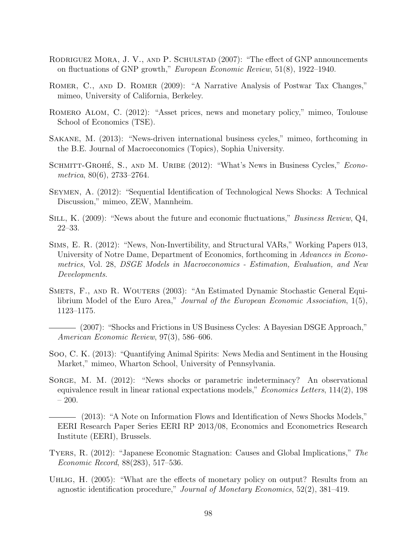- RODRIGUEZ MORA, J. V., AND P. SCHULSTAD (2007): "The effect of GNP announcements on fluctuations of GNP growth," European Economic Review, 51(8), 1922–1940.
- ROMER, C., AND D. ROMER (2009): "A Narrative Analysis of Postwar Tax Changes," mimeo, University of California, Berkeley.
- Romero Alom, C. (2012): "Asset prices, news and monetary policy," mimeo, Toulouse School of Economics (TSE).
- Sakane, M. (2013): "News-driven international business cycles," mimeo, forthcoming in the B.E. Journal of Macroeconomics (Topics), Sophia University.
- SCHMITT-GROHÉ, S., AND M. URIBE (2012): "What's News in Business Cycles," Econometrica, 80(6), 2733–2764.
- Seymen, A. (2012): "Sequential Identification of Technological News Shocks: A Technical Discussion," mimeo, ZEW, Mannheim.
- SILL, K. (2009): "News about the future and economic fluctuations," *Business Review*, Q4, 22–33.
- Sims, E. R. (2012): "News, Non-Invertibility, and Structural VARs," Working Papers 013, University of Notre Dame, Department of Economics, forthcoming in Advances in Econometrics, Vol. 28, DSGE Models in Macroeconomics - Estimation, Evaluation, and New Developments.
- SMETS, F., AND R. WOUTERS (2003): "An Estimated Dynamic Stochastic General Equilibrium Model of the Euro Area," Journal of the European Economic Association, 1(5), 1123–1175.
- (2007): "Shocks and Frictions in US Business Cycles: A Bayesian DSGE Approach," American Economic Review, 97(3), 586–606.
- Soo, C. K. (2013): "Quantifying Animal Spirits: News Media and Sentiment in the Housing Market," mimeo, Wharton School, University of Pennsylvania.
- SORGE, M. M. (2012): "News shocks or parametric indeterminacy? An observational equivalence result in linear rational expectations models," Economics Letters, 114(2), 198 – 200.
- (2013): "A Note on Information Flows and Identification of News Shocks Models," EERI Research Paper Series EERI RP 2013/08, Economics and Econometrics Research Institute (EERI), Brussels.
- Tyers, R. (2012): "Japanese Economic Stagnation: Causes and Global Implications," The Economic Record, 88(283), 517–536.
- UHLIG, H. (2005): "What are the effects of monetary policy on output? Results from an agnostic identification procedure," Journal of Monetary Economics, 52(2), 381–419.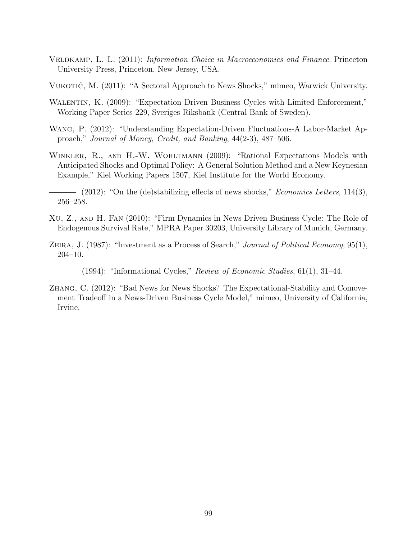- Veldkamp, L. L. (2011): Information Choice in Macroeconomics and Finance. Princeton University Press, Princeton, New Jersey, USA.
- VUKOTIĆ, M. (2011): "A Sectoral Approach to News Shocks," mimeo, Warwick University.
- WALENTIN, K. (2009): "Expectation Driven Business Cycles with Limited Enforcement," Working Paper Series 229, Sveriges Riksbank (Central Bank of Sweden).
- Wang, P. (2012): "Understanding Expectation-Driven Fluctuations-A Labor-Market Approach," Journal of Money, Credit, and Banking, 44(2-3), 487–506.
- WINKLER, R., AND H.-W. WOHLTMANN (2009): "Rational Expectations Models with Anticipated Shocks and Optimal Policy: A General Solution Method and a New Keynesian Example," Kiel Working Papers 1507, Kiel Institute for the World Economy.
- $-$  (2012): "On the (de)stabilizing effects of news shocks," *Economics Letters*, 114(3), 256–258.
- Xu, Z., and H. Fan (2010): "Firm Dynamics in News Driven Business Cycle: The Role of Endogenous Survival Rate," MPRA Paper 30203, University Library of Munich, Germany.
- ZEIRA, J. (1987): "Investment as a Process of Search," Journal of Political Economy, 95(1), 204–10.
	- $-$  (1994): "Informational Cycles," Review of Economic Studies, 61(1), 31–44.
- Zhang, C. (2012): "Bad News for News Shocks? The Expectational-Stability and Comovement Tradeoff in a News-Driven Business Cycle Model," mimeo, University of California, Irvine.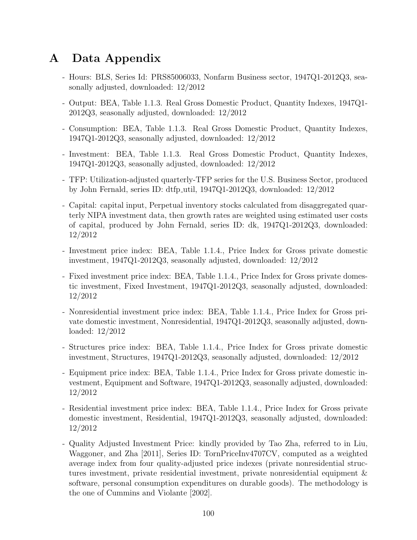# A Data Appendix

- Hours: BLS, Series Id: PRS85006033, Nonfarm Business sector, 1947Q1-2012Q3, seasonally adjusted, downloaded: 12/2012
- Output: BEA, Table 1.1.3. Real Gross Domestic Product, Quantity Indexes, 1947Q1- 2012Q3, seasonally adjusted, downloaded: 12/2012
- Consumption: BEA, Table 1.1.3. Real Gross Domestic Product, Quantity Indexes, 1947Q1-2012Q3, seasonally adjusted, downloaded: 12/2012
- Investment: BEA, Table 1.1.3. Real Gross Domestic Product, Quantity Indexes, 1947Q1-2012Q3, seasonally adjusted, downloaded: 12/2012
- TFP: Utilization-adjusted quarterly-TFP series for the U.S. Business Sector, produced by John Fernald, series ID: dtfp util, 1947Q1-2012Q3, downloaded: 12/2012
- Capital: capital input, Perpetual inventory stocks calculated from disaggregated quarterly NIPA investment data, then growth rates are weighted using estimated user costs of capital, produced by John Fernald, series ID: dk, 1947Q1-2012Q3, downloaded: 12/2012
- Investment price index: BEA, Table 1.1.4., Price Index for Gross private domestic investment, 1947Q1-2012Q3, seasonally adjusted, downloaded: 12/2012
- Fixed investment price index: BEA, Table 1.1.4., Price Index for Gross private domestic investment, Fixed Investment, 1947Q1-2012Q3, seasonally adjusted, downloaded: 12/2012
- Nonresidential investment price index: BEA, Table 1.1.4., Price Index for Gross private domestic investment, Nonresidential, 1947Q1-2012Q3, seasonally adjusted, downloaded: 12/2012
- Structures price index: BEA, Table 1.1.4., Price Index for Gross private domestic investment, Structures, 1947Q1-2012Q3, seasonally adjusted, downloaded: 12/2012
- Equipment price index: BEA, Table 1.1.4., Price Index for Gross private domestic investment, Equipment and Software, 1947Q1-2012Q3, seasonally adjusted, downloaded: 12/2012
- Residential investment price index: BEA, Table 1.1.4., Price Index for Gross private domestic investment, Residential, 1947Q1-2012Q3, seasonally adjusted, downloaded: 12/2012
- Quality Adjusted Investment Price: kindly provided by Tao Zha, referred to in Liu, Waggoner, and Zha [2011], Series ID: TornPriceInv4707CV, computed as a weighted average index from four quality-adjusted price indexes (private nonresidential structures investment, private residential investment, private nonresidential equipment & software, personal consumption expenditures on durable goods). The methodology is the one of Cummins and Violante [2002].